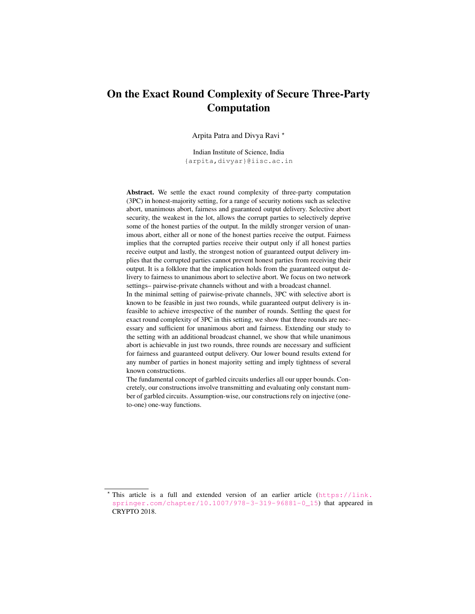## <span id="page-0-0"></span>On the Exact Round Complexity of Secure Three-Party Computation

Arpita Patra and Divya Ravi ?

Indian Institute of Science, India {arpita,divyar}@iisc.ac.in

Abstract. We settle the exact round complexity of three-party computation (3PC) in honest-majority setting, for a range of security notions such as selective abort, unanimous abort, fairness and guaranteed output delivery. Selective abort security, the weakest in the lot, allows the corrupt parties to selectively deprive some of the honest parties of the output. In the mildly stronger version of unanimous abort, either all or none of the honest parties receive the output. Fairness implies that the corrupted parties receive their output only if all honest parties receive output and lastly, the strongest notion of guaranteed output delivery implies that the corrupted parties cannot prevent honest parties from receiving their output. It is a folklore that the implication holds from the guaranteed output delivery to fairness to unanimous abort to selective abort. We focus on two network settings– pairwise-private channels without and with a broadcast channel.

In the minimal setting of pairwise-private channels, 3PC with selective abort is known to be feasible in just two rounds, while guaranteed output delivery is infeasible to achieve irrespective of the number of rounds. Settling the quest for exact round complexity of 3PC in this setting, we show that three rounds are necessary and sufficient for unanimous abort and fairness. Extending our study to the setting with an additional broadcast channel, we show that while unanimous abort is achievable in just two rounds, three rounds are necessary and sufficient for fairness and guaranteed output delivery. Our lower bound results extend for any number of parties in honest majority setting and imply tightness of several known constructions.

The fundamental concept of garbled circuits underlies all our upper bounds. Concretely, our constructions involve transmitting and evaluating only constant number of garbled circuits. Assumption-wise, our constructions rely on injective (oneto-one) one-way functions.

<sup>?</sup> This article is a full and extended version of an earlier article ([https://link.](https://link.springer.com/chapter/10.1007/978-3-319-96881-0_15) [springer.com/chapter/10.1007/978-3-319-96881-0\\_15](https://link.springer.com/chapter/10.1007/978-3-319-96881-0_15)) that appeared in CRYPTO 2018.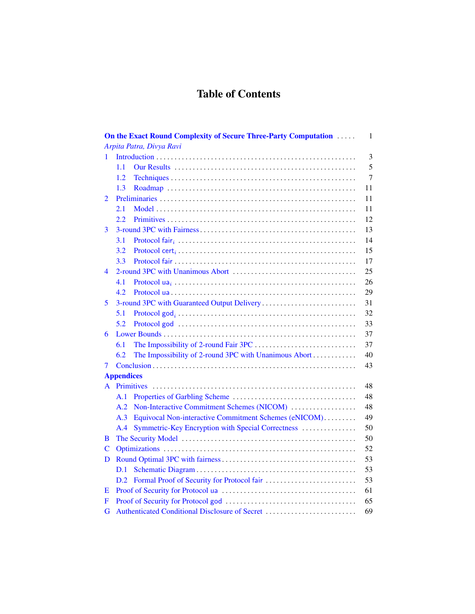# Table of Contents

|              | On the Exact Round Complexity of Secure Three-Party Computation | 1  |  |  |  |  |
|--------------|-----------------------------------------------------------------|----|--|--|--|--|
|              | Arpita Patra, Divya Ravi                                        |    |  |  |  |  |
| 1            |                                                                 |    |  |  |  |  |
|              | 1.1                                                             | 5  |  |  |  |  |
|              | 1.2                                                             | 7  |  |  |  |  |
|              | 1.3                                                             | 11 |  |  |  |  |
| 2            |                                                                 | 11 |  |  |  |  |
|              | 2.1                                                             | 11 |  |  |  |  |
|              | 2.2                                                             | 12 |  |  |  |  |
| 3            |                                                                 | 13 |  |  |  |  |
|              | 3.1                                                             | 14 |  |  |  |  |
|              | 3.2                                                             | 15 |  |  |  |  |
|              | 3.3                                                             | 17 |  |  |  |  |
| 4            |                                                                 | 25 |  |  |  |  |
|              | 4.1                                                             | 26 |  |  |  |  |
|              | 4.2                                                             | 29 |  |  |  |  |
| 5            | 3-round 3PC with Guaranteed Output Delivery                     | 31 |  |  |  |  |
|              | 5.1                                                             | 32 |  |  |  |  |
|              | 5.2                                                             | 33 |  |  |  |  |
| 6            |                                                                 | 37 |  |  |  |  |
|              | 6.1                                                             | 37 |  |  |  |  |
|              | 6.2<br>The Impossibility of 2-round 3PC with Unanimous Abort    | 40 |  |  |  |  |
| 7            |                                                                 | 43 |  |  |  |  |
|              | <b>Appendices</b>                                               |    |  |  |  |  |
| $\mathbf{A}$ |                                                                 | 48 |  |  |  |  |
|              | A.1                                                             | 48 |  |  |  |  |
|              | Non-Interactive Commitment Schemes (NICOM)<br>A.2               | 48 |  |  |  |  |
|              | Equivocal Non-interactive Commitment Schemes (eNICOM)<br>A.3    | 49 |  |  |  |  |
|              | Symmetric-Key Encryption with Special Correctness<br>A.4        | 50 |  |  |  |  |
| B            |                                                                 | 50 |  |  |  |  |
| $\mathbf C$  |                                                                 | 52 |  |  |  |  |
| D            |                                                                 | 53 |  |  |  |  |
|              | D.1                                                             | 53 |  |  |  |  |
|              | D.2                                                             | 53 |  |  |  |  |
| Е            |                                                                 | 61 |  |  |  |  |
| F            | 65                                                              |    |  |  |  |  |
| G            | Authenticated Conditional Disclosure of Secret                  | 69 |  |  |  |  |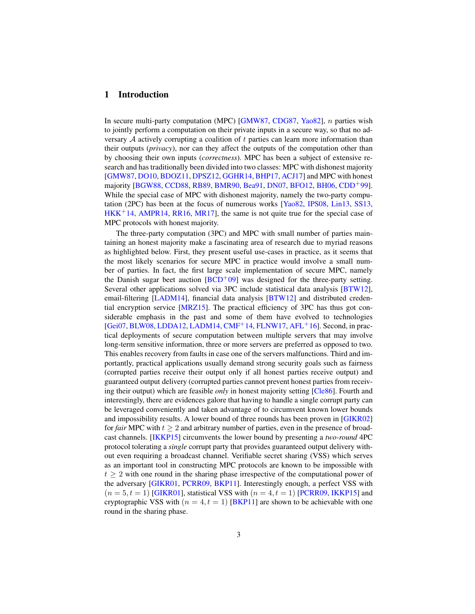## <span id="page-2-0"></span>1 Introduction

In secure multi-party computation (MPC) [\[GMW87,](#page-44-0) [CDG87,](#page-44-1) [Yao82\]](#page-46-0), n parties wish to jointly perform a computation on their private inputs in a secure way, so that no adversary  $A$  actively corrupting a coalition of t parties can learn more information than their outputs (*privacy*), nor can they affect the outputs of the computation other than by choosing their own inputs (*correctness*). MPC has been a subject of extensive research and has traditionally been divided into two classes: MPC with dishonest majority [\[GMW87,](#page-44-0) [DO10,](#page-44-2) [BDOZ11,](#page-43-0) [DPSZ12,](#page-44-3) [GGHR14,](#page-44-4) [BHP17,](#page-43-1) [ACJ17\]](#page-43-2) and MPC with honest majority [\[BGW88,](#page-43-3) [CCD88,](#page-43-4) [RB89,](#page-46-1) [BMR90,](#page-43-5) [Bea91,](#page-43-6) [DN07,](#page-44-5) [BFO12,](#page-43-7) [BH06,](#page-43-8) [CDD](#page-43-9)+99]. While the special case of MPC with dishonest majority, namely the two-party computation (2PC) has been at the focus of numerous works [\[Yao82,](#page-46-0) [IPS08,](#page-45-0) [Lin13,](#page-45-1) [SS13,](#page-46-2)  $HKK<sup>+</sup>14$  $HKK<sup>+</sup>14$ , [AMPR14,](#page-43-10) [RR16,](#page-46-3) [MR17\]](#page-45-3), the same is not quite true for the special case of MPC protocols with honest majority.

The three-party computation (3PC) and MPC with small number of parties maintaining an honest majority make a fascinating area of research due to myriad reasons as highlighted below. First, they present useful use-cases in practice, as it seems that the most likely scenarios for secure MPC in practice would involve a small number of parties. In fact, the first large scale implementation of secure MPC, namely the Danish sugar beet auction  $[BCD^+09]$  $[BCD^+09]$  was designed for the three-party setting. Several other applications solved via 3PC include statistical data analysis [\[BTW12\]](#page-43-12), email-filtering [\[LADM14\]](#page-45-4), financial data analysis [\[BTW12\]](#page-43-12) and distributed credential encryption service [\[MRZ15\]](#page-46-4). The practical efficiency of 3PC has thus got considerable emphasis in the past and some of them have evolved to technologies  $[Gei07, BLW08, LDDA12, LADM14, CMF<sup>+</sup>14, FLNW17, AFL<sup>+</sup>16]$  $[Gei07, BLW08, LDDA12, LADM14, CMF<sup>+</sup>14, FLNW17, AFL<sup>+</sup>16]$  $[Gei07, BLW08, LDDA12, LADM14, CMF<sup>+</sup>14, FLNW17, AFL<sup>+</sup>16]$  $[Gei07, BLW08, LDDA12, LADM14, CMF<sup>+</sup>14, FLNW17, AFL<sup>+</sup>16]$  $[Gei07, BLW08, LDDA12, LADM14, CMF<sup>+</sup>14, FLNW17, AFL<sup>+</sup>16]$  $[Gei07, BLW08, LDDA12, LADM14, CMF<sup>+</sup>14, FLNW17, AFL<sup>+</sup>16]$  $[Gei07, BLW08, LDDA12, LADM14, CMF<sup>+</sup>14, FLNW17, AFL<sup>+</sup>16]$  $[Gei07, BLW08, LDDA12, LADM14, CMF<sup>+</sup>14, FLNW17, AFL<sup>+</sup>16]$  $[Gei07, BLW08, LDDA12, LADM14, CMF<sup>+</sup>14, FLNW17, AFL<sup>+</sup>16]$  $[Gei07, BLW08, LDDA12, LADM14, CMF<sup>+</sup>14, FLNW17, AFL<sup>+</sup>16]$  $[Gei07, BLW08, LDDA12, LADM14, CMF<sup>+</sup>14, FLNW17, AFL<sup>+</sup>16]$  $[Gei07, BLW08, LDDA12, LADM14, CMF<sup>+</sup>14, FLNW17, AFL<sup>+</sup>16]$  $[Gei07, BLW08, LDDA12, LADM14, CMF<sup>+</sup>14, FLNW17, AFL<sup>+</sup>16]$  $[Gei07, BLW08, LDDA12, LADM14, CMF<sup>+</sup>14, FLNW17, AFL<sup>+</sup>16]$ . Second, in practical deployments of secure computation between multiple servers that may involve long-term sensitive information, three or more servers are preferred as opposed to two. This enables recovery from faults in case one of the servers malfunctions. Third and importantly, practical applications usually demand strong security goals such as fairness (corrupted parties receive their output only if all honest parties receive output) and guaranteed output delivery (corrupted parties cannot prevent honest parties from receiving their output) which are feasible *only* in honest majority setting [\[Cle86\]](#page-44-9). Fourth and interestingly, there are evidences galore that having to handle a single corrupt party can be leveraged conveniently and taken advantage of to circumvent known lower bounds and impossibility results. A lower bound of three rounds has been proven in [\[GIKR02\]](#page-44-10) for *fair* MPC with  $t > 2$  and arbitrary number of parties, even in the presence of broadcast channels. [\[IKKP15\]](#page-45-6) circumvents the lower bound by presenting a *two-round* 4PC protocol tolerating a *single* corrupt party that provides guaranteed output delivery without even requiring a broadcast channel. Verifiable secret sharing (VSS) which serves as an important tool in constructing MPC protocols are known to be impossible with  $t > 2$  with one round in the sharing phase irrespective of the computational power of the adversary [\[GIKR01,](#page-44-11) [PCRR09,](#page-46-5) [BKP11\]](#page-43-15). Interestingly enough, a perfect VSS with  $(n = 5, t = 1)$  [\[GIKR01\]](#page-44-11), statistical VSS with  $(n = 4, t = 1)$  [\[PCRR09,](#page-46-5) [IKKP15\]](#page-45-6) and cryptographic VSS with  $(n = 4, t = 1)$  [\[BKP11\]](#page-43-15) are shown to be achievable with one round in the sharing phase.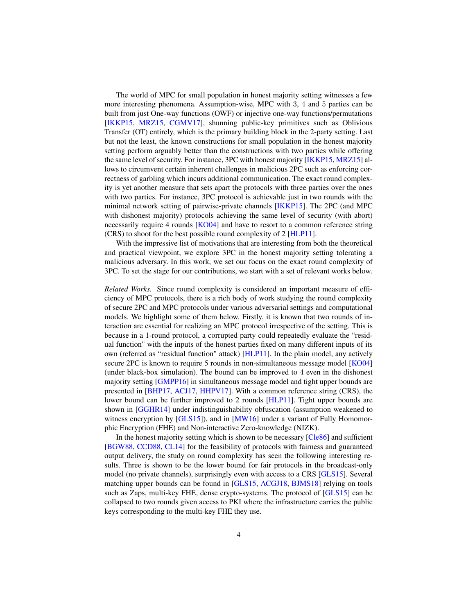The world of MPC for small population in honest majority setting witnesses a few more interesting phenomena. Assumption-wise, MPC with 3, 4 and 5 parties can be built from just One-way functions (OWF) or injective one-way functions/permutations [\[IKKP15,](#page-45-6) [MRZ15,](#page-46-4) [CGMV17\]](#page-44-12), shunning public-key primitives such as Oblivious Transfer (OT) entirely, which is the primary building block in the 2-party setting. Last but not the least, the known constructions for small population in the honest majority setting perform arguably better than the constructions with two parties while offering the same level of security. For instance, 3PC with honest majority [\[IKKP15,](#page-45-6) [MRZ15\]](#page-46-4) allows to circumvent certain inherent challenges in malicious 2PC such as enforcing correctness of garbling which incurs additional communication. The exact round complexity is yet another measure that sets apart the protocols with three parties over the ones with two parties. For instance, 3PC protocol is achievable just in two rounds with the minimal network setting of pairwise-private channels [\[IKKP15\]](#page-45-6). The 2PC (and MPC with dishonest majority) protocols achieving the same level of security (with abort) necessarily require 4 rounds [\[KO04\]](#page-45-7) and have to resort to a common reference string (CRS) to shoot for the best possible round complexity of 2 [\[HLP11\]](#page-45-8).

With the impressive list of motivations that are interesting from both the theoretical and practical viewpoint, we explore 3PC in the honest majority setting tolerating a malicious adversary. In this work, we set our focus on the exact round complexity of 3PC. To set the stage for our contributions, we start with a set of relevant works below.

*Related Works.* Since round complexity is considered an important measure of efficiency of MPC protocols, there is a rich body of work studying the round complexity of secure 2PC and MPC protocols under various adversarial settings and computational models. We highlight some of them below. Firstly, it is known that two rounds of interaction are essential for realizing an MPC protocol irrespective of the setting. This is because in a 1-round protocol, a corrupted party could repeatedly evaluate the "residual function" with the inputs of the honest parties fixed on many different inputs of its own (referred as "residual function" attack) [\[HLP11\]](#page-45-8). In the plain model, any actively secure 2PC is known to require 5 rounds in non-simultaneous message model [\[KO04\]](#page-45-7) (under black-box simulation). The bound can be improved to 4 even in the dishonest majority setting [\[GMPP16\]](#page-44-13) in simultaneous message model and tight upper bounds are presented in [\[BHP17,](#page-43-1) [ACJ17,](#page-43-2) [HHPV17\]](#page-45-9). With a common reference string (CRS), the lower bound can be further improved to 2 rounds [\[HLP11\]](#page-45-8). Tight upper bounds are shown in [\[GGHR14\]](#page-44-4) under indistinguishability obfuscation (assumption weakened to witness encryption by  $[GLS15]$ , and in  $[MW16]$  under a variant of Fully Homomorphic Encryption (FHE) and Non-interactive Zero-knowledge (NIZK).

In the honest majority setting which is shown to be necessary [\[Cle86\]](#page-44-9) and sufficient [\[BGW88,](#page-43-3) [CCD88,](#page-43-4) [CL14\]](#page-44-15) for the feasibility of protocols with fairness and guaranteed output delivery, the study on round complexity has seen the following interesting results. Three is shown to be the lower bound for fair protocols in the broadcast-only model (no private channels), surprisingly even with access to a CRS [\[GLS15\]](#page-44-14). Several matching upper bounds can be found in [\[GLS15,](#page-44-14) [ACGJ18,](#page-43-16) [BJMS18\]](#page-43-17) relying on tools such as Zaps, multi-key FHE, dense crypto-systems. The protocol of [\[GLS15\]](#page-44-14) can be collapsed to two rounds given access to PKI where the infrastructure carries the public keys corresponding to the multi-key FHE they use.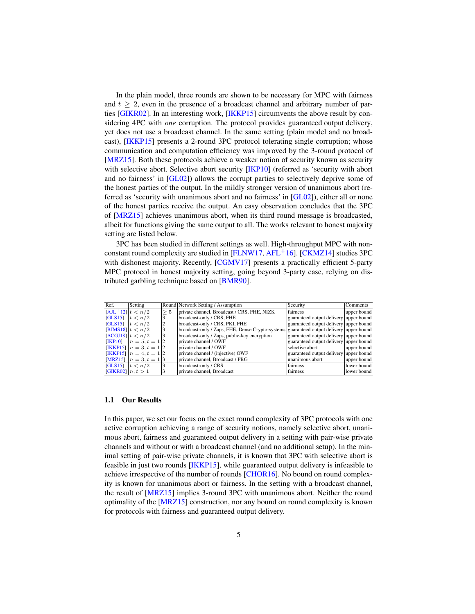In the plain model, three rounds are shown to be necessary for MPC with fairness and  $t \geq 2$ , even in the presence of a broadcast channel and arbitrary number of parties [\[GIKR02\]](#page-44-10). In an interesting work, [\[IKKP15\]](#page-45-6) circumvents the above result by considering 4PC with *one* corruption. The protocol provides guaranteed output delivery, yet does not use a broadcast channel. In the same setting (plain model and no broadcast), [\[IKKP15\]](#page-45-6) presents a 2-round 3PC protocol tolerating single corruption; whose communication and computation efficiency was improved by the 3-round protocol of [\[MRZ15\]](#page-46-4). Both these protocols achieve a weaker notion of security known as security with selective abort. Selective abort security [\[IKP10\]](#page-45-10) (referred as 'security with abort and no fairness' in [\[GL02\]](#page-44-16)) allows the corrupt parties to selectively deprive some of the honest parties of the output. In the mildly stronger version of unanimous abort (referred as 'security with unanimous abort and no fairness' in [\[GL02\]](#page-44-16)), either all or none of the honest parties receive the output. An easy observation concludes that the 3PC of [\[MRZ15\]](#page-46-4) achieves unanimous abort, when its third round message is broadcasted, albeit for functions giving the same output to all. The works relevant to honest majority setting are listed below.

3PC has been studied in different settings as well. High-throughput MPC with nonconstant round complexity are studied in  $[FLNW17, AFL<sup>+</sup>16]$  $[FLNW17, AFL<sup>+</sup>16]$  $[FLNW17, AFL<sup>+</sup>16]$  $[FLNW17, AFL<sup>+</sup>16]$ .  $[CKMZ14]$  studies 3PC with dishonest majority. Recently, [\[CGMV17\]](#page-44-12) presents a practically efficient 5-party MPC protocol in honest majority setting, going beyond 3-party case, relying on distributed garbling technique based on [\[BMR90\]](#page-43-5).

| Ref.                         | Setting                       |          | Round Network Setting / Assumption                                                        | Security                               | <b>Comments</b> |
|------------------------------|-------------------------------|----------|-------------------------------------------------------------------------------------------|----------------------------------------|-----------------|
| $[A J L^+ 12]   t < n/2$     |                               | $\geq 5$ | private channel, Broadcast / CRS, FHE, NIZK                                               | fairness                               | upper bound     |
| [GLS15] $ t  < n/2$          |                               | 3        | broadcast-only / CRS, FHE                                                                 | guaranteed output delivery upper bound |                 |
| [GLS15] $ t  < n/2$          |                               | 2        | broadcast-only / CRS, PKI, FHE                                                            | guaranteed output delivery upper bound |                 |
| [BJMS18] $ t  < n/2$         |                               | 3        | broadcast-only / Zaps, FHE, Dense Crypto-systems   guaranteed output delivery upper bound |                                        |                 |
| $\text{[ACGJ18]}  t \lt n/2$ |                               |          | broadcast-only / Zaps, public-key encryption                                              | guaranteed output delivery upper bound |                 |
|                              | [IKP10] $ n=5, t=1 2$         |          | private channel / OWF                                                                     | guaranteed output delivery upper bound |                 |
|                              | $[IKKP15]   n = 3, t = 1   2$ |          | private channel / OWF                                                                     | selective abort                        | upper bound     |
|                              | $[IKKP15]   n = 4, t = 1   2$ |          | private channel / (injective) OWF                                                         | guaranteed output delivery upper bound |                 |
|                              | [MRZ15] $ n=3, t=1 3$         |          | private channel, Broadcast / PRG                                                          | unanimous abort                        | upper bound     |
| [GLS15] $ t  < n/2$          |                               |          | broadcast-only / CRS                                                                      | fairness                               | lower bound     |
| [GIKR02] $ n; t > 1$         |                               |          | private channel, Broadcast                                                                | fairness                               | lower bound     |

#### <span id="page-4-0"></span>1.1 Our Results

In this paper, we set our focus on the exact round complexity of 3PC protocols with one active corruption achieving a range of security notions, namely selective abort, unanimous abort, fairness and guaranteed output delivery in a setting with pair-wise private channels and without or with a broadcast channel (and no additional setup). In the minimal setting of pair-wise private channels, it is known that 3PC with selective abort is feasible in just two rounds [\[IKKP15\]](#page-45-6), while guaranteed output delivery is infeasible to achieve irrespective of the number of rounds [\[CHOR16\]](#page-44-18). No bound on round complexity is known for unanimous abort or fairness. In the setting with a broadcast channel, the result of [\[MRZ15\]](#page-46-4) implies 3-round 3PC with unanimous abort. Neither the round optimality of the [\[MRZ15\]](#page-46-4) construction, nor any bound on round complexity is known for protocols with fairness and guaranteed output delivery.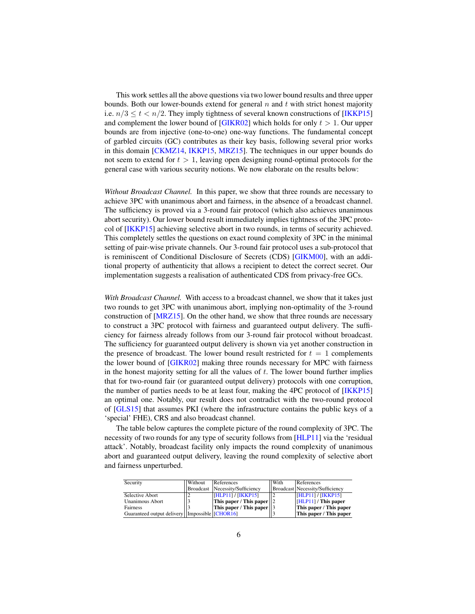This work settles all the above questions via two lower bound results and three upper bounds. Both our lower-bounds extend for general  $n$  and  $t$  with strict honest majority i.e.  $n/3 \le t < n/2$ . They imply tightness of several known constructions of [\[IKKP15\]](#page-45-6) and complement the lower bound of [\[GIKR02\]](#page-44-10) which holds for only  $t > 1$ . Our upper bounds are from injective (one-to-one) one-way functions. The fundamental concept of garbled circuits (GC) contributes as their key basis, following several prior works in this domain [\[CKMZ14,](#page-44-17) [IKKP15,](#page-45-6) [MRZ15\]](#page-46-4). The techniques in our upper bounds do not seem to extend for  $t > 1$ , leaving open designing round-optimal protocols for the general case with various security notions. We now elaborate on the results below:

*Without Broadcast Channel.* In this paper, we show that three rounds are necessary to achieve 3PC with unanimous abort and fairness, in the absence of a broadcast channel. The sufficiency is proved via a 3-round fair protocol (which also achieves unanimous abort security). Our lower bound result immediately implies tightness of the 3PC protocol of [\[IKKP15\]](#page-45-6) achieving selective abort in two rounds, in terms of security achieved. This completely settles the questions on exact round complexity of 3PC in the minimal setting of pair-wise private channels. Our 3-round fair protocol uses a sub-protocol that is reminiscent of Conditional Disclosure of Secrets (CDS) [\[GIKM00\]](#page-44-19), with an additional property of authenticity that allows a recipient to detect the correct secret. Our implementation suggests a realisation of authenticated CDS from privacy-free GCs.

*With Broadcast Channel.* With access to a broadcast channel, we show that it takes just two rounds to get 3PC with unanimous abort, implying non-optimality of the 3-round construction of [\[MRZ15\]](#page-46-4). On the other hand, we show that three rounds are necessary to construct a 3PC protocol with fairness and guaranteed output delivery. The sufficiency for fairness already follows from our 3-round fair protocol without broadcast. The sufficiency for guaranteed output delivery is shown via yet another construction in the presence of broadcast. The lower bound result restricted for  $t = 1$  complements the lower bound of [\[GIKR02\]](#page-44-10) making three rounds necessary for MPC with fairness in the honest majority setting for all the values of  $t$ . The lower bound further implies that for two-round fair (or guaranteed output delivery) protocols with one corruption, the number of parties needs to be at least four, making the 4PC protocol of [\[IKKP15\]](#page-45-6) an optimal one. Notably, our result does not contradict with the two-round protocol of [\[GLS15\]](#page-44-14) that assumes PKI (where the infrastructure contains the public keys of a 'special' FHE), CRS and also broadcast channel.

The table below captures the complete picture of the round complexity of 3PC. The necessity of two rounds for any type of security follows from [\[HLP11\]](#page-45-8) via the 'residual attack'. Notably, broadcast facility only impacts the round complexity of unanimous abort and guaranteed output delivery, leaving the round complexity of selective abort and fairness unperturbed.

| Security                                           | Without          | References                  | With | References                                |
|----------------------------------------------------|------------------|-----------------------------|------|-------------------------------------------|
|                                                    | <b>Broadcast</b> | Necessity/Sufficiency       |      | Broadcast Necessity/Sufficiency           |
| Selective Abort                                    |                  | [HLP11]/[IKKP15]            |      | [HLP11] / [IKKP15]                        |
| Unanimous Abort                                    |                  | This paper / This paper   2 |      | $\left[\frac{HLP11}{I}\right]$ This paper |
| <b>Fairness</b>                                    |                  | This paper / This paper   3 |      | This paper / This paper                   |
| Guaranteed output delivery   Impossible   [CHOR16] |                  |                             |      | This paper / This paper                   |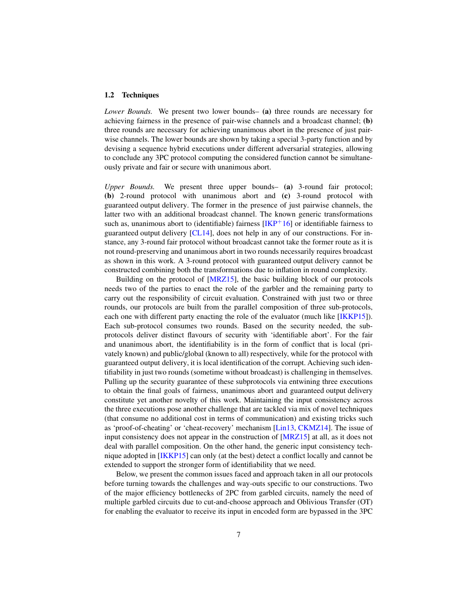#### <span id="page-6-0"></span>1.2 Techniques

*Lower Bounds.* We present two lower bounds– (a) three rounds are necessary for achieving fairness in the presence of pair-wise channels and a broadcast channel; (b) three rounds are necessary for achieving unanimous abort in the presence of just pairwise channels. The lower bounds are shown by taking a special 3-party function and by devising a sequence hybrid executions under different adversarial strategies, allowing to conclude any 3PC protocol computing the considered function cannot be simultaneously private and fair or secure with unanimous abort.

*Upper Bounds.* We present three upper bounds– (a) 3-round fair protocol; (b) 2-round protocol with unanimous abort and (c) 3-round protocol with guaranteed output delivery. The former in the presence of just pairwise channels, the latter two with an additional broadcast channel. The known generic transformations such as, unanimous abort to (identifiable) fairness  $[IKP^+16]$  $[IKP^+16]$  or identifiable fairness to guaranteed output delivery [\[CL14\]](#page-44-15), does not help in any of our constructions. For instance, any 3-round fair protocol without broadcast cannot take the former route as it is not round-preserving and unanimous abort in two rounds necessarily requires broadcast as shown in this work. A 3-round protocol with guaranteed output delivery cannot be constructed combining both the transformations due to inflation in round complexity.

Building on the protocol of [\[MRZ15\]](#page-46-4), the basic building block of our protocols needs two of the parties to enact the role of the garbler and the remaining party to carry out the responsibility of circuit evaluation. Constrained with just two or three rounds, our protocols are built from the parallel composition of three sub-protocols, each one with different party enacting the role of the evaluator (much like [\[IKKP15\]](#page-45-6)). Each sub-protocol consumes two rounds. Based on the security needed, the subprotocols deliver distinct flavours of security with 'identifiable abort'. For the fair and unanimous abort, the identifiability is in the form of conflict that is local (privately known) and public/global (known to all) respectively, while for the protocol with guaranteed output delivery, it is local identification of the corrupt. Achieving such identifiability in just two rounds (sometime without broadcast) is challenging in themselves. Pulling up the security guarantee of these subprotocols via entwining three executions to obtain the final goals of fairness, unanimous abort and guaranteed output delivery constitute yet another novelty of this work. Maintaining the input consistency across the three executions pose another challenge that are tackled via mix of novel techniques (that consume no additional cost in terms of communication) and existing tricks such as 'proof-of-cheating' or 'cheat-recovery' mechanism [\[Lin13,](#page-45-1) [CKMZ14\]](#page-44-17). The issue of input consistency does not appear in the construction of [\[MRZ15\]](#page-46-4) at all, as it does not deal with parallel composition. On the other hand, the generic input consistency technique adopted in [\[IKKP15\]](#page-45-6) can only (at the best) detect a conflict locally and cannot be extended to support the stronger form of identifiability that we need.

Below, we present the common issues faced and approach taken in all our protocols before turning towards the challenges and way-outs specific to our constructions. Two of the major efficiency bottlenecks of 2PC from garbled circuits, namely the need of multiple garbled circuits due to cut-and-choose approach and Oblivious Transfer (OT) for enabling the evaluator to receive its input in encoded form are bypassed in the 3PC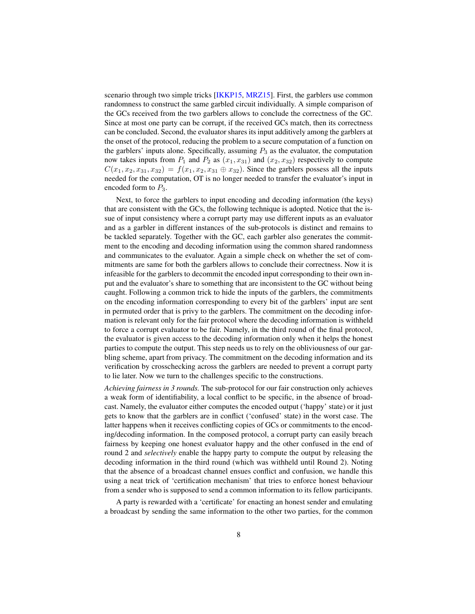scenario through two simple tricks [\[IKKP15,](#page-45-6) [MRZ15\]](#page-46-4). First, the garblers use common randomness to construct the same garbled circuit individually. A simple comparison of the GCs received from the two garblers allows to conclude the correctness of the GC. Since at most one party can be corrupt, if the received GCs match, then its correctness can be concluded. Second, the evaluator shares its input additively among the garblers at the onset of the protocol, reducing the problem to a secure computation of a function on the garblers' inputs alone. Specifically, assuming  $P_3$  as the evaluator, the computation now takes inputs from  $P_1$  and  $P_2$  as  $(x_1, x_{31})$  and  $(x_2, x_{32})$  respectively to compute  $C(x_1, x_2, x_{31}, x_{32}) = f(x_1, x_2, x_{31} \oplus x_{32})$ . Since the garblers possess all the inputs needed for the computation, OT is no longer needed to transfer the evaluator's input in encoded form to  $P_3$ .

Next, to force the garblers to input encoding and decoding information (the keys) that are consistent with the GCs, the following technique is adopted. Notice that the issue of input consistency where a corrupt party may use different inputs as an evaluator and as a garbler in different instances of the sub-protocols is distinct and remains to be tackled separately. Together with the GC, each garbler also generates the commitment to the encoding and decoding information using the common shared randomness and communicates to the evaluator. Again a simple check on whether the set of commitments are same for both the garblers allows to conclude their correctness. Now it is infeasible for the garblers to decommit the encoded input corresponding to their own input and the evaluator's share to something that are inconsistent to the GC without being caught. Following a common trick to hide the inputs of the garblers, the commitments on the encoding information corresponding to every bit of the garblers' input are sent in permuted order that is privy to the garblers. The commitment on the decoding information is relevant only for the fair protocol where the decoding information is withheld to force a corrupt evaluator to be fair. Namely, in the third round of the final protocol, the evaluator is given access to the decoding information only when it helps the honest parties to compute the output. This step needs us to rely on the obliviousness of our garbling scheme, apart from privacy. The commitment on the decoding information and its verification by crosschecking across the garblers are needed to prevent a corrupt party to lie later. Now we turn to the challenges specific to the constructions.

*Achieving fairness in 3 rounds.* The sub-protocol for our fair construction only achieves a weak form of identifiability, a local conflict to be specific, in the absence of broadcast. Namely, the evaluator either computes the encoded output ('happy' state) or it just gets to know that the garblers are in conflict ('confused' state) in the worst case. The latter happens when it receives conflicting copies of GCs or commitments to the encoding/decoding information. In the composed protocol, a corrupt party can easily breach fairness by keeping one honest evaluator happy and the other confused in the end of round 2 and *selectively* enable the happy party to compute the output by releasing the decoding information in the third round (which was withheld until Round 2). Noting that the absence of a broadcast channel ensues conflict and confusion, we handle this using a neat trick of 'certification mechanism' that tries to enforce honest behaviour from a sender who is supposed to send a common information to its fellow participants.

A party is rewarded with a 'certificate' for enacting an honest sender and emulating a broadcast by sending the same information to the other two parties, for the common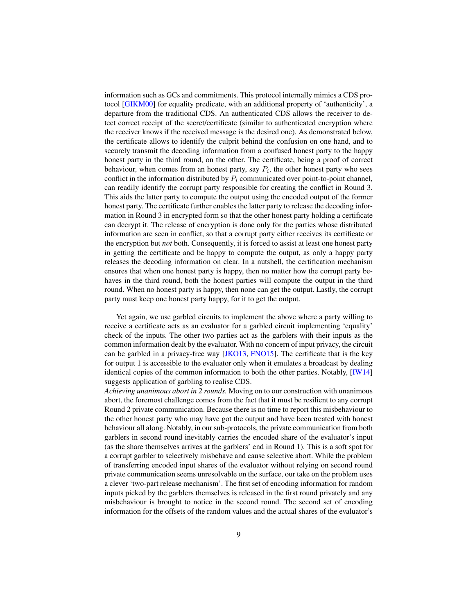information such as GCs and commitments. This protocol internally mimics a CDS protocol [\[GIKM00\]](#page-44-19) for equality predicate, with an additional property of 'authenticity', a departure from the traditional CDS. An authenticated CDS allows the receiver to detect correct receipt of the secret/certificate (similar to authenticated encryption where the receiver knows if the received message is the desired one). As demonstrated below, the certificate allows to identify the culprit behind the confusion on one hand, and to securely transmit the decoding information from a confused honest party to the happy honest party in the third round, on the other. The certificate, being a proof of correct behaviour, when comes from an honest party, say  $P_i$ , the other honest party who sees conflict in the information distributed by  $P_i$  communicated over point-to-point channel, can readily identify the corrupt party responsible for creating the conflict in Round 3. This aids the latter party to compute the output using the encoded output of the former honest party. The certificate further enables the latter party to release the decoding information in Round 3 in encrypted form so that the other honest party holding a certificate can decrypt it. The release of encryption is done only for the parties whose distributed information are seen in conflict, so that a corrupt party either receives its certificate or the encryption but *not* both. Consequently, it is forced to assist at least one honest party in getting the certificate and be happy to compute the output, as only a happy party releases the decoding information on clear. In a nutshell, the certification mechanism ensures that when one honest party is happy, then no matter how the corrupt party behaves in the third round, both the honest parties will compute the output in the third round. When no honest party is happy, then none can get the output. Lastly, the corrupt party must keep one honest party happy, for it to get the output.

Yet again, we use garbled circuits to implement the above where a party willing to receive a certificate acts as an evaluator for a garbled circuit implementing 'equality' check of the inputs. The other two parties act as the garblers with their inputs as the common information dealt by the evaluator. With no concern of input privacy, the circuit can be garbled in a privacy-free way [\[JKO13,](#page-45-12) [FNO15\]](#page-44-20). The certificate that is the key for output 1 is accessible to the evaluator only when it emulates a broadcast by dealing identical copies of the common information to both the other parties. Notably, [\[IW14\]](#page-45-13) suggests application of garbling to realise CDS.

*Achieving unanimous abort in 2 rounds.* Moving on to our construction with unanimous abort, the foremost challenge comes from the fact that it must be resilient to any corrupt Round 2 private communication. Because there is no time to report this misbehaviour to the other honest party who may have got the output and have been treated with honest behaviour all along. Notably, in our sub-protocols, the private communication from both garblers in second round inevitably carries the encoded share of the evaluator's input (as the share themselves arrives at the garblers' end in Round 1). This is a soft spot for a corrupt garbler to selectively misbehave and cause selective abort. While the problem of transferring encoded input shares of the evaluator without relying on second round private communication seems unresolvable on the surface, our take on the problem uses a clever 'two-part release mechanism'. The first set of encoding information for random inputs picked by the garblers themselves is released in the first round privately and any misbehaviour is brought to notice in the second round. The second set of encoding information for the offsets of the random values and the actual shares of the evaluator's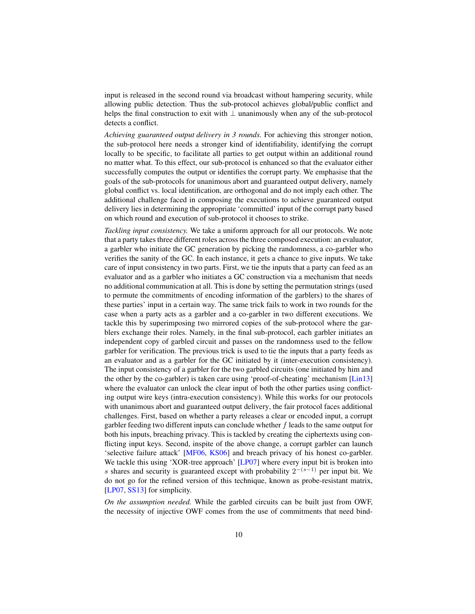input is released in the second round via broadcast without hampering security, while allowing public detection. Thus the sub-protocol achieves global/public conflict and helps the final construction to exit with ⊥ unanimously when any of the sub-protocol detects a conflict.

*Achieving guaranteed output delivery in 3 rounds.* For achieving this stronger notion, the sub-protocol here needs a stronger kind of identifiability, identifying the corrupt locally to be specific, to facilitate all parties to get output within an additional round no matter what. To this effect, our sub-protocol is enhanced so that the evaluator either successfully computes the output or identifies the corrupt party. We emphasise that the goals of the sub-protocols for unanimous abort and guaranteed output delivery, namely global conflict vs. local identification, are orthogonal and do not imply each other. The additional challenge faced in composing the executions to achieve guaranteed output delivery lies in determining the appropriate 'committed' input of the corrupt party based on which round and execution of sub-protocol it chooses to strike.

*Tackling input consistency.* We take a uniform approach for all our protocols. We note that a party takes three different roles across the three composed execution: an evaluator, a garbler who initiate the GC generation by picking the randomness, a co-garbler who verifies the sanity of the GC. In each instance, it gets a chance to give inputs. We take care of input consistency in two parts. First, we tie the inputs that a party can feed as an evaluator and as a garbler who initiates a GC construction via a mechanism that needs no additional communication at all. This is done by setting the permutation strings (used to permute the commitments of encoding information of the garblers) to the shares of these parties' input in a certain way. The same trick fails to work in two rounds for the case when a party acts as a garbler and a co-garbler in two different executions. We tackle this by superimposing two mirrored copies of the sub-protocol where the garblers exchange their roles. Namely, in the final sub-protocol, each garbler initiates an independent copy of garbled circuit and passes on the randomness used to the fellow garbler for verification. The previous trick is used to tie the inputs that a party feeds as an evaluator and as a garbler for the GC initiated by it (inter-execution consistency). The input consistency of a garbler for the two garbled circuits (one initiated by him and the other by the co-garbler) is taken care using 'proof-of-cheating' mechanism [\[Lin13\]](#page-45-1) where the evaluator can unlock the clear input of both the other parties using conflicting output wire keys (intra-execution consistency). While this works for our protocols with unanimous abort and guaranteed output delivery, the fair protocol faces additional challenges. First, based on whether a party releases a clear or encoded input, a corrupt garbler feeding two different inputs can conclude whether  $f$  leads to the same output for both his inputs, breaching privacy. This is tackled by creating the ciphertexts using conflicting input keys. Second, inspite of the above change, a corrupt garbler can launch 'selective failure attack' [\[MF06,](#page-45-14) [KS06\]](#page-45-15) and breach privacy of his honest co-garbler. We tackle this using 'XOR-tree approach' [\[LP07\]](#page-45-16) where every input bit is broken into s shares and security is guaranteed except with probability  $2^{-(s-1)}$  per input bit. We do not go for the refined version of this technique, known as probe-resistant matrix, [\[LP07,](#page-45-16) [SS13\]](#page-46-2) for simplicity.

*On the assumption needed.* While the garbled circuits can be built just from OWF, the necessity of injective OWF comes from the use of commitments that need bind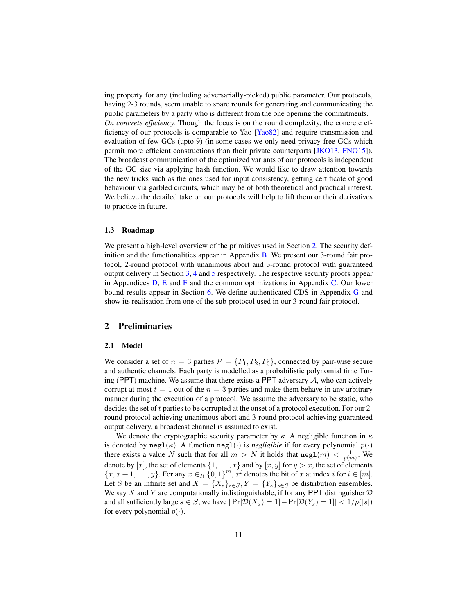ing property for any (including adversarially-picked) public parameter. Our protocols, having 2-3 rounds, seem unable to spare rounds for generating and communicating the public parameters by a party who is different from the one opening the commitments. *On concrete efficiency.* Though the focus is on the round complexity, the concrete efficiency of our protocols is comparable to Yao [\[Yao82\]](#page-46-0) and require transmission and evaluation of few GCs (upto 9) (in some cases we only need privacy-free GCs which permit more efficient constructions than their private counterparts [\[JKO13,](#page-45-12) [FNO15\]](#page-44-20)). The broadcast communication of the optimized variants of our protocols is independent of the GC size via applying hash function. We would like to draw attention towards the new tricks such as the ones used for input consistency, getting certificate of good behaviour via garbled circuits, which may be of both theoretical and practical interest. We believe the detailed take on our protocols will help to lift them or their derivatives to practice in future.

#### <span id="page-10-0"></span>1.3 Roadmap

We present a high-level overview of the primitives used in Section [2.](#page-10-1) The security def-inition and the functionalities appear in Appendix [B.](#page-49-1) We present our 3-round fair protocol, 2-round protocol with unanimous abort and 3-round protocol with guaranteed output delivery in Section [3,](#page-12-0) [4](#page-24-0) and [5](#page-30-0) respectively. The respective security proofs appear in Appendices  $D$ , [E](#page-60-0) and [F](#page-64-0) and the common optimizations in Appendix [C.](#page-51-0) Our lower bound results appear in Section [6.](#page-36-0) We define authenticated CDS in Appendix [G](#page-68-0) and show its realisation from one of the sub-protocol used in our 3-round fair protocol.

## <span id="page-10-1"></span>2 Preliminaries

#### <span id="page-10-2"></span>2.1 Model

We consider a set of  $n = 3$  parties  $\mathcal{P} = \{P_1, P_2, P_3\}$ , connected by pair-wise secure and authentic channels. Each party is modelled as a probabilistic polynomial time Turing (PPT) machine. We assume that there exists a PPT adversary  $A$ , who can actively corrupt at most  $t = 1$  out of the  $n = 3$  parties and make them behave in any arbitrary manner during the execution of a protocol. We assume the adversary to be static, who decides the set of t parties to be corrupted at the onset of a protocol execution. For our 2 round protocol achieving unanimous abort and 3-round protocol achieving guaranteed output delivery, a broadcast channel is assumed to exist.

We denote the cryptographic security parameter by  $\kappa$ . A negligible function in  $\kappa$ is denoted by  $\text{negl}(\kappa)$ . A function  $\text{negl}(\cdot)$  is *negligible* if for every polynomial  $p(\cdot)$ there exists a value N such that for all  $m > N$  it holds that  $\text{negl}(m) < \frac{1}{p(m)}$ . We denote by  $[x]$ , the set of elements  $\{1, \ldots, x\}$  and by  $[x, y]$  for  $y > x$ , the set of elements  $\{x, x+1, \ldots, y\}$ . For any  $x \in_R \{0,1\}^m$ ,  $x^i$  denotes the bit of x at index i for  $i \in [m]$ . Let S be an infinite set and  $X = \{X_s\}_{s \in S}$ ,  $Y = \{Y_s\}_{s \in S}$  be distribution ensembles. We say X and Y are computationally indistinguishable, if for any **PPT** distinguisher  $D$ and all sufficiently large  $s \in S$ , we have  $|\Pr[\mathcal{D}(X_s) = 1] - \Pr[\mathcal{D}(Y_s) = 1]| < 1/p(|s|)$ for every polynomial  $p(\cdot)$ .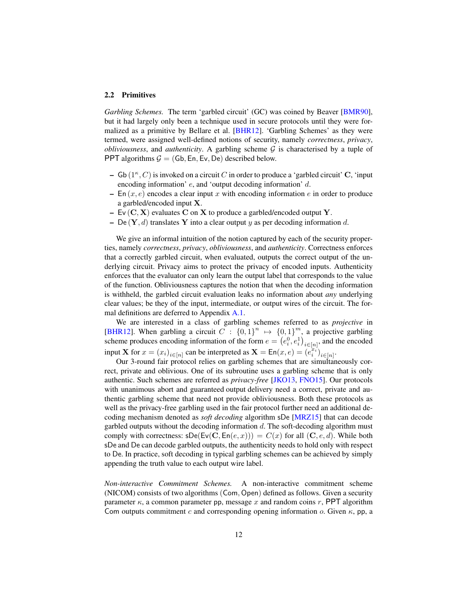#### <span id="page-11-0"></span>2.2 Primitives

*Garbling Schemes.* The term 'garbled circuit' (GC) was coined by Beaver [\[BMR90\]](#page-43-5), but it had largely only been a technique used in secure protocols until they were formalized as a primitive by Bellare et al. [\[BHR12\]](#page-43-19). 'Garbling Schemes' as they were termed, were assigned well-defined notions of security, namely *correctness*, *privacy*, *obliviousness*, and *authenticity*. A garbling scheme  $G$  is characterised by a tuple of **PPT** algorithms  $\mathcal{G} = (Gb, En, Ev, De)$  described below.

- Gb  $(1^{\kappa}, C)$  is invoked on a circuit C in order to produce a 'garbled circuit' C, 'input encoding information' e, and 'output decoding information' d.
- En  $(x, e)$  encodes a clear input x with encoding information e in order to produce a garbled/encoded input X.
- Ev  $(C, X)$  evaluates C on X to produce a garbled/encoded output Y.
- De  $(Y, d)$  translates Y into a clear output y as per decoding information d.

We give an informal intuition of the notion captured by each of the security properties, namely *correctness*, *privacy*, *obliviousness*, and *authenticity*. Correctness enforces that a correctly garbled circuit, when evaluated, outputs the correct output of the underlying circuit. Privacy aims to protect the privacy of encoded inputs. Authenticity enforces that the evaluator can only learn the output label that corresponds to the value of the function. Obliviousness captures the notion that when the decoding information is withheld, the garbled circuit evaluation leaks no information about *any* underlying clear values; be they of the input, intermediate, or output wires of the circuit. The formal definitions are deferred to Appendix [A.1.](#page-47-1)

We are interested in a class of garbling schemes referred to as *projective* in [\[BHR12\]](#page-43-19). When garbling a circuit  $C : \{0,1\}^n \mapsto \{0,1\}^m$ , a projective garbling scheme produces encoding information of the form  $e = (e_i^0, e_i^1)_{i \in [n]}$ , and the encoded input **X** for  $x = (x_i)_{i \in [n]}$  can be interpreted as  $\mathbf{X} = \text{En}(x, e) = (\overline{e}_i^{x_i})_{i \in [n]}$ .

Our 3-round fair protocol relies on garbling schemes that are simultaneously correct, private and oblivious. One of its subroutine uses a garbling scheme that is only authentic. Such schemes are referred as *privacy-free* [\[JKO13,](#page-45-12) [FNO15\]](#page-44-20). Our protocols with unanimous abort and guaranteed output delivery need a correct, private and authentic garbling scheme that need not provide obliviousness. Both these protocols as well as the privacy-free garbling used in the fair protocol further need an additional decoding mechanism denoted as *soft decoding* algorithm sDe [\[MRZ15\]](#page-46-4) that can decode garbled outputs without the decoding information  $d$ . The soft-decoding algorithm must comply with correctness:  $sDe(Ev(C, En(e, x))) = C(x)$  for all  $(C, e, d)$ . While both sDe and De can decode garbled outputs, the authenticity needs to hold only with respect to De. In practice, soft decoding in typical garbling schemes can be achieved by simply appending the truth value to each output wire label.

*Non-interactive Commitment Schemes.* A non-interactive commitment scheme (NICOM) consists of two algorithms (Com, Open) defined as follows. Given a security parameter  $\kappa$ , a common parameter pp, message x and random coins r, PPT algorithm Com outputs commitment c and corresponding opening information o. Given  $\kappa$ , pp, a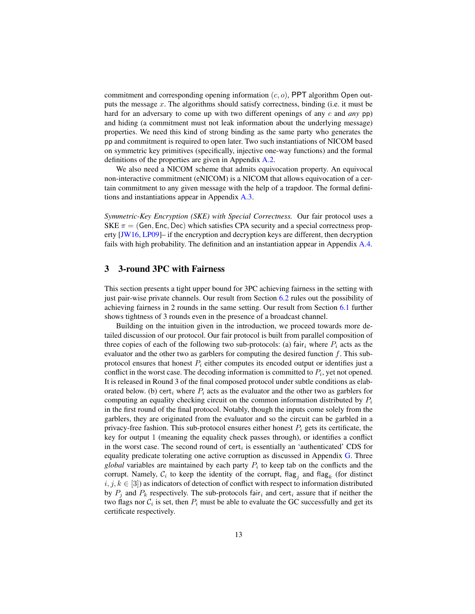commitment and corresponding opening information  $(c, o)$ , PPT algorithm Open outputs the message  $x$ . The algorithms should satisfy correctness, binding (i.e. it must be hard for an adversary to come up with two different openings of any c and *any* pp) and hiding (a commitment must not leak information about the underlying message) properties. We need this kind of strong binding as the same party who generates the pp and commitment is required to open later. Two such instantiations of NICOM based on symmetric key primitives (specifically, injective one-way functions) and the formal definitions of the properties are given in Appendix [A.2.](#page-47-2)

We also need a NICOM scheme that admits equivocation property. An equivocal non-interactive commitment (eNICOM) is a NICOM that allows equivocation of a certain commitment to any given message with the help of a trapdoor. The formal definitions and instantiations appear in Appendix [A.3.](#page-48-0)

*Symmetric-Key Encryption (SKE) with Special Correctness.* Our fair protocol uses a SKE  $\pi$  = (Gen, Enc, Dec) which satisfies CPA security and a special correctness property [\[JW16,](#page-45-17) [LP09\]](#page-45-18)– if the encryption and decryption keys are different, then decryption fails with high probability. The definition and an instantiation appear in Appendix [A.4.](#page-49-0)

## <span id="page-12-0"></span>3 3-round 3PC with Fairness

This section presents a tight upper bound for 3PC achieving fairness in the setting with just pair-wise private channels. Our result from Section [6.2](#page-39-0) rules out the possibility of achieving fairness in 2 rounds in the same setting. Our result from Section [6.1](#page-36-1) further shows tightness of 3 rounds even in the presence of a broadcast channel.

Building on the intuition given in the introduction, we proceed towards more detailed discussion of our protocol. Our fair protocol is built from parallel composition of three copies of each of the following two sub-protocols: (a) fair, where  $P_i$  acts as the evaluator and the other two as garblers for computing the desired function  $f$ . This subprotocol ensures that honest  $P_i$  either computes its encoded output or identifies just a conflict in the worst case. The decoding information is committed to  $P_i$ , yet not opened. It is released in Round 3 of the final composed protocol under subtle conditions as elaborated below. (b) cert<sub>i</sub> where  $P_i$  acts as the evaluator and the other two as garblers for computing an equality checking circuit on the common information distributed by  $P_i$ in the first round of the final protocol. Notably, though the inputs come solely from the garblers, they are originated from the evaluator and so the circuit can be garbled in a privacy-free fashion. This sub-protocol ensures either honest  $P_i$  gets its certificate, the key for output 1 (meaning the equality check passes through), or identifies a conflict in the worst case. The second round of cert $_i$  is essentially an 'authenticated' CDS for equality predicate tolerating one active corruption as discussed in Appendix [G.](#page-68-0) Three  $global$  variables are maintained by each party  $P_i$  to keep tab on the conflicts and the corrupt. Namely,  $C_i$  to keep the identity of the corrupt, flag<sub>j</sub> and flag<sub>k</sub> (for distinct  $i, j, k \in [3]$ ) as indicators of detection of conflict with respect to information distributed by  $P_i$  and  $P_k$  respectively. The sub-protocols fair and cert assure that if neither the two flags nor  $C_i$  is set, then  $P_i$  must be able to evaluate the GC successfully and get its certificate respectively.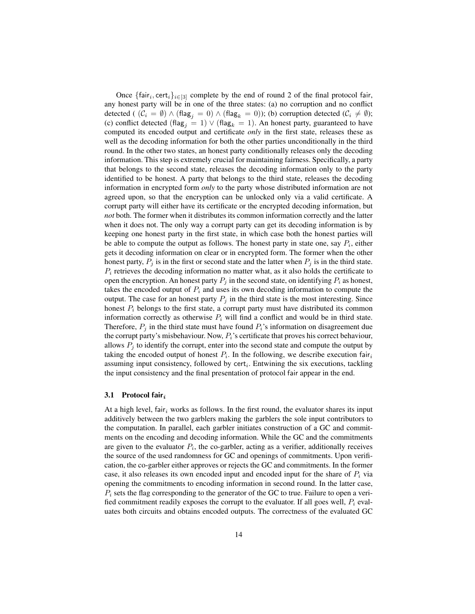Once  $\{\text{fair}_i, \text{cert}_i\}_{i \in [3]}$  complete by the end of round 2 of the final protocol fair, any honest party will be in one of the three states: (a) no corruption and no conflict detected (  $(C_i = \emptyset) \wedge (\text{flag}_j = 0) \wedge (\text{flag}_k = 0)$ ); (b) corruption detected  $(C_i \neq \emptyset)$ ; (c) conflict detected (flag<sub>j</sub> = 1)  $\vee$  (flag<sub>k</sub> = 1). An honest party, guaranteed to have computed its encoded output and certificate *only* in the first state, releases these as well as the decoding information for both the other parties unconditionally in the third round. In the other two states, an honest party conditionally releases only the decoding information. This step is extremely crucial for maintaining fairness. Specifically, a party that belongs to the second state, releases the decoding information only to the party identified to be honest. A party that belongs to the third state, releases the decoding information in encrypted form *only* to the party whose distributed information are not agreed upon, so that the encryption can be unlocked only via a valid certificate. A corrupt party will either have its certificate or the encrypted decoding information, but *not* both. The former when it distributes its common information correctly and the latter when it does not. The only way a corrupt party can get its decoding information is by keeping one honest party in the first state, in which case both the honest parties will be able to compute the output as follows. The honest party in state one, say  $P_i$ , either gets it decoding information on clear or in encrypted form. The former when the other honest party,  $P_j$  is in the first or second state and the latter when  $P_j$  is in the third state.  $P_i$  retrieves the decoding information no matter what, as it also holds the certificate to open the encryption. An honest party  $P_i$  in the second state, on identifying  $P_i$  as honest, takes the encoded output of  $P_i$  and uses its own decoding information to compute the output. The case for an honest party  $P_i$  in the third state is the most interesting. Since honest  $P_i$  belongs to the first state, a corrupt party must have distributed its common information correctly as otherwise  $P_i$  will find a conflict and would be in third state. Therefore,  $P_i$  in the third state must have found  $P_i$ 's information on disagreement due the corrupt party's misbehaviour. Now,  $P_i$ 's certificate that proves his correct behaviour, allows  $P_j$  to identify the corrupt, enter into the second state and compute the output by taking the encoded output of honest  $P_i$ . In the following, we describe execution fair assuming input consistency, followed by cert $_i$ . Entwining the six executions, tackling the input consistency and the final presentation of protocol fair appear in the end.

## <span id="page-13-0"></span>3.1 Protocol fair $_i$

At a high level, fair<sub>i</sub> works as follows. In the first round, the evaluator shares its input additively between the two garblers making the garblers the sole input contributors to the computation. In parallel, each garbler initiates construction of a GC and commitments on the encoding and decoding information. While the GC and the commitments are given to the evaluator  $P_i$ , the co-garbler, acting as a verifier, additionally receives the source of the used randomness for GC and openings of commitments. Upon verification, the co-garbler either approves or rejects the GC and commitments. In the former case, it also releases its own encoded input and encoded input for the share of  $P_i$  via opening the commitments to encoding information in second round. In the latter case,  $P_i$  sets the flag corresponding to the generator of the GC to true. Failure to open a verified commitment readily exposes the corrupt to the evaluator. If all goes well,  $P_i$  evaluates both circuits and obtains encoded outputs. The correctness of the evaluated GC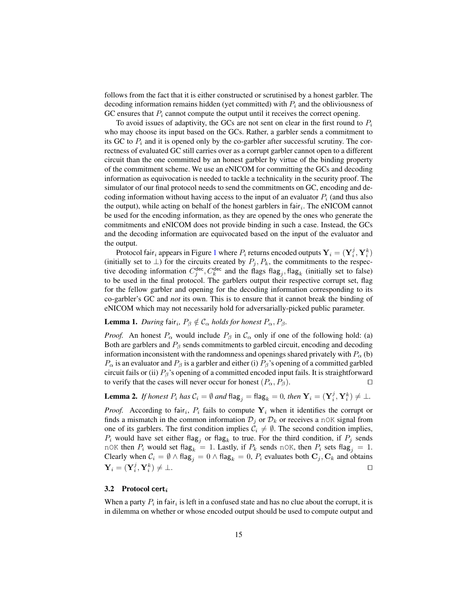follows from the fact that it is either constructed or scrutinised by a honest garbler. The decoding information remains hidden (yet committed) with  $P_i$  and the obliviousness of GC ensures that  $P_i$  cannot compute the output until it receives the correct opening.

To avoid issues of adaptivity, the GCs are not sent on clear in the first round to  $P_i$ who may choose its input based on the GCs. Rather, a garbler sends a commitment to its GC to  $P_i$  and it is opened only by the co-garbler after successful scrutiny. The correctness of evaluated GC still carries over as a corrupt garbler cannot open to a different circuit than the one committed by an honest garbler by virtue of the binding property of the commitment scheme. We use an eNICOM for committing the GCs and decoding information as equivocation is needed to tackle a technicality in the security proof. The simulator of our final protocol needs to send the commitments on GC, encoding and decoding information without having access to the input of an evaluator  $P_i$  (and thus also the output), while acting on behalf of the honest garblers in  $\text{fair}_i$ . The eNICOM cannot be used for the encoding information, as they are opened by the ones who generate the commitments and eNICOM does not provide binding in such a case. Instead, the GCs and the decoding information are equivocated based on the input of the evaluator and the output.

Protocol fair<sub>i</sub> appears in Figure [1](#page-15-0) where  $P_i$  returns encoded outputs  $\mathbf{Y}_i = (\mathbf{Y}_i^j, \mathbf{Y}_i^k)$ (initially set to  $\perp$ ) for the circuits created by  $P_j, P_k$ , the commitments to the respective decoding information  $C_j^{\text{dec}}$ ,  $C_k^{\text{dec}}$  and the flags flag<sub>j</sub>, flag<sub>k</sub> (initially set to false) to be used in the final protocol. The garblers output their respective corrupt set, flag for the fellow garbler and opening for the decoding information corresponding to its co-garbler's GC and *not* its own. This is to ensure that it cannot break the binding of eNICOM which may not necessarily hold for adversarially-picked public parameter.

## <span id="page-14-1"></span>**Lemma 1.** *During* fair<sub>i</sub>,  $P_\beta \notin C_\alpha$  *holds for honest*  $P_\alpha, P_\beta$ .

*Proof.* An honest  $P_{\alpha}$  would include  $P_{\beta}$  in  $\mathcal{C}_{\alpha}$  only if one of the following hold: (a) Both are garblers and  $P_\beta$  sends commitments to garbled circuit, encoding and decoding information inconsistent with the randomness and openings shared privately with  $P_{\alpha}$  (b)  $P_{\alpha}$  is an evaluator and  $P_{\beta}$  is a garbler and either (i)  $P_{\beta}$ 's opening of a committed garbled circuit fails or (ii)  $P_\beta$ 's opening of a committed encoded input fails. It is straightforward to verify that the cases will never occur for honest  $(P_\alpha, P_\beta)$ .

## <span id="page-14-2"></span>**Lemma 2.** If honest  $P_i$  has  $C_i = \emptyset$  and  $\text{flag}_j = \text{flag}_k = 0$ , then  $\mathbf{Y}_i = (\mathbf{Y}^j_i, \mathbf{Y}^k_i) \neq \bot$ .

*Proof.* According to fair<sub>i</sub>,  $P_i$  fails to compute  $Y_i$  when it identifies the corrupt or finds a mismatch in the common information  $\mathcal{D}_j$  or  $\mathcal{D}_k$  or receives a nOK signal from one of its garblers. The first condition implies  $C_i \neq \emptyset$ . The second condition implies,  $P_i$  would have set either flag<sub>j</sub> or flag<sub>k</sub> to true. For the third condition, if  $P_j$  sends nOK then  $P_i$  would set flag<sub>k</sub> = 1. Lastly, if  $P_k$  sends nOK, then  $P_i$  sets flag<sub>j</sub> = 1. Clearly when  $C_i = \emptyset \wedge \text{flag}_i = 0 \wedge \text{flag}_k = 0$ ,  $P_i$  evaluates both  $\mathbf{C}_j$ ,  $\mathbf{C}_k$  and obtains  $\mathbf{Y}_i = (\mathbf{Y}_i^j, \mathbf{Y}_i^k$ ) ≠ ⊥.  $\Box$ 

#### <span id="page-14-0"></span>3.2 Protocol cert<sub>i</sub>

When a party  $P_i$  in fair<sub>i</sub> is left in a confused state and has no clue about the corrupt, it is in dilemma on whether or whose encoded output should be used to compute output and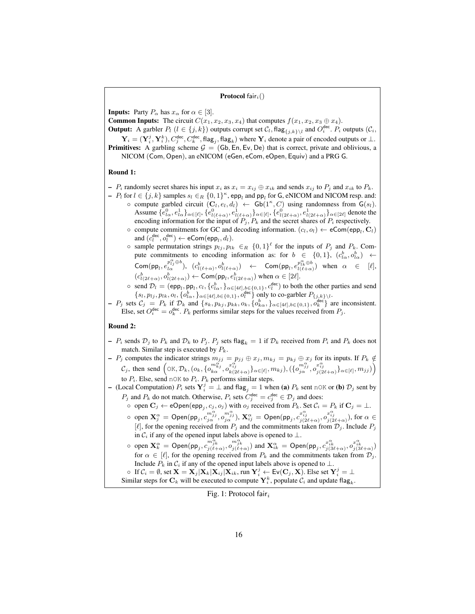#### **Protocol** fair $_i()$

<span id="page-15-0"></span>**Inputs:** Party  $P_{\alpha}$  has  $x_{\alpha}$  for  $\alpha \in [3]$ .

**Common Inputs:** The circuit  $C(x_1, x_2, x_3, x_4)$  that computes  $f(x_1, x_2, x_3 \oplus x_4)$ .

**Output:** A garbler  $P_l$   $(l \in \{j, k\})$  outputs corrupt set  $C_l$ , flag $\{j, k\}\$ l and  $O_i^{\text{dec}}$ .  $P_i$  outputs  $(C_i,$  $\mathbf{Y}_i=(\mathbf{Y}^j_i,\mathbf{Y}^k_i),C^{\text{dec}}_j,C^{\text{dec}}_k,\text{\sf flag}_j,\text{\sf flag}_k)$  where  $\mathbf{Y}_i$  denote a pair of encoded outputs or  $\bot$ . **Primitives:** A garbling scheme  $G = (Gb, En, Ev, De)$  that is correct, private and oblivious, a NICOM (Com, Open), an eNICOM (eGen, eCom, eOpen, Equiv) and a PRG G.

#### Round 1:

–  $P_i$  randomly secret shares his input  $x_i$  as  $x_i = x_{ij} \oplus x_{ik}$  and sends  $x_{ij}$  to  $P_j$  and  $x_{ik}$  to  $P_k$ .

- $-P_l$  for  $l \in \{j, k\}$  samples  $s_l \in_R \{0, 1\}^{\kappa}$ , epp<sub>l</sub> and pp<sub>l</sub> for G, eNICOM and NICOM resp. and: o compute garbled circuit  $(C_l, e_l, d_l) \leftarrow$  Gb $(1^{\kappa}, C)$  using randomness from G $(s_l)$ . Assume  $\{e_{l\alpha}^0, e_{l\alpha}^1\}_{\alpha \in [\ell]}, \{e_{l(\ell+\alpha)}^0, e_{l(\ell+\alpha)}^1\}_{\alpha \in [\ell]}, \{e_{l(2\ell+\alpha)}^0, e_{l(2\ell+\alpha)}^1\}_{\alpha \in [2\ell]}$  denote the encoding information for the input of  $P_j$ ,  $P_k$  and the secret shares of  $P_i$  respectively.
	- $\circ$  compute commitments for GC and decoding information.  $(c_l, o_l) \leftarrow \mathsf{eCom}(\mathsf{epp}_l, \mathbf{C}_l)$ and  $(c_l^{\text{dec}}, o_l^{\text{dec}}) \leftarrow \text{eCom}(\text{epp}_l, d_l)$ .
	- sample permutation strings  $p_{lj}, p_{lk} \in_R \{0,1\}^{\ell}$  for the inputs of  $P_j$  and  $P_k$ . Compute commitments to encoding information as: for  $b \in \{0,1\}$ ,  $(c_{l\alpha}^b, o_{l\alpha}^b) \leftarrow$  $\textsf{Com}(\textsf{pp}_l, e_{l\alpha}^{p_{lj}^{\alpha} \oplus b}), \ \ (c_{l(\ell+\alpha)}^b, o_{l(\ell+\alpha)}^b) \quad \leftarrow \quad \textsf{Com}(\textsf{pp}_l, e_{l(\ell+\alpha)}^{p_{lk}^{\alpha} \oplus b}) \ \ \ \textsf{when} \ \ \alpha \ \ \in \ \ [\ell],$  $(c_{l(2\ell+\alpha)}^b, o_{l(2\ell+\alpha)}^b) \leftarrow \textsf{Com}(\textsf{pp}_l, e_{l(2\ell+\alpha)}^b)$  when  $\alpha \in [2\ell].$
	- $\circ$  send  $\mathcal{D}_l = (\text{epp}_l, \text{pp}_l, c_l, \{c_{l\alpha}^b, \}_{\alpha \in [4\ell], b \in \{0,1\}}, c_l^{\text{dec}})$  to both the other parties and send  $\{s_l, p_{lj}, p_{lk}, o_l, \{o_{l\alpha}^b, \}_{\alpha \in [4\ell], b \in \{0,1\}}, o_l^{\text{dec}}\}$  only to co-garbler  $P_{\{j,k\}\setminus l}$ .

 $-P_j$  sets  $C_j = P_k$  if  $\mathcal{D}_k$  and  $\{s_k, p_{kj}, p_{kk}, o_k, \{o_{k\alpha}^b\}$ ,  $\{a_{\epsilon}[4\ell], b_{\epsilon}[0,1\}, o_{k\alpha}^{\text{dec}}\}$  are inconsistent. Else, set  $O_i^{\text{dec}} = o_k^{\text{dec}}$ .  $P_k$  performs similar steps for the values received from  $P_j$ .

#### Round 2:

- $P_i$  sends  $\mathcal{D}_j$  to  $P_k$  and  $\mathcal{D}_k$  to  $P_j$ .  $P_j$  sets flag<sub>k</sub> = 1 if  $\mathcal{D}_k$  received from  $P_i$  and  $P_k$  does not match. Similar step is executed by  $P_k$ .
- $P_j$  computes the indicator strings  $m_{jj} = p_{jj} \oplus x_j, m_{kj} = p_{kj} \oplus x_j$  for its inputs. If  $P_k \notin$  $\mathcal{C}_j$ , then send  $\left( \mathcal{O}\mathbb{K}, \mathcal{D}_k, (o_k, \{o_{k\alpha}^{m_{kj}^{(\alpha)}}, o_{k(2\ell+\alpha)}^{x_i^{\alpha'}}, \}_{\alpha\in[\ell]}, m_{kj}), (\{o_{j\alpha}^{m_{jj}^{\alpha}}}, o_{j(2\ell+\alpha)}^{x_i^{\alpha}}\}_{\alpha\in[\ell]}, m_{jj}) \right)$ to  $P_i$ . Else, send nOK to  $P_i$ .  $P_k$  performs similar steps.

– (Local Computation)  $P_i$  sets  $\mathbf{Y}_i^j = \bot$  and flag<sub>j</sub> = 1 when (a)  $P_k$  sent nOK or (b)  $\mathcal{D}_j$  sent by  $P_j$  and  $P_k$  do not match. Otherwise,  $P_i$  sets  $C_j^{\text{dec}} = c_j^{\text{dec}} \in \mathcal{D}_j$  and does:

- $\circ$  open  $\mathbf{C}_j \leftarrow \mathsf{eOpen}(\mathsf{epp}_j, c_j, o_j)$  with  $o_j$  received from  $P_k$ . Set  $C_i = P_k$  if  $\mathbf{C}_j = \perp$ .
	- $\alpha$  open  $\mathbf{X}_{j}^{\alpha} = \mathsf{Open}(\mathsf{pp}_j, c_{j\alpha}^{m_{jj}^{\alpha}} , o_{j\alpha}^{m_{jj}^{\alpha}}), \mathbf{X}_{ij}^{\alpha} = \mathsf{Open}(\mathsf{pp}_j, c_{j(2\ell+\alpha)}^{x_{ij}^{\alpha}} , o_{j(2\ell+\alpha)}^{x_{ij}^{\alpha}}), \text{ for } \alpha \in \mathbb{C}$  $[\ell]$ , for the opening received from  $P_j$  and the commitments taken from  $\mathcal{D}_j$ . Include  $P_j$ in  $C_i$  if any of the opened input labels above is opened to  $\bot$ .
	- o open  $\mathbf{X}_k^{\alpha} = \text{Open}(pp_j, c_{j(\ell+\alpha)}^{\hat{m}_{jk}^{\alpha}}, o_{j(\ell+\alpha)}^{\hat{m}_{jk}})$  and  $\mathbf{X}_{ik}^{\alpha} = \text{Open}(pp_j, c_{j(3\ell+\alpha)}^{\hat{m}_{ik}^{\alpha}}, o_{j(3\ell+\alpha)}^{\hat{m}_{ik}})$ for  $\alpha \in [\ell]$ , for the opening received from  $P_k$  and the commitments taken from  $\mathcal{D}_j$ . Include  $P_k$  in  $\mathcal{C}_i$  if any of the opened input labels above is opened to  $\perp$ .  $\circ$  If  $C_i = \emptyset$ , set  $\mathbf{X} = \mathbf{X}_j |\mathbf{X}_k| \mathbf{X}_{ij} |\mathbf{X}_{ik}$ , run  $\mathbf{Y}_i^j \leftarrow \textsf{Ev}(\mathbf{C}_j, \mathbf{X})$ . Else set  $\mathbf{Y}_i^j = \bot$

Similar steps for  $\mathbf{C}_k$  will be executed to compute  $\mathbf{Y}_i^k$ , populate  $\mathcal{C}_i$  and update flag<sub>k</sub>.

#### Fig. 1: Protocol fair $_i$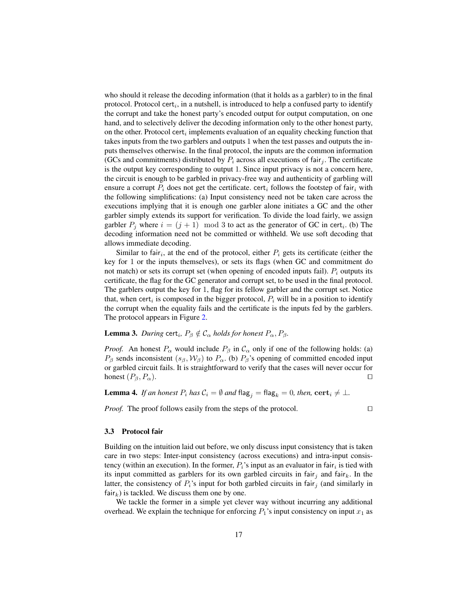who should it release the decoding information (that it holds as a garbler) to in the final protocol. Protocol cert $_i$ , in a nutshell, is introduced to help a confused party to identify the corrupt and take the honest party's encoded output for output computation, on one hand, and to selectively deliver the decoding information only to the other honest party, on the other. Protocol cert<sub>i</sub> implements evaluation of an equality checking function that takes inputs from the two garblers and outputs 1 when the test passes and outputs the inputs themselves otherwise. In the final protocol, the inputs are the common information (GCs and commitments) distributed by  $P_i$  across all executions of fair, The certificate is the output key corresponding to output 1. Since input privacy is not a concern here, the circuit is enough to be garbled in privacy-free way and authenticity of garbling will ensure a corrupt  $P_i$  does not get the certificate. cert<sub>i</sub> follows the footstep of fair<sub>i</sub> with the following simplifications: (a) Input consistency need not be taken care across the executions implying that it is enough one garbler alone initiates a GC and the other garbler simply extends its support for verification. To divide the load fairly, we assign garbler  $P_j$  where  $i = (j + 1) \mod 3$  to act as the generator of GC in cert<sub>i</sub>. (b) The decoding information need not be committed or withheld. We use soft decoding that allows immediate decoding.

Similar to fair<sub>i</sub>, at the end of the protocol, either  $P_i$  gets its certificate (either the key for 1 or the inputs themselves), or sets its flags (when GC and commitment do not match) or sets its corrupt set (when opening of encoded inputs fail).  $P_i$  outputs its certificate, the flag for the GC generator and corrupt set, to be used in the final protocol. The garblers output the key for 1, flag for its fellow garbler and the corrupt set. Notice that, when cert<sub>i</sub> is composed in the bigger protocol,  $P_i$  will be in a position to identify the corrupt when the equality fails and the certificate is the inputs fed by the garblers. The protocol appears in Figure [2.](#page-17-0)

<span id="page-16-1"></span>**Lemma 3.** *During* cert<sub>i</sub>,  $P_\beta \notin C_\alpha$  *holds for honest*  $P_\alpha, P_\beta$ .

*Proof.* An honest  $P_{\alpha}$  would include  $P_{\beta}$  in  $\mathcal{C}_{\alpha}$  only if one of the following holds: (a)  $P_\beta$  sends inconsistent  $(s_\beta, \mathcal{W}_\beta)$  to  $P_\alpha$ . (b)  $P_\beta$ 's opening of committed encoded input or garbled circuit fails. It is straightforward to verify that the cases will never occur for honest  $(P_\beta, P_\alpha)$ .

**Lemma 4.** *If an honest*  $P_i$  *has*  $C_i = \emptyset$  *and*  $\text{flag}_i = \text{flag}_k = 0$ *, then,*  $\text{cert}_i \neq \bot$ *.* 

*Proof.* The proof follows easily from the steps of the protocol.  $\Box$ 

#### <span id="page-16-0"></span>3.3 Protocol fair

Building on the intuition laid out before, we only discuss input consistency that is taken care in two steps: Inter-input consistency (across executions) and intra-input consistency (within an execution). In the former,  $P_i$ 's input as an evaluator in fair<sub>i</sub> is tied with its input committed as garblers for its own garbled circuits in fair, and fair,. In the latter, the consistency of  $P_i$ 's input for both garbled circuits in fair<sub>i</sub> (and similarly in  $fair_k$ ) is tackled. We discuss them one by one.

We tackle the former in a simple yet clever way without incurring any additional overhead. We explain the technique for enforcing  $P_1$ 's input consistency on input  $x_1$  as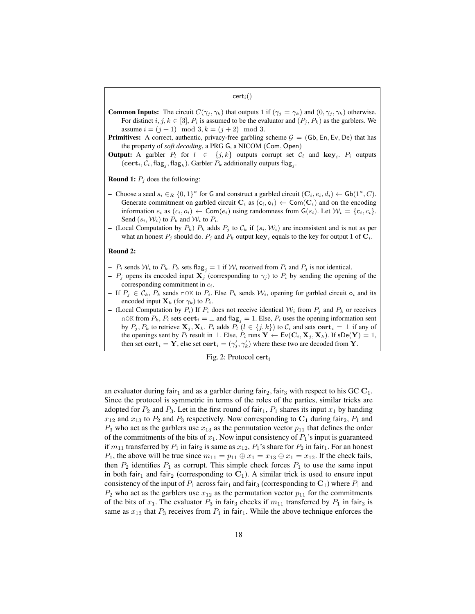#### $cert_i()$

<span id="page-17-0"></span>**Common Inputs:** The circuit  $C(\gamma_j, \gamma_k)$  that outputs 1 if  $(\gamma_j = \gamma_k)$  and  $(0, \gamma_j, \gamma_k)$  otherwise. For distinct i, j,  $k \in [3], P_i$  is assumed to be the evaluator and  $(P_i, P_k)$  as the garblers. We assume  $i = (j + 1) \mod 3, k = (j + 2) \mod 3.$ 

**Primitives:** A correct, authentic, privacy-free garbling scheme  $G = (Gb, En, Ev, De)$  that has the property of *soft decoding*, a PRG G, a NICOM (Com, Open)

**Output:** A garbler  $P_l$  for  $l \in \{j, k\}$  outputs corrupt set  $C_l$  and  $\text{key}_i$ .  $P_i$  outputs  $(\textbf{cert}_i, \mathcal{C}_i, \textsf{flag}_j, \textsf{flag}_k)$ . Garbler  $P_k$  additionally outputs flag<sub>j</sub>.

**Round 1:**  $P_i$  does the following:

- Choose a seed  $s_i \in_R \{0,1\}^\kappa$  for G and construct a garbled circuit  $(C_i, e_i, d_i) \leftarrow$  Gb $(1^\kappa, C)$ . Generate commitment on garbled circuit  $C_i$  as  $(c_i, o_i) \leftarrow Com(C_i)$  and on the encoding information  $e_i$  as  $(c_i, o_i) \leftarrow \textsf{Com}(e_i)$  using randomness from  $\textsf{G}(s_i)$ . Let  $\mathcal{W}_i = \{c_i, c_i\}$ . Send  $(s_i, W_i)$  to  $P_k$  and  $W_i$  to  $P_i$ .
- (Local Computation by  $P_k$ )  $P_k$  adds  $P_i$  to  $\mathcal{C}_k$  if  $(s_i, \mathcal{W}_i)$  are inconsistent and is not as per what an honest  $P_j$  should do.  $P_j$  and  $P_k$  output  $\text{key}_i$  equals to the key for output 1 of  $\mathbf{C}_i$ .

#### Round 2:

- $P_i$  sends  $W_i$  to  $P_k$ .  $P_k$  sets flag<sub>j</sub> = 1 if  $W_i$  received from  $P_i$  and  $P_j$  is not identical.
- $P_j$  opens its encoded input  $\mathbf{X}_j$  (corresponding to  $\gamma_j$ ) to  $P_i$  by sending the opening of the corresponding commitment in  $c_i$ .
- If  $P_j \in \mathcal{C}_k$ ,  $P_k$  sends nOK to  $P_i$ . Else  $P_k$  sends  $\mathcal{W}_i$ , opening for garbled circuit  $o_i$  and its encoded input  $\mathbf{X}_k$  (for  $\gamma_k$ ) to  $P_i$ .
- (Local Computation by  $P_i$ ) If  $P_i$  does not receive identical  $W_i$  from  $P_j$  and  $P_k$  or receives nOK from  $P_k$ ,  $P_i$  sets cert $i = \perp$  and flag<sub>i</sub> = 1. Else,  $P_i$  uses the opening information sent by  $P_i, P_k$  to retrieve  $\mathbf{X}_i, \mathbf{X}_k, P_i$  adds  $P_l$   $(l \in \{j, k\})$  to  $C_i$  and sets cert $i = \perp$  if any of the openings sent by  $P_l$  result in  $\bot$ . Else,  $P_i$  runs  $\mathbf{Y} \leftarrow \mathsf{Ev}(\mathbf{C}_i, \mathbf{X}_j, \mathbf{X}_k)$ . If  $\mathsf{sDe}(\mathbf{Y}) = 1$ , then set  $\textbf{cert}_i = \textbf{Y}$ , else set  $\textbf{cert}_i = (\gamma'_j, \gamma'_k)$  where these two are decoded from  $\textbf{Y}$ .



an evaluator during fair<sub>1</sub> and as a garbler during fair<sub>2</sub>, fair<sub>3</sub> with respect to his GC  $\mathbf{C}_1$ . Since the protocol is symmetric in terms of the roles of the parties, similar tricks are adopted for  $P_2$  and  $P_3$ . Let in the first round of fair<sub>1</sub>,  $P_1$  shares its input  $x_1$  by handing  $x_{12}$  and  $x_{13}$  to  $P_2$  and  $P_3$  respectively. Now corresponding to  $C_1$  during fair<sub>2</sub>,  $P_1$  and  $P_3$  who act as the garblers use  $x_{13}$  as the permutation vector  $p_{11}$  that defines the order of the commitments of the bits of  $x_1$ . Now input consistency of  $P_1$ 's input is guaranteed if  $m_{11}$  transferred by  $P_1$  in fair<sub>2</sub> is same as  $x_{12}$ ,  $P_1$ 's share for  $P_2$  in fair<sub>1</sub>. For an honest P<sub>1</sub>, the above will be true since  $m_{11} = p_{11} \oplus x_1 = x_{13} \oplus x_1 = x_{12}$ . If the check fails, then  $P_2$  identifies  $P_1$  as corrupt. This simple check forces  $P_1$  to use the same input in both fair<sub>1</sub> and fair<sub>2</sub> (corresponding to  $C_1$ ). A similar trick is used to ensure input consistency of the input of  $P_1$  across fair<sub>1</sub> and fair<sub>3</sub> (corresponding to  $C_1$ ) where  $P_1$  and  $P_2$  who act as the garblers use  $x_{12}$  as the permutation vector  $p_{11}$  for the commitments of the bits of  $x_1$ . The evaluator  $P_3$  in fair<sub>3</sub> checks if  $m_{11}$  transferred by  $P_1$  in fair<sub>3</sub> is same as  $x_{13}$  that  $P_3$  receives from  $P_1$  in fair<sub>1</sub>. While the above technique enforces the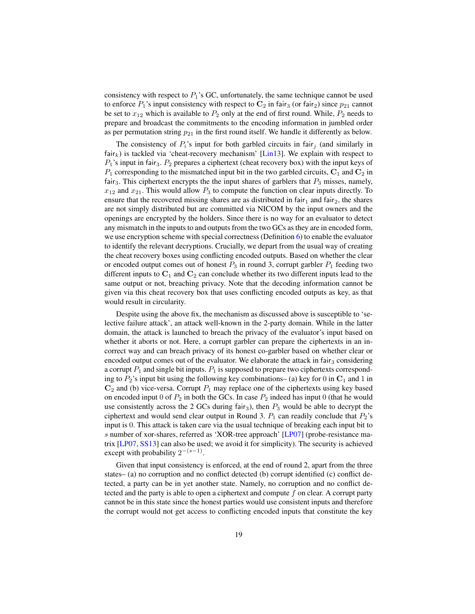consistency with respect to  $P_1$ 's GC, unfortunately, the same technique cannot be used to enforce  $P_1$ 's input consistency with respect to  $\mathbb{C}_2$  in fair<sub>3</sub> (or fair<sub>2</sub>) since  $p_{21}$  cannot be set to  $x_{12}$  which is available to  $P_2$  only at the end of first round. While,  $P_2$  needs to prepare and broadcast the commitments to the encoding information in jumbled order as per permutation string  $p_{21}$  in the first round itself. We handle it differently as below.

The consistency of  $P_i$ 's input for both garbled circuits in fair<sub>j</sub> (and similarly in  $fair_k$ ) is tackled via 'cheat-recovery mechanism' [\[Lin13\]](#page-45-1). We explain with respect to  $P_1$ 's input in fair<sub>3</sub>.  $P_2$  prepares a ciphertext (cheat recovery box) with the input keys of  $P_1$  corresponding to the mismatched input bit in the two garbled circuits,  $C_1$  and  $C_2$  in fair<sub>3</sub>. This ciphertext encrypts the the input shares of garblers that  $P_3$  misses, namely,  $x_{12}$  and  $x_{21}$ . This would allow  $P_3$  to compute the function on clear inputs directly. To ensure that the recovered missing shares are as distributed in fair<sub>1</sub> and fair<sub>2</sub>, the shares are not simply distributed but are committed via NICOM by the input owners and the openings are encrypted by the holders. Since there is no way for an evaluator to detect any mismatch in the inputs to and outputs from the two GCs as they are in encoded form, we use encryption scheme with special correctness (Definition [6\)](#page-49-2) to enable the evaluator to identify the relevant decryptions. Crucially, we depart from the usual way of creating the cheat recovery boxes using conflicting encoded outputs. Based on whether the clear or encoded output comes out of honest  $P_3$  in round 3, corrupt garbler  $P_1$  feeding two different inputs to  $C_1$  and  $C_2$  can conclude whether its two different inputs lead to the same output or not, breaching privacy. Note that the decoding information cannot be given via this cheat recovery box that uses conflicting encoded outputs as key, as that would result in circularity.

Despite using the above fix, the mechanism as discussed above is susceptible to 'selective failure attack', an attack well-known in the 2-party domain. While in the latter domain, the attack is launched to breach the privacy of the evaluator's input based on whether it aborts or not. Here, a corrupt garbler can prepare the ciphertexts in an incorrect way and can breach privacy of its honest co-garbler based on whether clear or encoded output comes out of the evaluator. We elaborate the attack in  $fair<sub>3</sub>$  considering a corrupt  $P_1$  and single bit inputs.  $P_1$  is supposed to prepare two ciphertexts corresponding to  $P_2$ 's input bit using the following key combinations– (a) key for 0 in  $C_1$  and 1 in  $C_2$  and (b) vice-versa. Corrupt  $P_1$  may replace one of the ciphertexts using key based on encoded input 0 of  $P_2$  in both the GCs. In case  $P_2$  indeed has input 0 (that he would use consistently across the 2 GCs during fair<sub>3</sub>), then  $P_3$  would be able to decrypt the ciphertext and would send clear output in Round 3.  $P_1$  can readily conclude that  $P_2$ 's input is 0. This attack is taken care via the usual technique of breaking each input bit to s number of xor-shares, referred as 'XOR-tree approach' [\[LP07\]](#page-45-16) (probe-resistance matrix [\[LP07,](#page-45-16) [SS13\]](#page-46-2) can also be used; we avoid it for simplicity). The security is achieved except with probability  $2^{-(s-1)}$ .

Given that input consistency is enforced, at the end of round 2, apart from the three states– (a) no corruption and no conflict detected (b) corrupt identified (c) conflict detected, a party can be in yet another state. Namely, no corruption and no conflict detected and the party is able to open a ciphertext and compute f on clear. A corrupt party cannot be in this state since the honest parties would use consistent inputs and therefore the corrupt would not get access to conflicting encoded inputs that constitute the key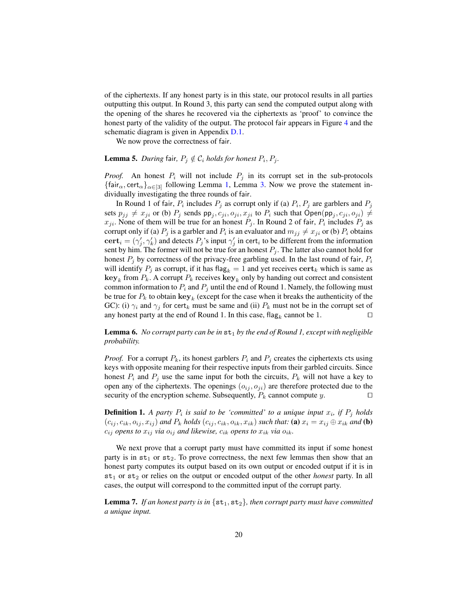of the ciphertexts. If any honest party is in this state, our protocol results in all parties outputting this output. In Round 3, this party can send the computed output along with the opening of the shares he recovered via the ciphertexts as 'proof' to convince the honest party of the validity of the output. The protocol fair appears in Figure [4](#page-21-0) and the schematic diagram is given in Appendix [D.1.](#page-52-1)

We now prove the correctness of fair.

## <span id="page-19-2"></span>**Lemma 5.** During fair,  $P_j \notin C_i$  holds for honest  $P_i, P_j$ .

*Proof.* An honest  $P_i$  will not include  $P_j$  in its corrupt set in the sub-protocols  ${\{\text{fair}_{\alpha}, \text{cert}_{\alpha}\}}_{\alpha \in [3]}$  following Lemma [1,](#page-14-1) Lemma [3.](#page-16-1) Now we prove the statement individually investigating the three rounds of fair.

In Round 1 of fair,  $P_i$  includes  $P_j$  as corrupt only if (a)  $P_i, P_j$  are garblers and  $P_j$ sets  $p_{jj} \neq x_{ji}$  or (b)  $P_j$  sends  $pp_j, c_{ji}, o_{ji}, x_{ji}$  to  $P_i$  such that  $Open(pp_j, c_{ji}, o_{ji}) \neq 0$  $x_{ji}$ . None of them will be true for an honest  $P_j$ . In Round 2 of fair,  $P_i$  includes  $P_j$  as corrupt only if (a)  $P_j$  is a garbler and  $P_i$  is an evaluator and  $m_{jj} \neq x_{ji}$  or (b)  $P_i$  obtains cert<sub>i</sub> =  $(\gamma'_j, \gamma'_k)$  and detects  $P_j$ 's input  $\gamma'_j$  in cert<sub>i</sub> to be different from the information sent by him. The former will not be true for an honest  $P_j$ . The latter also cannot hold for honest  $P_i$  by correctness of the privacy-free garbling used. In the last round of fair,  $P_i$ will identify  $P_i$  as corrupt, if it has flag<sub>k</sub> = 1 and yet receives  $\text{cert}_k$  which is same as  $\text{key}_k$  from  $P_k$ . A corrupt  $P_k$  receives  $\text{key}_k$  only by handing out correct and consistent common information to  $P_i$  and  $P_j$  until the end of Round 1. Namely, the following must be true for  $P_k$  to obtain  $\mathbf{key}_k$  (except for the case when it breaks the authenticity of the GC): (i)  $\gamma_i$  and  $\gamma_j$  for cert<sub>k</sub> must be same and (ii)  $P_k$  must not be in the corrupt set of any honest party at the end of Round 1. In this case, flag<sub>k</sub> cannot be 1.

## <span id="page-19-1"></span>**Lemma 6.** *No corrupt party can be in*  $st_1$  *by the end of Round 1, except with negligible probability.*

*Proof.* For a corrupt  $P_k$ , its honest garblers  $P_i$  and  $P_j$  creates the ciphertexts cts using keys with opposite meaning for their respective inputs from their garbled circuits. Since honest  $P_i$  and  $P_j$  use the same input for both the circuits,  $P_k$  will not have a key to open any of the ciphertexts. The openings  $(o_{ij}, o_{ji})$  are therefore protected due to the security of the encryption scheme. Subsequently,  $P_k$  cannot compute y.

<span id="page-19-3"></span>**Definition 1.** A party  $P_i$  is said to be 'committed' to a unique input  $x_i$ , if  $P_j$  holds  $(c_{ij}, c_{ik}, o_{ij}, x_{ij})$  *and*  $P_k$  *holds*  $(c_{ij}, c_{ik}, o_{ik}, x_{ik})$  *such that:* (a)  $x_i = x_{ij} \oplus x_{ik}$  *and* (b)  $c_{ij}$  *opens to*  $x_{ij}$  *via*  $o_{ij}$  *and likewise,*  $c_{ik}$  *opens to*  $x_{ik}$  *via*  $o_{ik}$ *.* 

We next prove that a corrupt party must have committed its input if some honest party is in  $st_1$  or  $st_2$ . To prove correctness, the next few lemmas then show that an honest party computes its output based on its own output or encoded output if it is in  $st_1$  or  $st_2$  or relies on the output or encoded output of the other *honest* party. In all cases, the output will correspond to the committed input of the corrupt party.

<span id="page-19-0"></span>**Lemma 7.** *If an honest party is in*  $\{st_1, st_2\}$ *, then corrupt party must have committed a unique input.*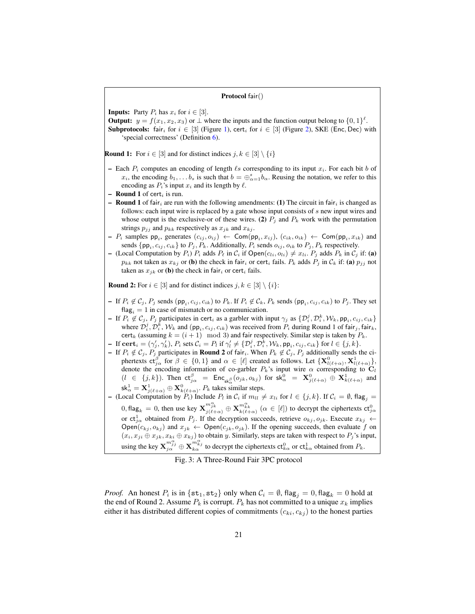#### Protocol fair()

**Inputs:** Party  $P_i$  has  $x_i$  for  $i \in [3]$ .

**Output:**  $y = f(x_1, x_2, x_3)$  or  $\perp$  where the inputs and the function output belong to  $\{0, 1\}^{\ell}$ . **Subprotocols:** fair<sub>i</sub> for  $i \in [3]$  (Figure [1\)](#page-15-0), cert<sub>i</sub> for  $i \in [3]$  (Figure [2\)](#page-17-0), SKE (Enc, Dec) with 'special correctness' (Definition [6\)](#page-49-2).

**Round 1:** For  $i \in [3]$  and for distinct indices  $j, k \in [3] \setminus \{i\}$ 

- Each  $P_i$  computes an encoding of length  $\ell$ s corresponding to its input  $x_i$ . For each bit b of  $x_i$ , the encoding  $b_1, \ldots b_s$  is such that  $b = \bigoplus_{\alpha=1}^s b_\alpha$ . Reusing the notation, we refer to this encoding as  $P_i$ 's input  $x_i$  and its length by  $\ell$ .
- **Round 1** of cert<sub>i</sub> is run.
- **Round 1** of fair<sub>i</sub> are run with the following amendments: (1) The circuit in fair<sub>i</sub> is changed as follows: each input wire is replaced by a gate whose input consists of  $s$  new input wires and whose output is the exclusive-or of these wires. (2)  $P_j$  and  $P_k$  work with the permutation strings  $p_{ij}$  and  $p_{kk}$  respectively as  $x_{jk}$  and  $x_{kj}$ .
- $-P_i$  samples  $pp_i$ , generates  $(c_{ij}, o_{ij}) \leftarrow \textsf{Com}(pp_i, x_{ij}), (c_{ik}, o_{ik}) \leftarrow \textsf{Com}(pp_i, x_{ik})$  and sends  $\{pp_i, c_{ij}, c_{ik}\}$  to  $P_j, P_k$ . Additionally,  $P_i$  sends  $o_{ij}, o_{ik}$  to  $P_j, P_k$  respectively.
- (Local Computation by  $P_i$ )  $P_i$  adds  $P_\ell$  in  $C_i$  if  $Open(c_{li}, o_{li}) \neq x_{li}$ .  $P_j$  adds  $P_k$  in  $C_j$  if: (a)  $p_{kk}$  not taken as  $x_{kj}$  or (b) the check in fair<sub>i</sub> or cert<sub>i</sub> fails.  $P_k$  adds  $P_j$  in  $C_k$  if: (a)  $p_{jj}$  not taken as  $x_{jk}$  or (b) the check in fair<sub>i</sub> or cert<sub>i</sub> fails.

**Round 2:** For  $i \in [3]$  and for distinct indices  $j, k \in [3] \setminus \{i\}$ :

- $-$  If  $P_i \notin C_j$ ,  $P_j$  sends (pp<sub>i</sub>,  $c_{ij}$ ,  $c_{ik}$ ) to  $P_k$ . If  $P_i \notin C_k$ ,  $P_k$  sends (pp<sub>i</sub>,  $c_{ij}$ ,  $c_{ik}$ ) to  $P_j$ . They set  $\text{flag}_i = 1$  in case of mismatch or no communication.
- If  $P_i \notin C_j$ ,  $P_j$  participates in cert<sub>i</sub> as a garbler with input  $\gamma_j$  as  $\{D_i^j, D_i^k, \mathcal{W}_k, \mathsf{pp}_i, c_{ij}, c_{ik}\}$ where  $\mathcal{D}_i^j$ ,  $\mathcal{D}_i^k$ ,  $\mathcal{W}_k$  and (pp<sub>i</sub>,  $c_{ij}$ ,  $c_{ik}$ ) was received from  $P_i$  during Round 1 of fair<sub>j</sub>, fair<sub>k</sub>, cert<sub>k</sub> (assuming  $k = (i + 1) \mod 3$ ) and fair respectively. Similar step is taken by  $P_k$ .
- $\mathsf{I} = \text{If } \text{cert}_i = (\gamma'_j, \gamma'_k), P_i \text{ sets } C_i = P_l \text{ if } \gamma'_l \neq \{ \mathcal{D}_i^j, \mathcal{D}_i^k, \mathcal{W}_k, \mathsf{pp}_i, c_{ij}, c_{ik} \} \text{ for } l \in \{j, k\}.$
- If  $P_i \notin C_j$ ,  $P_j$  participates in **Round 2** of fair<sub>i</sub>. When  $P_k \notin C_j$ ,  $P_j$  additionally sends the ciphertexts  $ct_{j\alpha}^{\beta}$  for  $\beta \in \{0,1\}$  and  $\alpha \in [\ell]$  created as follows. Let  $\{X_{l(\ell+\alpha)}^0, X_{l(\ell+\alpha)}^1\}$ , denote the encoding information of co-garbler  $P_k$ 's input wire  $\alpha$  corresponding to  $C_l$  $(l \in \{j,k\})$ . Then  $\mathsf{ct}_{j\alpha}^{\beta}$  =  $\mathsf{Enc}_{\mathsf{sk}_{\alpha}^{\beta}}(o_{jk}, o_{kj})$  for  $\mathsf{sk}_{\alpha}^{\overline{0}}$  =  $\mathbf{X}_{j(\ell+\alpha)}^{0} \oplus \mathbf{X}_{k(\ell+\alpha)}^{1}$  and  $sk_{\alpha}^1 = \mathbf{X}_{j(\ell+\alpha)}^1 \oplus \mathbf{X}_{k(\ell+\alpha)}^0$ .  $P_k$  takes similar steps.
- (Local Computation by  $P_i$ ) Include  $P_l$  in  $C_i$  if  $m_{ll} \neq x_{li}$  for  $l \in \{j, k\}$ . If  $C_i = \emptyset$ , flag<sub>j</sub> = 0, flag<sub>k</sub> = 0, then use key  $\mathbf{X}_{j(\ell+\alpha)}^{m_{jk}^{\alpha}} \oplus \mathbf{X}_{k(\ell+\alpha)}^{m_{kk}^{\alpha}}$  ( $\alpha \in [\ell]$ ) to decrypt the ciphertexts  $\mathsf{ct}_{j\alpha}^{0}$ or  $ct_{j\alpha}^1$  obtained from  $P_j$ . If the decryption succeeds, retrieve  $o_{kj}, o_{jk}$ . Execute  $x_{kj} \leftarrow$ Open $(c_{kj}, o_{kj})$  and  $x_{jk} \leftarrow$  Open $(c_{jk}, o_{jk})$ . If the opening succeeds, then evaluate f on  $(x_i, x_{ji} \oplus x_{jk}, x_{ki} \oplus x_{kj})$  to obtain y. Similarly, steps are taken with respect to  $P_j$ 's input, using the key  $\mathbf{X}_{j\alpha}^{m_{jj}^{\alpha}} \oplus \mathbf{X}_{k\alpha}^{m_{kj}^{\alpha}}$  to decrypt the ciphertexts  $\mathsf{ct}_{k\alpha}^{0}$  or  $\mathsf{ct}_{k\alpha}^{1}$  obtained from  $P_k$ .

Fig. 3: A Three-Round Fair 3PC protocol

*Proof.* An honest  $P_i$  is in  $\{\texttt{st}_1, \texttt{st}_2\}$  only when  $C_i = \emptyset$ , fla $\mathsf{g}_j = 0$ , fla $\mathsf{g}_k = 0$  hold at the end of Round 2. Assume  $P_k$  is corrupt.  $P_k$  has not committed to a unique  $x_k$  implies either it has distributed different copies of commitments  $(c_{ki}, c_{kj})$  to the honest parties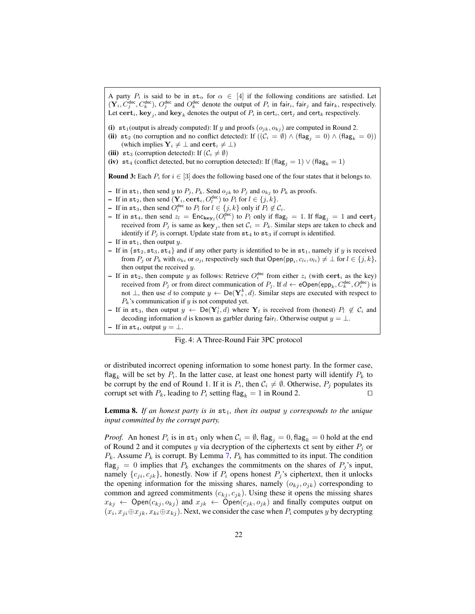<span id="page-21-0"></span>A party  $P_i$  is said to be in  $\text{st}_\alpha$  for  $\alpha \in [4]$  if the following conditions are satisfied. Let  $(\mathbf{Y}_i, C^{\text{dec}}_j, C^{\text{dec}}_k)$ ,  $O^{\text{dec}}_j$  and  $O^{\text{dec}}_k$  denote the output of  $P_i$  in fair<sub>i</sub>, fair<sub>j</sub> and fair<sub>k</sub>, respectively. Let  $\text{cert}_i, \text{key}_j$ , and  $\text{key}_k$  denotes the output of  $P_i$  in  $\text{cert}_i$ ,  $\text{cert}_j$  and  $\text{cert}_k$  respectively. (i)  $st_1$ (output is already computed): If y and proofs  $(o_{jk}, o_{kj})$  are computed in Round 2. (ii) st<sub>2</sub> (no corruption and no conflict detected): If  $((C_i = \emptyset) \wedge (\text{flag}_i = 0) \wedge (\text{flag}_k = 0))$ (which implies  $Y_i \neq \bot$  and cert $i \neq \bot$ ) (iii) st<sub>3</sub> (corruption detected): If  $(C_i \neq \emptyset)$ (iv) st<sub>4</sub> (conflict detected, but no corruption detected): If (flag<sub>i</sub> = 1)  $\vee$  (flag<sub>k</sub> = 1) **Round 3:** Each  $P_i$  for  $i \in [3]$  does the following based one of the four states that it belongs to. – If in st<sub>1</sub>, then send y to  $P_j$ ,  $P_k$ . Send  $o_{jk}$  to  $P_j$  and  $o_{kj}$  to  $P_k$  as proofs. - If in st<sub>2</sub>, then send  $(\mathbf{Y}_i, \text{cert}_i, O_l^{\text{dec}})$  to  $P_l$  for  $l \in \{j, k\}$ . - If in st<sub>3</sub>, then send  $O_l^{\text{dec}}$  to  $P_l$  for  $l \in \{j, k\}$  only if  $P_l \notin C_i$ . - If in st<sub>4</sub>, then send  $z_l$  = Enc<sub>key<sub>l</sub></sub> ( $O_l^{\text{dec}}$ ) to  $P_l$  only if flag<sub>l</sub> = 1. If flag<sub>j</sub> = 1 and cert<sub>j</sub> received from  $P_j$  is same as  $\text{key}_j$ , then set  $C_i = P_k$ . Similar steps are taken to check and identify if  $P_j$  is corrupt. Update state from  $st_4$  to  $st_3$  if corrupt is identified. - If in  $st_1$ , then output y. – If in  $\{st_2, st_3, st_4\}$  and if any other party is identified to be in  $st_1$ , namely if y is received from  $P_j$  or  $P_k$  with  $o_{ki}$  or  $o_{ji}$  respectively such that  $Open(pp_i, c_{li}, o_{li}) \neq \bot$  for  $l \in \{j, k\},$ then output the received  $y$ . - If in st<sub>2</sub>, then compute y as follows: Retrieve  $O_i^{\text{dec}}$  from either  $z_i$  (with cert<sub>i</sub> as the key) received from  $P_j$  or from direct communication of  $P_j$ . If  $d \leftarrow \text{eOpen}(\text{epp}_k, C_k^{\text{dec}}, O_i^{\text{dec}})$  is not  $\perp$ , then use d to compute  $y \leftarrow De(Y_i^k, d)$ . Similar steps are executed with respect to  $P_k$ 's communication if y is not computed yet. - If in st<sub>3</sub>, then output  $y \leftarrow De(Y_i^i, d)$  where  $Y_i$  is received from (honest)  $P_i \notin C_i$  and decoding information d is known as garbler during fair<sub>l</sub>. Otherwise output  $y = \perp$ . – If in  $st_4$ , output  $y = \bot$ .

Fig. 4: A Three-Round Fair 3PC protocol

or distributed incorrect opening information to some honest party. In the former case, flag<sub>k</sub> will be set by  $P_i$ . In the latter case, at least one honest party will identify  $P_k$  to be corrupt by the end of Round 1. If it is  $P_i$ , then  $C_i \neq \emptyset$ . Otherwise,  $P_j$  populates its corrupt set with  $P_k$ , leading to  $P_i$  setting flag<sub>k</sub> = 1 in Round 2.

<span id="page-21-1"></span>**Lemma 8.** If an honest party is in  $st_1$ , then its output y corresponds to the unique *input committed by the corrupt party.*

*Proof.* An honest  $P_i$  is in  $st_1$  only when  $C_i = \emptyset$ , flag<sub>j</sub> = 0, flag<sub>k</sub> = 0 hold at the end of Round 2 and it computes y via decryption of the ciphertexts ct sent by either  $P_i$  or  $P_k$ . Assume  $P_k$  is corrupt. By Lemma [7,](#page-19-0)  $P_k$  has committed to its input. The condition flag<sub>i</sub> = 0 implies that  $P_k$  exchanges the commitments on the shares of  $P_j$ 's input, namely  $\{c_{ji}, c_{jk}\}$ , honestly. Now if  $P_i$  opens honest  $P_j$ 's ciphertext, then it unlocks the opening information for the missing shares, namely  $(o_{kj}, o_{jk})$  corresponding to common and agreed commitments  $(c_{kj}, c_{jk})$ . Using these it opens the missing shares  $x_{kj} \leftarrow$  Open $(c_{kj}, o_{kj})$  and  $x_{jk} \leftarrow$  Open $(c_{jk}, o_{jk})$  and finally computes output on  $(x_i, x_{ji} \oplus x_{jk}, x_{ki} \oplus x_{kj})$ . Next, we consider the case when  $P_i$  computes y by decrypting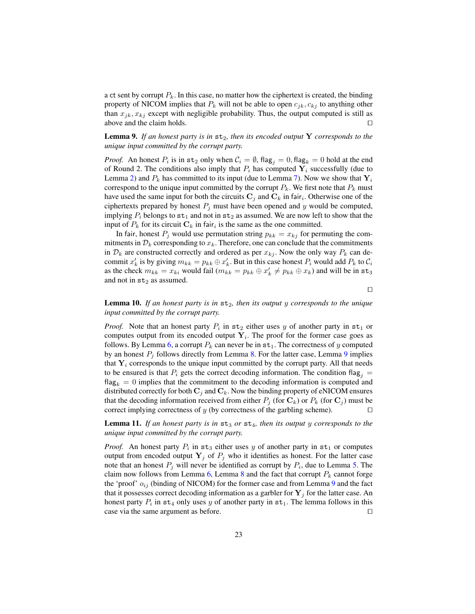a ct sent by corrupt  $P_k$ . In this case, no matter how the ciphertext is created, the binding property of NICOM implies that  $P_k$  will not be able to open  $c_{jk}, c_{kj}$  to anything other than  $x_{jk}$ ,  $x_{kj}$  except with negligible probability. Thus, the output computed is still as above and the claim holds.  $\Box$ 

<span id="page-22-0"></span>**Lemma 9.** If an honest party is in  $st_2$ , then its encoded output Y corresponds to the *unique input committed by the corrupt party.*

*Proof.* An honest  $P_i$  is in  $st_2$  only when  $C_i = \emptyset$ , flag<sub>j</sub> = 0, flag<sub>k</sub> = 0 hold at the end of Round 2. The conditions also imply that  $P_i$  has computed  $Y_i$  successfully (due to Lemma [2\)](#page-14-2) and  $P_k$  has committed to its input (due to Lemma [7\)](#page-19-0). Now we show that  $Y_i$ correspond to the unique input committed by the corrupt  $P_k$ . We first note that  $P_k$  must have used the same input for both the circuits  $\mathbf{C}_j$  and  $\mathbf{C}_k$  in fair<sub>i</sub>. Otherwise one of the ciphertexts prepared by honest  $P_i$  must have been opened and y would be computed, implying  $P_i$  belongs to  $st_1$  and not in  $st_2$  as assumed. We are now left to show that the input of  $P_k$  for its circuit  $\mathbf{C}_k$  in fair<sub>i</sub> is the same as the one committed.

In fair, honest  $P_j$  would use permutation string  $p_{kk} = x_{kj}$  for permuting the commitments in  $\mathcal{D}_k$  corresponding to  $x_k$ . Therefore, one can conclude that the commitments in  $\mathcal{D}_k$  are constructed correctly and ordered as per  $x_{ki}$ . Now the only way  $P_k$  can decommit  $x'_k$  is by giving  $m_{kk} = p_{kk} \oplus x'_k$ . But in this case honest  $P_i$  would add  $P_k$  to  $C_i$ as the check  $m_{kk} = x_{ki}$  would fail  $(m_{kk} = p_{kk} \oplus x'_k \neq p_{kk} \oplus x_k)$  and will be in st<sub>3</sub> and not in  $st_2$  as assumed.

 $\Box$ 

<span id="page-22-1"></span>**Lemma 10.** If an honest party is in  $st_2$ , then its output y corresponds to the unique *input committed by the corrupt party.*

*Proof.* Note that an honest party  $P_i$  in  $st_2$  either uses y of another party in  $st_1$  or computes output from its encoded output  $Y_i$ . The proof for the former case goes as follows. By Lemma [6,](#page-19-1) a corrupt  $P_k$  can never be in  $st_1$ . The correctness of y computed by an honest  $P_i$  follows directly from Lemma [8.](#page-21-1) For the latter case, Lemma [9](#page-22-0) implies that  $Y_i$  corresponds to the unique input committed by the corrupt party. All that needs to be ensured is that  $P_i$  gets the correct decoding information. The condition flag<sub>i</sub> =  $\text{flag}_k = 0$  implies that the commitment to the decoding information is computed and distributed correctly for both  $C_j$  and  $C_k$ . Now the binding property of eNICOM ensures that the decoding information received from either  $P_i$  (for  $\mathbf{C}_k$ ) or  $P_k$  (for  $\mathbf{C}_i$ ) must be correct implying correctness of y (by correctness of the garbling scheme).  $\Box$ 

<span id="page-22-2"></span>**Lemma 11.** If an honest party is in  $st_3$  or  $st_4$ , then its output y corresponds to the *unique input committed by the corrupt party.*

*Proof.* An honest party  $P_i$  in  $st_3$  either uses y of another party in  $st_1$  or computes output from encoded output  $Y_j$  of  $P_j$  who it identifies as honest. For the latter case note that an honest  $P_j$  will never be identified as corrupt by  $P_i$ , due to Lemma [5.](#page-19-2) The claim now follows from Lemma [6,](#page-19-1) Lemma [8](#page-21-1) and the fact that corrupt  $P_k$  cannot forge the 'proof'  $o_{ij}$  (binding of NICOM) for the former case and from Lemma [9](#page-22-0) and the fact that it possesses correct decoding information as a garbler for  $Y_i$  for the latter case. An honest party  $P_i$  in  $st_4$  only uses y of another party in  $st_1$ . The lemma follows in this case via the same argument as before.  $\Box$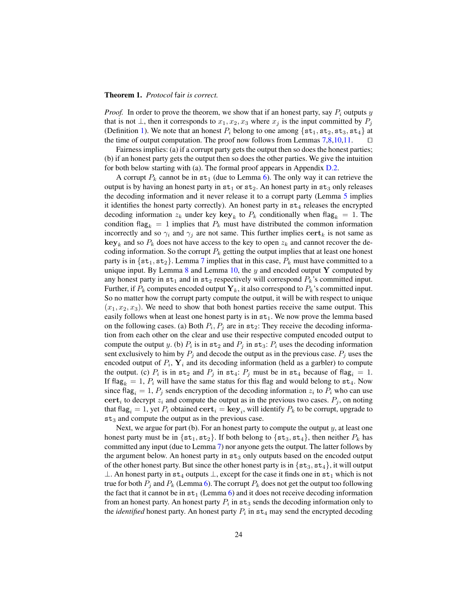#### Theorem 1. *Protocol* fair *is correct.*

*Proof.* In order to prove the theorem, we show that if an honest party, say  $P_i$  outputs y that is not  $\perp$ , then it corresponds to  $x_1, x_2, x_3$  where  $x_j$  is the input committed by  $P_j$ (Definition [1\)](#page-19-3). We note that an honest  $P_i$  belong to one among  $\{st_1, st_2, st_3, st_4\}$  at the time of output computation. The proof now follows from Lemmas  $7,8,10,11$  $7,8,10,11$  $7,8,10,11$  $7,8,10,11$ .  $\Box$ 

Fairness implies: (a) if a corrupt party gets the output then so does the honest parties; (b) if an honest party gets the output then so does the other parties. We give the intuition for both below starting with (a). The formal proof appears in Appendix [D.2.](#page-52-2)

A corrupt  $P_k$  cannot be in  $st_1$  (due to Lemma [6\)](#page-19-1). The only way it can retrieve the output is by having an honest party in  $st_1$  or  $st_2$ . An honest party in  $st_3$  only releases the decoding information and it never release it to a corrupt party (Lemma [5](#page-19-2) implies it identifies the honest party correctly). An honest party in  $st_4$  releases the encrypted decoding information  $z_k$  under key  $key_k$  to  $P_k$  conditionally when flag $_k = 1$ . The condition flag<sub>k</sub> = 1 implies that  $P_k$  must have distributed the common information incorrectly and so  $\gamma_i$  and  $\gamma_j$  are not same. This further implies  $\text{cert}_k$  is not same as  $\mathbf{key}_k$  and so  $P_k$  does not have access to the key to open  $z_k$  and cannot recover the decoding information. So the corrupt  $P_k$  getting the output implies that at least one honest party is in  $\{st_1, st_2\}$ . Lemma [7](#page-19-0) implies that in this case,  $P_k$  must have committed to a unique input. By Lemma [8](#page-21-1) and Lemma [10,](#page-22-1) the  $y$  and encoded output Y computed by any honest party in  $st_1$  and in  $st_2$  respectively will correspond  $P_k$ 's committed input. Further, if  $P_k$  computes encoded output  $Y_k$ , it also correspond to  $P_k$ 's committed input. So no matter how the corrupt party compute the output, it will be with respect to unique  $(x_1, x_2, x_3)$ . We need to show that both honest parties receive the same output. This easily follows when at least one honest party is in  $st_1$ . We now prove the lemma based on the following cases. (a) Both  $P_i$ ,  $P_j$  are in  $st_2$ : They receive the decoding information from each other on the clear and use their respective computed encoded output to compute the output y. (b)  $P_i$  is in  $st_2$  and  $P_j$  in  $st_3$ :  $P_i$  uses the decoding information sent exclusively to him by  $P_i$  and decode the output as in the previous case.  $P_i$  uses the encoded output of  $P_i$ ,  $\mathbf{Y}_i$  and its decoding information (held as a garbler) to compute the output. (c)  $P_i$  is in  $st_2$  and  $P_j$  in  $st_4$ :  $P_j$  must be in  $st_4$  because of flag<sub>i</sub> = 1. If flag<sub>k</sub> = 1,  $P_i$  will have the same status for this flag and would belong to  $st_4$ . Now since flag<sub>i</sub> = 1,  $P_j$  sends encryption of the decoding information  $z_i$  to  $P_i$  who can use cert<sub>i</sub> to decrypt  $z_i$  and compute the output as in the previous two cases.  $P_j$ , on noting that flag<sub>i</sub> = 1, yet  $P_i$  obtained  $\text{cert}_i = \text{key}_i$ , will identify  $P_k$  to be corrupt, upgrade to  $st<sub>3</sub>$  and compute the output as in the previous case.

Next, we argue for part (b). For an honest party to compute the output  $y$ , at least one honest party must be in  $\{st_1, st_2\}$ . If both belong to  $\{st_3, st_4\}$ , then neither  $P_k$  has committed any input (due to Lemma [7\)](#page-19-0) nor anyone gets the output. The latter follows by the argument below. An honest party in  $st_3$  only outputs based on the encoded output of the other honest party. But since the other honest party is in  $\{st_3, st_4\}$ , it will output ⊥. An honest party in  $st_4$  outputs ⊥, except for the case it finds one in  $st_1$  which is not true for both  $P_i$  and  $P_k$  (Lemma [6\)](#page-19-1). The corrupt  $P_k$  does not get the output too following the fact that it cannot be in  $st_1$  (Lemma [6\)](#page-19-1) and it does not receive decoding information from an honest party. An honest party  $P_i$  in  $st_3$  sends the decoding information only to the *identified* honest party. An honest party  $P_i$  in  $st_4$  may send the encrypted decoding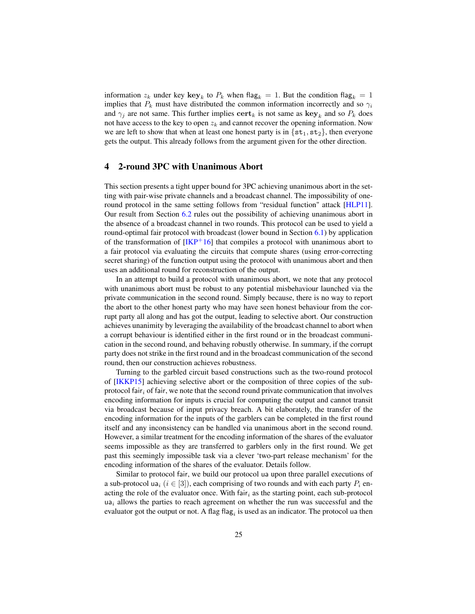information  $z_k$  under key  $\text{key}_k$  to  $P_k$  when flag $_k = 1$ . But the condition flag $_k = 1$ implies that  $P_k$  must have distributed the common information incorrectly and so  $\gamma_i$ and  $\gamma_j$  are not same. This further implies  $\text{cert}_k$  is not same as  $\text{key}_k$  and so  $P_k$  does not have access to the key to open  $z_k$  and cannot recover the opening information. Now we are left to show that when at least one honest party is in  $\{st_1, st_2\}$ , then everyone gets the output. This already follows from the argument given for the other direction.

## <span id="page-24-0"></span>4 2-round 3PC with Unanimous Abort

This section presents a tight upper bound for 3PC achieving unanimous abort in the setting with pair-wise private channels and a broadcast channel. The impossibility of oneround protocol in the same setting follows from "residual function" attack [\[HLP11\]](#page-45-8). Our result from Section [6.2](#page-39-0) rules out the possibility of achieving unanimous abort in the absence of a broadcast channel in two rounds. This protocol can be used to yield a round-optimal fair protocol with broadcast (lower bound in Section  $6.1$ ) by application of the transformation of  $[IKP+16]$  $[IKP+16]$  that compiles a protocol with unanimous abort to a fair protocol via evaluating the circuits that compute shares (using error-correcting secret sharing) of the function output using the protocol with unanimous abort and then uses an additional round for reconstruction of the output.

In an attempt to build a protocol with unanimous abort, we note that any protocol with unanimous abort must be robust to any potential misbehaviour launched via the private communication in the second round. Simply because, there is no way to report the abort to the other honest party who may have seen honest behaviour from the corrupt party all along and has got the output, leading to selective abort. Our construction achieves unanimity by leveraging the availability of the broadcast channel to abort when a corrupt behaviour is identified either in the first round or in the broadcast communication in the second round, and behaving robustly otherwise. In summary, if the corrupt party does not strike in the first round and in the broadcast communication of the second round, then our construction achieves robustness.

Turning to the garbled circuit based constructions such as the two-round protocol of [\[IKKP15\]](#page-45-6) achieving selective abort or the composition of three copies of the subprotocol fair, of fair, we note that the second round private communication that involves encoding information for inputs is crucial for computing the output and cannot transit via broadcast because of input privacy breach. A bit elaborately, the transfer of the encoding information for the inputs of the garblers can be completed in the first round itself and any inconsistency can be handled via unanimous abort in the second round. However, a similar treatment for the encoding information of the shares of the evaluator seems impossible as they are transferred to garblers only in the first round. We get past this seemingly impossible task via a clever 'two-part release mechanism' for the encoding information of the shares of the evaluator. Details follow.

Similar to protocol fair, we build our protocol ua upon three parallel executions of a sub-protocol ua<sub>i</sub> (i ∈ [3]), each comprising of two rounds and with each party  $P_i$  enacting the role of the evaluator once. With fair as the starting point, each sub-protocol  $ua<sub>i</sub>$  allows the parties to reach agreement on whether the run was successful and the evaluator got the output or not. A flag flag<sub>i</sub> is used as an indicator. The protocol ua then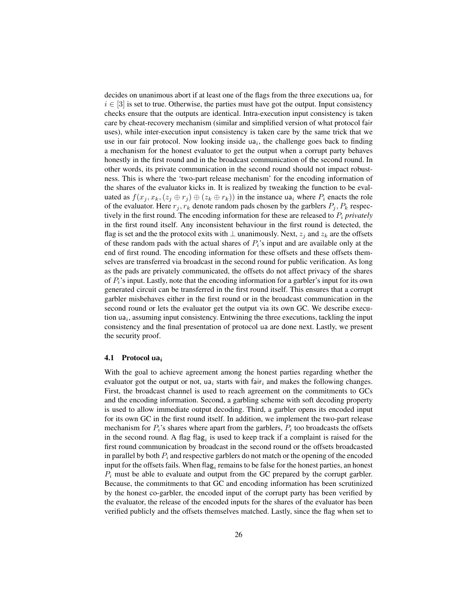decides on unanimous abort if at least one of the flags from the three executions ua<sub>i</sub> for  $i \in [3]$  is set to true. Otherwise, the parties must have got the output. Input consistency checks ensure that the outputs are identical. Intra-execution input consistency is taken care by cheat-recovery mechanism (similar and simplified version of what protocol fair uses), while inter-execution input consistency is taken care by the same trick that we use in our fair protocol. Now looking inside  $ua_i$ , the challenge goes back to finding a mechanism for the honest evaluator to get the output when a corrupt party behaves honestly in the first round and in the broadcast communication of the second round. In other words, its private communication in the second round should not impact robustness. This is where the 'two-part release mechanism' for the encoding information of the shares of the evaluator kicks in. It is realized by tweaking the function to be evaluated as  $f(x_j, x_k, (z_j \oplus r_j) \oplus (z_k \oplus r_k))$  in the instance ua<sub>i</sub> where  $P_i$  enacts the role of the evaluator. Here  $r_j, r_k$  denote random pads chosen by the garblers  $P_j, P_k$  respectively in the first round. The encoding information for these are released to  $P_i$  *privately* in the first round itself. Any inconsistent behaviour in the first round is detected, the flag is set and the the protocol exits with  $\perp$  unanimously. Next,  $z_i$  and  $z_k$  are the offsets of these random pads with the actual shares of  $P_i$ 's input and are available only at the end of first round. The encoding information for these offsets and these offsets themselves are transferred via broadcast in the second round for public verification. As long as the pads are privately communicated, the offsets do not affect privacy of the shares of  $P_i$ 's input. Lastly, note that the encoding information for a garbler's input for its own generated circuit can be transferred in the first round itself. This ensures that a corrupt garbler misbehaves either in the first round or in the broadcast communication in the second round or lets the evaluator get the output via its own GC. We describe execution  $ua<sub>i</sub>$ , assuming input consistency. Entwining the three executions, tackling the input consistency and the final presentation of protocol ua are done next. Lastly, we present the security proof.

#### <span id="page-25-0"></span>4.1 Protocol ua<sub>i</sub>

With the goal to achieve agreement among the honest parties regarding whether the evaluator got the output or not,  $ua_i$  starts with fair, and makes the following changes. First, the broadcast channel is used to reach agreement on the commitments to GCs and the encoding information. Second, a garbling scheme with soft decoding property is used to allow immediate output decoding. Third, a garbler opens its encoded input for its own GC in the first round itself. In addition, we implement the two-part release mechanism for  $P_i$ 's shares where apart from the garblers,  $P_i$  too broadcasts the offsets in the second round. A flag flag<sub>i</sub> is used to keep track if a complaint is raised for the first round communication by broadcast in the second round or the offsets broadcasted in parallel by both  $P_i$  and respective garblers do not match or the opening of the encoded input for the offsets fails. When  $\mathsf{flag}_i$  remains to be false for the honest parties, an honest  $P_i$  must be able to evaluate and output from the GC prepared by the corrupt garbler. Because, the commitments to that GC and encoding information has been scrutinized by the honest co-garbler, the encoded input of the corrupt party has been verified by the evaluator, the release of the encoded inputs for the shares of the evaluator has been verified publicly and the offsets themselves matched. Lastly, since the flag when set to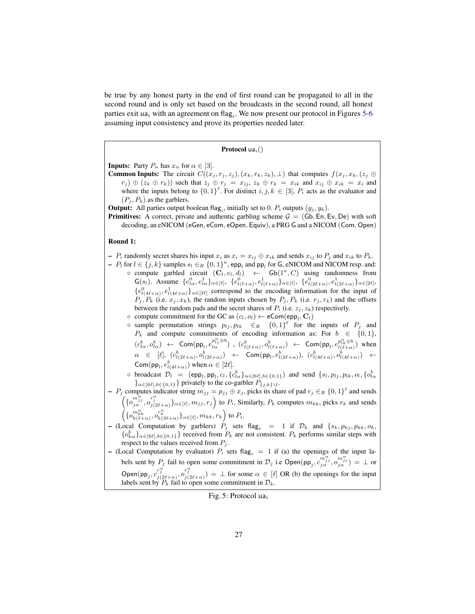be true by any honest party in the end of first round can be propagated to all in the second round and is only set based on the broadcasts in the second round, all honest parties exit ua<sub>i</sub> with an agreement on flag<sub>i</sub>. We now present our protocol in Figures [5-](#page-26-0)[6](#page-27-0) assuming input consistency and prove its properties needed later.

#### **Protocol** ua<sub>i</sub>()

<span id="page-26-0"></span>**Inputs:** Party  $P_{\alpha}$  has  $x_{\alpha}$  for  $\alpha \in [3]$ .

**Common Inputs:** The circuit  $C((x_j, r_j, z_j), (x_k, r_k, z_k), \perp)$  that computes  $f(x_j, x_k, (z_j \oplus$  $r_j) \oplus (z_k \oplus r_k)$  such that  $z_j \oplus r_j = x_{ij}$ ,  $z_k \oplus r_k = x_{ik}$  and  $x_{ij} \oplus x_{ik} = x_i$  and where the inputs belong to  $\{0,1\}^{\ell}$ . For distinct  $i, j, k \in [3]$ ,  $P_i$  acts as the evaluator and  $(P_i, P_k)$  as the garblers.

**Output:** All parties output boolean flag<sub>i</sub>, initially set to 0.  $P_i$  outputs  $(y_j, y_k)$ .

**Primitives:** A correct, private and authentic garbling scheme  $G = (Gb, En, Ev, De)$  with soft decoding, an eNICOM (eGen, eCom, eOpen, Equiv), a PRG G and a NICOM (Com, Open)

#### Round 1:

- $P_i$  randomly secret shares his input  $x_i$  as  $x_i = x_{ij} \oplus x_{ik}$  and sends  $x_{ij}$  to  $P_j$  and  $x_{ik}$  to  $P_k$ .
- $-P_l$  for  $l \in \{j, k\}$  samples  $s_l \in_R \{0, 1\}^{\kappa}$ , epp<sub>l</sub> and pp<sub>l</sub> for G, eNICOM and NICOM resp. and: o compute garbled circuit  $(C_l, e_l, d_l) \leftarrow$  Gb $(1^{\kappa}, C)$  using randomness from  $\mathsf{G}(s_l)$ . Assume  $\{e_{l\alpha}^0, e_{l\alpha}^1\}_{\alpha \in [\ell]}, \{e_{l(\ell+\alpha)}^0, e_{l(\ell+\alpha)}^1\}_{\alpha \in [\ell]}, \{e_{l(2\ell+\alpha)}^0, e_{l(2\ell+\alpha)}^1\}_{\alpha \in [2\ell]},$  $\{e_{l(4\ell+\alpha)}^0, e_{l(4\ell+\alpha)}^1\}_{\alpha\in[2\ell]}$  correspond to the encoding information for the input of  $P_i, P_k$  (i.e.  $x_i, x_k$ ), the random inputs chosen by  $P_i, P_k$  (i.e.  $r_i, r_k$ ) and the offsets between the random pads and the secret shares of  $P_i$  (i.e.  $z_j, z_k$ ) respectively. ○ compute commitment for the GC as  $(c_l, o_l) \leftarrow \text{eCom}(\text{epp}_l, C_l)$ 
	- sample permutation strings  $p_{lj}, p_{lk}$  ∈R  $\{0, 1\}^{\ell}$  for the inputs of  $P_j$  and  $P_k$  and compute commitments of encoding information as: For  $b \in \{0, 1\}$ ,  $(c_{l\alpha}^b, o_{l\alpha}^b) \leftarrow \textsf{Com}(\textsf{pp}_l, e_{l\alpha}^{p_{lj}^{\alpha} \oplus b})$ ,  $(c_{l(\ell+\alpha)}^b, o_{l(\ell+\alpha)}^b)$   $\leftarrow \textsf{Com}(\textsf{pp}_l, e_{l(\ell+\alpha)}^{p_{lk}^{\alpha} \oplus b})$  when  $\alpha \in [\ell], \; (c^b_{l(2\ell+\alpha)}, o^b_{l(2\ell+\alpha)}) \;\; \leftarrow \;\; \mathsf{Com}(\mathsf{pp}_l, e^b_{l(2\ell+\alpha)}), \; (c^b_{l(4\ell+\alpha)}, o^b_{l(4\ell+\alpha)}) \;\; \leftarrow$ Com(pp<sub>l</sub>,  $e_{l(4\ell+\alpha)}^b$ ) when  $\alpha \in [2\ell]$ .
	- $\circ$  broadcast  $\mathcal{D}_l = (\text{epp}_l, \text{pp}_l, c_l, \{c^b_{l\alpha}\}_\alpha \in [\text{6} \ell], b \in \{0,1\})$  and send  $\{s_l, p_{lj}, p_{lk}, o_l, \{o^b_{l\alpha}\}_l$  $\}_{\alpha \in [6\ell], b \in \{0,1\}}$  privately to the co-garbler  $P_{\{j,k\}\setminus l}$ .
- $-P_j$  computes indicator string  $m_{jj} = p_{jj} \oplus x_j$ , picks its share of pad  $r_j \in_R \{0,1\}^{\ell}$  and sends  $\left(\left\{o_{j\alpha}^{m_{j\gamma}^{\alpha}}\right.\right\}_{\alpha\in[\ell],m_{jj},r_{j}}\right)$  to  $P_i$ . Similarly,  $P_k$  computes  $m_{kk}$ , picks  $r_k$  and sends  $\left(\{o_{k(\ell+\alpha)}^{m_{kk}^{\alpha}},o_{k(3\ell+\alpha)}^{r_{k}^{\alpha}}\}_{\alpha\in[\ell]},m_{kk},r_{k}\right)$  to  $P_{i}$ .
- (Local Computation by garblers)  $P_j$  sets flag<sub>i</sub> = 1 if  $\mathcal{D}_k$  and  $\{s_k, p_{kj}, p_{kk}, o_k,$  ${o_{k\alpha}^b}_{\alpha\in\{6\ell\},b\in\{0,1\}}$  received from  $P_k$  are not consistent.  $P_k$  performs similar steps with respect to the values received from  $P_i$ .

<span id="page-26-1"></span>– (Local Computation by evaluator)  $P_i$  sets flag<sub>i</sub> = 1 if (a) the openings of the input labels sent by  $P_j$  fail to open some commitment in  $\mathcal{D}_j$  i.e Open(pp<sub>j</sub>,  $c_{j\alpha}^{\overline{m}_{j\beta}^{\alpha}}$ ,  $o_{j\alpha}^{\overline{m}_{j\beta}^{\alpha}}$ ) =  $\perp$  or  $\text{Open}(pp_j, c_{j(2\ell+\alpha)}^{r_j^{\alpha}}, o_{j(2\ell+\alpha)}^{r_j^{\alpha}}) = \bot$  for some  $\alpha \in [\ell]$  OR (b) the openings for the input labels sent by  $P_k$  fail to open some commitment in  $\mathcal{D}_k$ .

#### Fig. 5: Protocol ua<sub>i</sub>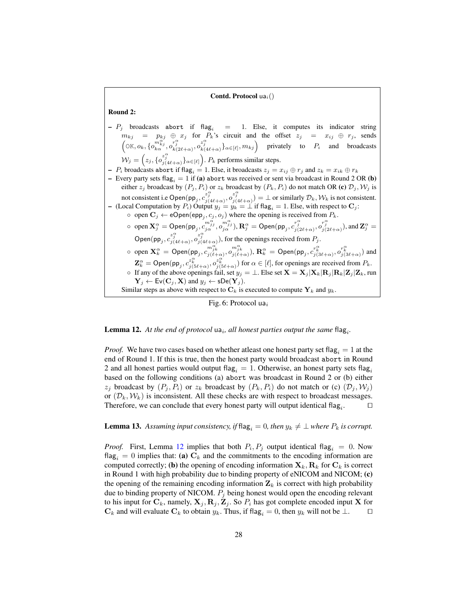<span id="page-27-0"></span>

| <b>Contd. Protocol</b> ua <sub>i</sub> ()                                                                                                                                                                                                                                                                                                                                                                                                                                               |  |  |  |  |
|-----------------------------------------------------------------------------------------------------------------------------------------------------------------------------------------------------------------------------------------------------------------------------------------------------------------------------------------------------------------------------------------------------------------------------------------------------------------------------------------|--|--|--|--|
| Round 2:                                                                                                                                                                                                                                                                                                                                                                                                                                                                                |  |  |  |  |
| - $P_j$ broadcasts abort if flag, = 1. Else, it computes its indicator string<br>$m_{kj} = p_{kj} \oplus x_j$ for $P_k$ 's circuit and the offset $z_j = x_{ij} \oplus r_j$ , sends $\left(\bigcirc K, o_k, \{o_{k\alpha}^{m_{kj}^{\alpha}}, o_{k(2\ell+\alpha)}^{r_j^{\alpha}}, o_{k(4\ell+\alpha)}^{2\alpha}\} \right)$ privately to $P_i$ and broadcasts<br>$\mathcal{W}_j=\left(z_j,\{o_{j(4\ell+\alpha)}^{z_j^{\alpha}}\}_{\alpha\in[\ell]}\right).$ $P_k$ performs similar steps. |  |  |  |  |
| $-P_i$ broadcasts abort if flag <sub>i</sub> = 1. Else, it broadcasts $z_j = x_{ij} \oplus r_j$ and $z_k = x_{ik} \oplus r_k$                                                                                                                                                                                                                                                                                                                                                           |  |  |  |  |
| - Every party sets flag <sub>i</sub> = 1 if (a) abort was received or sent via broadcast in Round 2 OR (b)<br>either $z_j$ broadcast by $(P_j, P_i)$ or $z_k$ broadcast by $(P_k, P_i)$ do not match OR (c) $\mathcal{D}_j$ , $\mathcal{W}_j$ is<br>not consistent i.e Open $(pp_j, c_{i(4\ell+\alpha)}^{z_j^{\alpha}}, o_{i(4\ell+\alpha)}^{z_j^{\alpha}}) = \bot$ or similarly $\mathcal{D}_k, \mathcal{W}_k$ is not consistent.                                                      |  |  |  |  |
| - (Local Computation by $P_i$ ) Output $y_j = y_k = \perp$ if flag <sub>i</sub> = 1. Else, with respect to $\mathbf{C}_j$ :                                                                                                                                                                                                                                                                                                                                                             |  |  |  |  |
| $\circ$ open $\mathbf{C}_j \leftarrow \mathsf{eOpen}(\mathsf{epp}_j, c_j, o_j)$ where the opening is received from $P_k$ .<br>$\circ$ open $\mathbf{X}_{j}^{\alpha} = \mathsf{Open}(\mathsf{pp}_{j}, c_{j\alpha}^{m_{j\beta}^{\alpha}} , o_{j\alpha}^{m_{j\beta}^{\alpha}}), \mathbf{R}_{j}^{\alpha} = \mathsf{Open}(\mathsf{pp}_{j}, c_{i(2\ell+\alpha)}^{r_{j}^{\alpha}}, o_{i(2\ell+\alpha)}^{r_{j}^{\alpha}}), \text{and } \mathbf{Z}_{j}^{\alpha} =$                               |  |  |  |  |
| Open(pp <sub>j</sub> , $c_{i(4\ell+\alpha)}^{z_j^{\alpha}}, c_{j(4\ell+\alpha)}^{z_j^{\alpha}}$ ), for the openings received from $P_j$ .                                                                                                                                                                                                                                                                                                                                               |  |  |  |  |
| $\circ \text{ open } \mathbf{X}_k^{\alpha} = \mathsf{Open}(\mathsf{pp}_j, c_{j(\ell+\alpha)}^{m_{jk}^{\alpha}}, o_{j(\ell+\alpha)}^{m_{jk}^{\alpha}}), \mathbf{R}_k^{\alpha} = \mathsf{Open}(\mathsf{pp}_j, c_{j(3\ell+\alpha)}^{r_k^{\alpha}}, o_{j(3\ell+\alpha)}^{r_k^{\alpha}}) \text{ and }$                                                                                                                                                                                       |  |  |  |  |
| $\mathbf{Z}_k^{\alpha} = \text{Open}(\text{pp}_j, c_{j(\delta \ell + \alpha)}^{z_k^{\alpha}}, o_{j(\delta \ell + \alpha)}^{z_k^{\alpha}})$ for $\alpha \in [\ell]$ , for openings are received from $P_k$ .                                                                                                                                                                                                                                                                             |  |  |  |  |
| If any of the above openings fail, set $y_j = \perp$ . Else set $\mathbf{X} = \mathbf{X}_j  \mathbf{X}_k  \mathbf{R}_j  \mathbf{R}_k  \mathbf{Z}_j  \mathbf{Z}_k $ , run<br>$\circ$<br>$\mathbf{Y}_i \leftarrow \mathsf{Ev}(\mathbf{C}_i, \mathbf{X})$ and $y_i \leftarrow \mathsf{sDe}(\mathbf{Y}_i)$ .                                                                                                                                                                                |  |  |  |  |
| Similar steps as above with respect to $\mathbf{C}_k$ is executed to compute $\mathbf{Y}_k$ and $y_k$ .                                                                                                                                                                                                                                                                                                                                                                                 |  |  |  |  |
| Fig. 6: Protocol ua <sub>i</sub>                                                                                                                                                                                                                                                                                                                                                                                                                                                        |  |  |  |  |

**Lemma 12.** At the end of protocol  $ua_i$ , all honest parties output the same flag<sub>i</sub>.

*Proof.* We have two cases based on whether at least one honest party set flag<sub>i</sub> = 1 at the end of Round 1. If this is true, then the honest party would broadcast abort in Round 2 and all honest parties would output flag<sub>i</sub> = 1. Otherwise, an honest party sets flag<sub>i</sub> based on the following conditions (a) abort was broadcast in Round 2 or (b) either  $z_j$  broadcast by  $(P_j, P_i)$  or  $z_k$  broadcast by  $(P_k, P_i)$  do not match or (c)  $(\mathcal{D}_j, \mathcal{W}_j)$ or  $(\mathcal{D}_k, \mathcal{W}_k)$  is inconsistent. All these checks are with respect to broadcast messages. Therefore, we can conclude that every honest party will output identical flag<sub>i</sub>.  $\Box$ 

## <span id="page-27-1"></span>**Lemma 13.** Assuming input consistency, if flag<sub>i</sub> = 0, then  $y_k \neq \perp$  where  $P_k$  is corrupt.

*Proof.* First, Lemma [12](#page-26-1) implies that both  $P_i$ ,  $P_j$  output identical flag<sub>i</sub> = 0. Now flag<sub>i</sub> = 0 implies that: (a)  $\mathbf{C}_k$  and the commitments to the encoding information are computed correctly; (b) the opening of encoding information  $X_k$ ,  $R_k$  for  $C_k$  is correct in Round 1 with high probability due to binding property of eNICOM and NICOM; (c) the opening of the remaining encoding information  $\mathbf{Z}_k$  is correct with high probability due to binding property of NICOM.  $P_j$  being honest would open the encoding relevant to his input for  $C_k$ , namely,  $X_j$ ,  $R_j$ ,  $Z_j$ . So  $P_i$  has got complete encoded input X for  $\mathbf{C}_k$  and will evaluate  $\mathbf{C}_k$  to obtain  $y_k$ . Thus, if flag<sub>i</sub> = 0, then  $y_k$  will not be ⊥.  $\Box$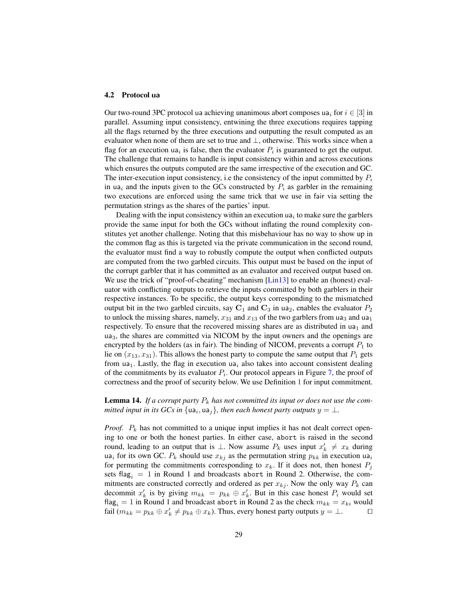#### <span id="page-28-0"></span>4.2 Protocol ua

Our two-round 3PC protocol ua achieving unanimous abort composes ua<sub>i</sub> for  $i \in [3]$  in parallel. Assuming input consistency, entwining the three executions requires tapping all the flags returned by the three executions and outputting the result computed as an evaluator when none of them are set to true and ⊥, otherwise. This works since when a flag for an execution ua<sub>i</sub> is false, then the evaluator  $P_i$  is guaranteed to get the output. The challenge that remains to handle is input consistency within and across executions which ensures the outputs computed are the same irrespective of the execution and GC. The inter-execution input consistency, i.e the consistency of the input committed by  $P_i$ in ua<sub>i</sub> and the inputs given to the GCs constructed by  $P_i$  as garbler in the remaining two executions are enforced using the same trick that we use in fair via setting the permutation strings as the shares of the parties' input.

Dealing with the input consistency within an execution  $a_i$  to make sure the garblers provide the same input for both the GCs without inflating the round complexity constitutes yet another challenge. Noting that this misbehaviour has no way to show up in the common flag as this is targeted via the private communication in the second round, the evaluator must find a way to robustly compute the output when conflicted outputs are computed from the two garbled circuits. This output must be based on the input of the corrupt garbler that it has committed as an evaluator and received output based on. We use the trick of "proof-of-cheating" mechanism [\[Lin13\]](#page-45-1) to enable an (honest) evaluator with conflicting outputs to retrieve the inputs committed by both garblers in their respective instances. To be specific, the output keys corresponding to the mismatched output bit in the two garbled circuits, say  $C_1$  and  $C_3$  in ua<sub>2</sub>, enables the evaluator  $P_2$ to unlock the missing shares, namely,  $x_{31}$  and  $x_{13}$  of the two garblers from ua<sub>3</sub> and ua<sub>1</sub> respectively. To ensure that the recovered missing shares are as distributed in  $ua<sub>1</sub>$  and ua<sub>3</sub>, the shares are committed via NICOM by the input owners and the openings are encrypted by the holders (as in fair). The binding of NICOM, prevents a corrupt  $P_1$  to lie on  $(x_{13}, x_{31})$ . This allows the honest party to compute the same output that  $P_1$  gets from  $ua_1$ . Lastly, the flag in execution  $ua_i$  also takes into account consistent dealing of the commitments by its evaluator  $P_i$ . Our protocol appears in Figure [7,](#page-29-0) the proof of correctness and the proof of security below. We use Definition [1](#page-19-3) for input commitment.

## <span id="page-28-1"></span>**Lemma 14.** If a corrupt party  $P_k$  has not committed its input or does not use the com*mitted input in its GCs in* {ua<sub>*i*</sub>, ua<sub>*j</sub>*}, *then each honest party outputs*  $y = \bot$ *.*</sub>

*Proof.*  $P_k$  has not committed to a unique input implies it has not dealt correct opening to one or both the honest parties. In either case, abort is raised in the second round, leading to an output that is  $\perp$ . Now assume  $P_k$  uses input  $x'_k \neq x_k$  during ua<sub>i</sub> for its own GC.  $P_k$  should use  $x_{kj}$  as the permutation string  $p_{kk}$  in execution ua<sub>i</sub> for permuting the commitments corresponding to  $x_k$ . If it does not, then honest  $P_i$ sets flag<sub>i</sub> = 1 in Round 1 and broadcasts abort in Round 2. Otherwise, the commitments are constructed correctly and ordered as per  $x_{kj}$ . Now the only way  $P_k$  can decommit  $x'_k$  is by giving  $m_{kk} = p_{kk} \oplus x'_k$ . But in this case honest  $P_i$  would set flag<sub>i</sub> = 1 in Round 1 and broadcast abort in Round 2 as the check  $m_{kk} = x_{ki}$  would fail  $(m_{kk} = p_{kk} \oplus x'_k \neq p_{kk} \oplus x_k)$ . Thus, every honest party outputs  $y = \bot$ .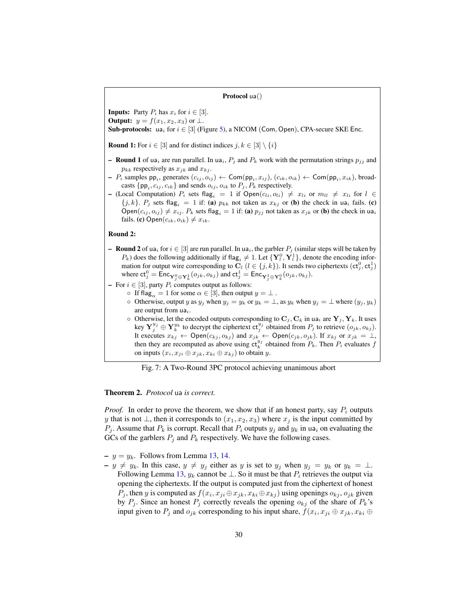<span id="page-29-0"></span>Protocol ua() **Inputs:** Party  $P_i$  has  $x_i$  for  $i \in [3]$ . **Output:**  $y = f(x_1, x_2, x_3)$  or  $\perp$ . **Sub-protocols:** ua<sub>i</sub> for  $i \in [3]$  (Figure [5\)](#page-26-0), a NICOM (Com, Open), CPA-secure SKE Enc. **Round 1:** For  $i \in [3]$  and for distinct indices  $j, k \in [3] \setminus \{i\}$ **– Round 1** of ua<sub>i</sub> are run parallel. In ua<sub>i</sub>,  $P_i$  and  $P_k$  work with the permutation strings  $p_{ij}$  and  $p_{kk}$  respectively as  $x_{jk}$  and  $x_{ki}$ . -  $P_i$  samples  $pp_i$ , generates  $(c_{ij}, o_{ij}) \leftarrow \textsf{Com}(pp_i, x_{ij}), (c_{ik}, o_{ik}) \leftarrow \textsf{Com}(pp_i, x_{ik}),$  broadcasts  $\{ \mathsf{pp}_i, c_{ij}, c_{ik} \}$  and sends  $o_{ij}, o_{ik}$  to  $P_j, P_k$  respectively. – (Local Computation)  $P_i$  sets flag<sub>i</sub> = 1 if  $Open(c_i, o_i) \neq x_{li}$  or  $m_{li} \neq x_{li}$  for  $l \in$  ${j, k}$ .  $P_j$  sets flag<sub>i</sub> = 1 if: (a)  $p_{kk}$  not taken as  $x_{kj}$  or (b) the check in ua<sub>i</sub> fails. (c) Open $(c_{ij}, o_{ij}) \neq x_{ij}$ .  $P_k$  sets flag<sub>i</sub> = 1 if: (a)  $p_{jj}$  not taken as  $x_{jk}$  or (b) the check in ua<sub>i</sub> fails. (c) Open $(c_{ik}, o_{ik}) \neq x_{ik}$ . Round 2: **– Round 2** of ua<sub>i</sub> for  $i \in [3]$  are run parallel. In ua<sub>i</sub>, the garbler  $P_i$  (similar steps will be taken by

- $P_k$ ) does the following additionally if flag<sub>i</sub>  $\neq 1$ . Let  ${\{\mathbf{Y}_l^0, \mathbf{Y}_l^1\}}$ , denote the encoding information for output wire corresponding to  $C_l$   $(l \in \{j,k\})$ . It sends two ciphertexts  $(ct_j^0, ct_j^1)$ where  $\mathsf{ct}^0_j = \mathsf{Enc}_{\mathbf{Y}_j^0 \oplus \mathbf{Y}_k^1}(o_{jk},o_{kj})$  and  $\mathsf{ct}^1_j = \mathsf{Enc}_{\mathbf{Y}_j^1 \oplus \mathbf{Y}_k^0}(o_{jk},o_{kj}).$
- For  $i \in [3]$ , party  $P_i$  computes output as follows:
	- ∘ If flag<sub>α</sub> = 1 for some  $α ∈ [3]$ , then output  $y = ⊥$ .
	- Otherwise, output y as  $y_j$  when  $y_j = y_k$  or  $y_k = \bot$ , as  $y_k$  when  $y_j = \bot$  where  $(y_j, y_k)$ are output from  $ua_i$ .
	- $\circ$  Otherwise, let the encoded outputs corresponding to  $\mathbf{C}_i, \mathbf{C}_k$  in ua<sub>i</sub> are  $\mathbf{Y}_i, \mathbf{Y}_k$ . It uses key  $\mathbf{Y}_j^{y_j} \oplus \mathbf{Y}_k^{y_k}$  to decrypt the ciphertext  $\mathsf{ct}_j^{y_j}$  obtained from  $P_j$  to retrieve  $(o_{jk}, o_{kj})$ . It executes  $x_{kj} \leftarrow$  Open $(c_{kj}, o_{kj})$  and  $x_{jk} \leftarrow$  Open $(c_{jk}, o_{jk})$ . If  $x_{kj}$  or  $x_{jk} = \perp$ , then they are recomputed as above using  $\mathsf{ct}_k^{y_j}$  obtained from  $P_k$ . Then  $P_i$  evaluates f on inputs  $(x_i, x_{ji} \oplus x_{jk}, x_{ki} \oplus x_{kj})$  to obtain y.

Fig. 7: A Two-Round 3PC protocol achieving unanimous abort

#### Theorem 2. *Protocol* ua *is correct.*

*Proof.* In order to prove the theorem, we show that if an honest party, say  $P_i$  outputs y that is not  $\perp$ , then it corresponds to  $(x_1, x_2, x_3)$  where  $x_j$  is the input committed by  $P_j$ . Assume that  $P_k$  is corrupt. Recall that  $P_i$  outputs  $y_j$  and  $y_k$  in ua<sub>i</sub> on evaluating the GCs of the garblers  $P_j$  and  $P_k$  respectively. We have the following cases.

- $-y = y_k$ . Follows from Lemma [13,](#page-27-1) [14.](#page-28-1)
- $y + y_k$ . In this case,  $y \neq y_j$  either as y is set to  $y_j$  when  $y_j = y_k$  or  $y_k = \perp$ . Following Lemma [13,](#page-27-1)  $y_k$  cannot be ⊥. So it must be that  $P_i$  retrieves the output via opening the ciphertexts. If the output is computed just from the ciphertext of honest  $P_j$ , then y is computed as  $f(x_i, x_{ji} \oplus x_{jk}, x_{ki} \oplus x_{kj})$  using openings  $o_{kj}$ ,  $o_{jk}$  given by  $P_j$ . Since an honest  $P_j$  correctly reveals the opening  $o_{kj}$  of the share of  $P_k$ 's input given to  $P_j$  and  $o_{jk}$  corresponding to his input share,  $f(x_i, x_{ji} \oplus x_{jk}, x_{ki} \oplus y_{ij})$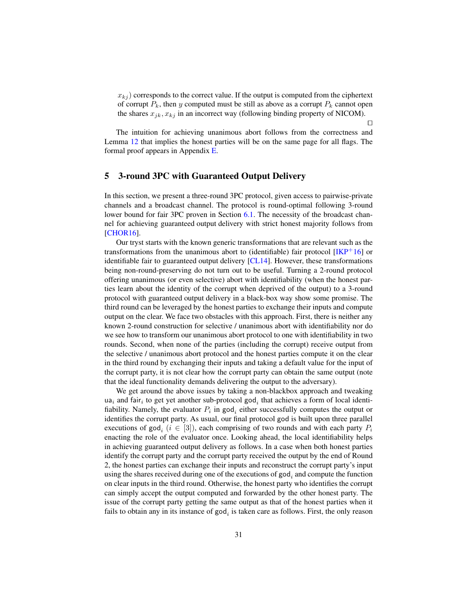$x_{ki}$ ) corresponds to the correct value. If the output is computed from the ciphertext of corrupt  $P_k$ , then y computed must be still as above as a corrupt  $P_k$  cannot open the shares  $x_{jk}, x_{kj}$  in an incorrect way (following binding property of NICOM).

 $\Box$ 

The intuition for achieving unanimous abort follows from the correctness and Lemma [12](#page-26-1) that implies the honest parties will be on the same page for all flags. The formal proof appears in Appendix [E.](#page-60-0)

## <span id="page-30-0"></span>5 3-round 3PC with Guaranteed Output Delivery

In this section, we present a three-round 3PC protocol, given access to pairwise-private channels and a broadcast channel. The protocol is round-optimal following 3-round lower bound for fair 3PC proven in Section [6.1.](#page-36-1) The necessity of the broadcast channel for achieving guaranteed output delivery with strict honest majority follows from [\[CHOR16\]](#page-44-18).

Our tryst starts with the known generic transformations that are relevant such as the transformations from the unanimous abort to (identifiable) fair protocol  $[IRP^+16]$  or identifiable fair to guaranteed output delivery [\[CL14\]](#page-44-15). However, these transformations being non-round-preserving do not turn out to be useful. Turning a 2-round protocol offering unanimous (or even selective) abort with identifiability (when the honest parties learn about the identity of the corrupt when deprived of the output) to a 3-round protocol with guaranteed output delivery in a black-box way show some promise. The third round can be leveraged by the honest parties to exchange their inputs and compute output on the clear. We face two obstacles with this approach. First, there is neither any known 2-round construction for selective / unanimous abort with identifiability nor do we see how to transform our unanimous abort protocol to one with identifiability in two rounds. Second, when none of the parties (including the corrupt) receive output from the selective / unanimous abort protocol and the honest parties compute it on the clear in the third round by exchanging their inputs and taking a default value for the input of the corrupt party, it is not clear how the corrupt party can obtain the same output (note that the ideal functionality demands delivering the output to the adversary).

We get around the above issues by taking a non-blackbox approach and tweaking ua<sub>i</sub> and fair<sub>i</sub> to get yet another sub-protocol god<sub>i</sub> that achieves a form of local identifiability. Namely, the evaluator  $P_i$  in god<sub>i</sub> either successfully computes the output or identifies the corrupt party. As usual, our final protocol god is built upon three parallel executions of god<sub>i</sub>  $(i \in [3])$ , each comprising of two rounds and with each party  $P_i$ enacting the role of the evaluator once. Looking ahead, the local identifiability helps in achieving guaranteed output delivery as follows. In a case when both honest parties identify the corrupt party and the corrupt party received the output by the end of Round 2, the honest parties can exchange their inputs and reconstruct the corrupt party's input using the shares received during one of the executions of  $\text{god}_i$  and compute the function on clear inputs in the third round. Otherwise, the honest party who identifies the corrupt can simply accept the output computed and forwarded by the other honest party. The issue of the corrupt party getting the same output as that of the honest parties when it fails to obtain any in its instance of  $\gcd_i$  is taken care as follows. First, the only reason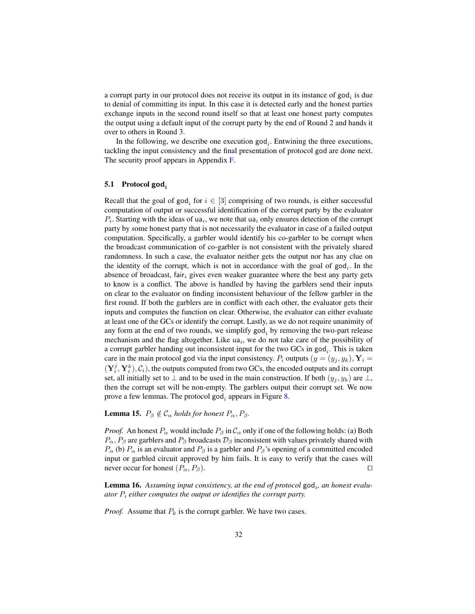a corrupt party in our protocol does not receive its output in its instance of  $\gcd_i$  is due to denial of committing its input. In this case it is detected early and the honest parties exchange inputs in the second round itself so that at least one honest party computes the output using a default input of the corrupt party by the end of Round 2 and hands it over to others in Round 3.

In the following, we describe one execution  $\gcd_i$ . Entwining the three executions, tackling the input consistency and the final presentation of protocol god are done next. The security proof appears in Appendix [F.](#page-64-0)

## <span id="page-31-0"></span>5.1 Protocol god<sub>i</sub>

Recall that the goal of god<sub>i</sub> for  $i \in [3]$  comprising of two rounds, is either successful computation of output or successful identification of the corrupt party by the evaluator  $P_i$ . Starting with the ideas of ua<sub>i</sub>, we note that ua<sub>i</sub> only ensures detection of the corrupt party by *s*ome honest party that is not necessarily the evaluator in case of a failed output computation. Specifically, a garbler would identify his co-garbler to be corrupt when the broadcast communication of co-garbler is not consistent with the privately shared randomness. In such a case, the evaluator neither gets the output nor has any clue on the identity of the corrupt, which is not in accordance with the goal of  $\text{god}_i$ . In the absence of broadcast, fair $_i$  gives even weaker guarantee where the best any party gets to know is a conflict. The above is handled by having the garblers send their inputs on clear to the evaluator on finding inconsistent behaviour of the fellow garbler in the first round. If both the garblers are in conflict with each other, the evaluator gets their inputs and computes the function on clear. Otherwise, the evaluator can either evaluate at least one of the GCs or identify the corrupt. Lastly, as we do not require unanimity of any form at the end of two rounds, we simplify  $\gcd_i$  by removing the two-part release mechanism and the flag altogether. Like  $ua_i$ , we do not take care of the possibility of a corrupt garbler handing out inconsistent input for the two GCs in  $\text{god}_i$ . This is taken care in the main protocol god via the input consistency.  $P_i$  outputs  $(y = (y_i, y_k), Y_i =$  $(\mathbf{Y}_i^j, \mathbf{Y}_i^k), \mathcal{C}_i$  b, the outputs computed from two GCs, the encoded outputs and its corrupt set, all initially set to  $\perp$  and to be used in the main construction. If both  $(y_i, y_k)$  are  $\perp$ , then the corrupt set will be non-empty. The garblers output their corrupt set. We now prove a few lemmas. The protocol god<sub>i</sub> appears in Figure [8.](#page-32-1)

<span id="page-31-1"></span>**Lemma 15.**  $P_\beta \notin \mathcal{C}_\alpha$  *holds for honest*  $P_\alpha, P_\beta$ .

*Proof.* An honest  $P_\alpha$  would include  $P_\beta$  in  $\mathcal{C}_\alpha$  only if one of the following holds: (a) Both  $P_{\alpha}$ ,  $P_{\beta}$  are garblers and  $P_{\beta}$  broadcasts  $\mathcal{D}_{\beta}$  inconsistent with values privately shared with  $P_{\alpha}$  (b)  $P_{\alpha}$  is an evaluator and  $P_{\beta}$  is a garbler and  $P_{\beta}$ 's opening of a committed encoded input or garbled circuit approved by him fails. It is easy to verify that the cases will never occur for honest  $(P_{\alpha}, P_{\beta})$ .

**Lemma 16.** Assuming input consistency, at the end of protocol god<sub>i</sub>, an honest evalu*ator*  $P_i$  *either computes the output or identifies the corrupt party.* 

*Proof.* Assume that  $P_k$  is the corrupt garbler. We have two cases.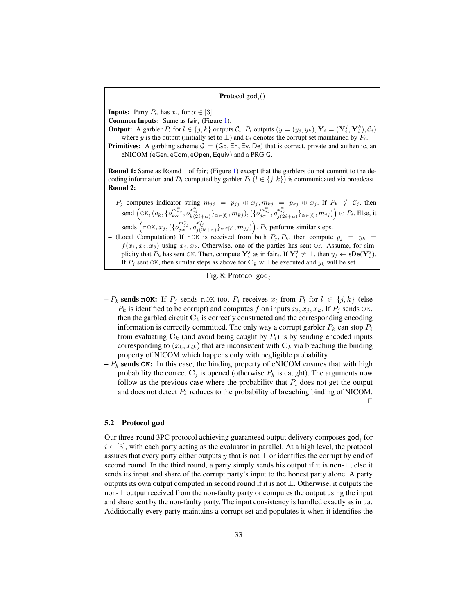### Protocol  $\gcd_i()$

<span id="page-32-1"></span>**Inputs:** Party  $P_{\alpha}$  has  $x_{\alpha}$  for  $\alpha \in [3]$ .

**Common Inputs:** Same as fair, (Figure [1\)](#page-15-0).

**Output:** A garbler  $P_l$  for  $l \in \{j, k\}$  outputs  $C_l$ .  $P_i$  outputs  $(y = (y_j, y_k), \mathbf{Y}_i = (\mathbf{Y}_i^j, \mathbf{Y}_i^k), C_i)$ where y is the output (initially set to  $\perp$ ) and  $C_i$  denotes the corrupt set maintained by  $P_i$ .

**Primitives:** A garbling scheme  $G = (Gb, En, Ev, De)$  that is correct, private and authentic, an eNICOM (eGen, eCom, eOpen, Equiv) and a PRG G.

**Round 1:** Same as Round 1 of fair<sub>i</sub> (Figure [1\)](#page-15-0) except that the garblers do not commit to the decoding information and  $\mathcal{D}_l$  computed by garbler  $P_l$  ( $l \in \{j, k\}$ ) is communicated via broadcast. Round 2:

- $P_j$  computes indicator string  $m_{jj} = p_{jj} \oplus x_j, m_{kj} = p_{kj} \oplus x_j$ . If  $P_k \notin C_j$ , then send  $(SK, (o_k, \{o_{k\alpha}^{m_{kj}^{a_j}}, o_{k(2\ell+\alpha)}^{m_{ij}^{a_j}}, o_{k(j)}^{m_{ij}^{a_j}}, o_{j(2\ell+\alpha)}^{m_{ij}^{a_j}}, o_{k(\ell+\alpha)}^{m_{ij}}\})$  to  $P_i$ . Else, it sends  $(\text{row}, x_j, (\{o_{j\alpha}^{m_{ji}^{\alpha}}, o_{j(2\ell+\alpha)}^{x_{ij}^{\alpha}}\}_{\alpha \in [\ell]}, m_{jj}))$ .  $P_k$  performs similar steps.
- (Local Computation) If nOK is received from both  $P_j, P_k$ , then compute  $y_j = y_k =$  $f(x_1, x_2, x_3)$  using  $x_j, x_k$ . Otherwise, one of the parties has sent OK. Assume, for simplicity that  $P_k$  has sent OK. Then, compute  $\mathbf{Y}_i^j$  as in fair,. If  $\mathbf{Y}_i^j \neq \bot$ , then  $y_j \leftarrow \mathsf{sDe}(\mathbf{Y}_i^j)$ . If  $P_j$  sent OK, then similar steps as above for  $C_k$  will be executed and  $y_k$  will be set.

Fig. 8: Protocol god<sub>i</sub>

- $-P_k$  sends nOK: If  $P_j$  sends nOK too,  $P_i$  receives  $x_l$  from  $P_l$  for  $l \in \{j, k\}$  (else  $P_k$  is identified to be corrupt) and computes f on inputs  $x_i, x_j, x_k$ . If  $P_j$  sends OK, then the garbled circuit  $C_k$  is correctly constructed and the corresponding encoding information is correctly committed. The only way a corrupt garbler  $P_k$  can stop  $P_i$ from evaluating  $C_k$  (and avoid being caught by  $P_i$ ) is by sending encoded inputs corresponding to  $(x_k, x_{ik})$  that are inconsistent with  $C_k$  via breaching the binding property of NICOM which happens only with negligible probability.
- $-P_k$  sends OK: In this case, the binding property of eNICOM ensures that with high probability the correct  $\mathbf{C}_j$  is opened (otherwise  $P_k$  is caught). The arguments now follow as the previous case where the probability that  $P_i$  does not get the output and does not detect  $P_k$  reduces to the probability of breaching binding of NICOM.

 $\Box$ 

#### <span id="page-32-0"></span>5.2 Protocol god

Our three-round 3PC protocol achieving guaranteed output delivery composes  $\gcd_i$  for  $i \in [3]$ , with each party acting as the evaluator in parallel. At a high level, the protocol assures that every party either outputs y that is not  $\perp$  or identifies the corrupt by end of second round. In the third round, a party simply sends his output if it is non-⊥, else it sends its input and share of the corrupt party's input to the honest party alone. A party outputs its own output computed in second round if it is not ⊥. Otherwise, it outputs the non-⊥ output received from the non-faulty party or computes the output using the input and share sent by the non-faulty party. The input consistency is handled exactly as in ua. Additionally every party maintains a corrupt set and populates it when it identifies the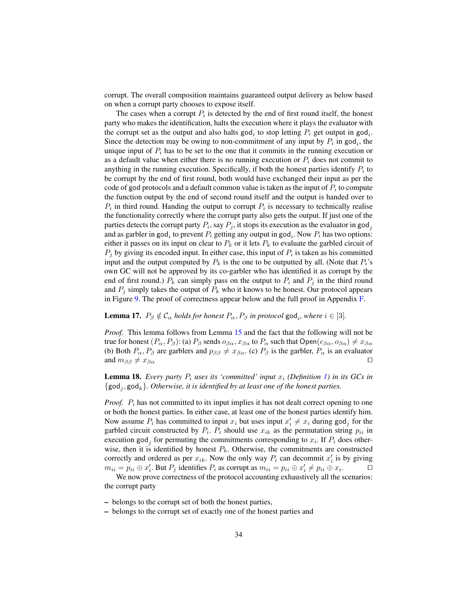corrupt. The overall composition maintains guaranteed output delivery as below based on when a corrupt party chooses to expose itself.

The cases when a corrupt  $P_i$  is detected by the end of first round itself, the honest party who makes the identification, halts the execution where it plays the evaluator with the corrupt set as the output and also halts god<sub>i</sub> to stop letting  $P_i$  get output in god<sub>i</sub>. Since the detection may be owing to non-commitment of any input by  $P_i$  in god<sub>i</sub>, the unique input of  $P_i$  has to be set to the one that it commits in the running execution or as a default value when either there is no running execution or  $P_i$  does not commit to anything in the running execution. Specifically, if both the honest parties identify  $P_i$  to be corrupt by the end of first round, both would have exchanged their input as per the code of god protocols and a default common value is taken as the input of  $P_i$  to compute the function output by the end of second round itself and the output is handed over to  $P_i$  in third round. Handing the output to corrupt  $P_i$  is necessary to technically realise the functionality correctly where the corrupt party also gets the output. If just one of the parties detects the corrupt party  $P_i$ , say  $P_j$ , it stops its execution as the evaluator in god<sub>j</sub> and as garbler in god<sub>i</sub> to prevent  $P_i$  getting any output in god<sub>i</sub>. Now  $P_i$  has two options: either it passes on its input on clear to  $P_k$  or it lets  $P_k$  to evaluate the garbled circuit of  $P_j$  by giving its encoded input. In either case, this input of  $P_i$  is taken as his committed input and the output computed by  $P_k$  is the one to be outputted by all. (Note that  $P_i$ 's own GC will not be approved by its co-garbler who has identified it as corrupt by the end of first round.)  $P_k$  can simply pass on the output to  $P_i$  and  $P_j$  in the third round and  $P_j$  simply takes the output of  $P_k$  who it knows to be honest. Our protocol appears in Figure [9.](#page-34-0) The proof of correctness appear below and the full proof in Appendix [F.](#page-64-0)

## **Lemma 17.**  $P_{\beta} \notin C_{\alpha}$  holds for honest  $P_{\alpha}, P_{\beta}$  in protocol god<sub>i</sub>, where  $i \in [3]$ .

*Proof.* This lemma follows from Lemma [15](#page-31-1) and the fact that the following will not be true for honest  $(P_\alpha, P_\beta)$ : (a)  $P_\beta$  sends  $o_{\beta\alpha}, x_{\beta\alpha}$  to  $P_\alpha$  such that  $Open(c_{\beta\alpha}, o_{\beta\alpha}) \neq x_{\beta\alpha}$ (b) Both  $P_{\alpha}$ ,  $P_{\beta}$  are garblers and  $p_{\beta\beta} \neq x_{\beta\alpha}$ . (c)  $P_{\beta}$  is the garbler,  $P_{\alpha}$  is an evaluator and  $m_{\beta\beta} \neq x_{\beta\alpha}$ 

<span id="page-33-0"></span>**Lemma 18.** *Every party*  $P_i$  *uses its 'committed' input*  $x_i$  *(Definition [1\)](#page-19-3) in its GCs in*  $\{ \text{god}_j, \text{god}_k \}$ . Otherwise, it is identified by at least one of the honest parties.

*Proof.*  $P_i$  has not committed to its input implies it has not dealt correct opening to one or both the honest parties. In either case, at least one of the honest parties identify him. Now assume  $P_i$  has committed to input  $x_i$  but uses input  $x'_i \neq x_i$  during god<sub>j</sub> for the garbled circuit constructed by  $P_i$ .  $P_i$  should use  $x_{ik}$  as the permutation string  $p_{ii}$  in execution god<sub>j</sub> for permuting the commitments corresponding to  $x_i$ . If  $P_i$  does otherwise, then it is identified by honest  $P_k$ . Otherwise, the commitments are constructed correctly and ordered as per  $x_{ik}$ . Now the only way  $P_i$  can decommit  $x'_i$  is by giving  $m_{ii} = p_{ii} \oplus x'_i$ . But  $P_j$  identifies  $P_i$  as corrupt as  $m_{ii} = p_{ii} \oplus x'_i \neq p_{ii} \oplus x_i$  $\Box$ 

We now prove correctness of the protocol accounting exhaustively all the scenarios: the corrupt party

- belongs to the corrupt set of both the honest parties,
- belongs to the corrupt set of exactly one of the honest parties and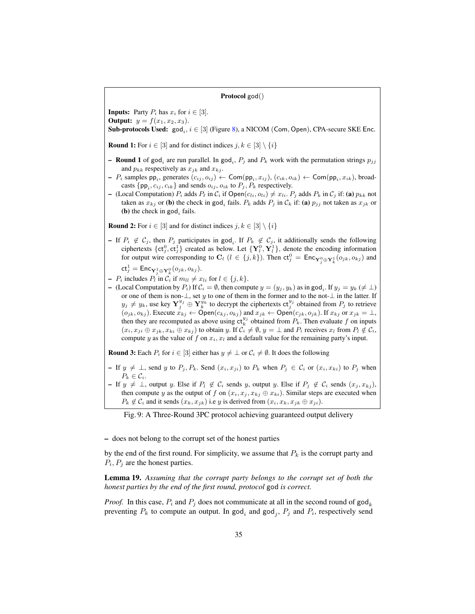#### Protocol god()

<span id="page-34-0"></span>**Inputs:** Party  $P_i$  has  $x_i$  for  $i \in [3]$ .

**Output:**  $y = f(x_1, x_2, x_3)$ .

**Sub-protocols Used:**  $\gcd_i, i \in [3]$  (Figure [8\)](#page-32-1), a NICOM (Com, Open), CPA-secure SKE Enc.

**Round 1:** For  $i \in [3]$  and for distinct indices  $j, k \in [3] \setminus \{i\}$ 

- **Round 1** of god<sub>i</sub> are run parallel. In god<sub>i</sub>,  $P_j$  and  $P_k$  work with the permutation strings  $p_{jj}$ and  $p_{kk}$  respectively as  $x_{jk}$  and  $x_{ki}$ .
- $P_i$  samples  $pp_i$ , generates  $(c_{ij}, o_{ij}) \leftarrow \textsf{Com}(pp_i, x_{ij}), (c_{ik}, o_{ik}) \leftarrow \textsf{Com}(pp_i, x_{ik}),$  broadcasts  $\{ \mathsf{pp}_i, c_{ij}, c_{ik} \}$  and sends  $o_{ij}, o_{ik}$  to  $P_j, P_k$  respectively.
- (Local Computation)  $P_i$  adds  $P_\ell$  in  $C_i$  if Open( $c_{li}, o_{li}$ )  $\neq x_{li}$ .  $P_j$  adds  $P_k$  in  $C_j$  if: (a)  $p_{kk}$  not taken as  $x_{kj}$  or (b) the check in god<sub>i</sub> fails.  $P_k$  adds  $P_j$  in  $\mathcal{C}_k$  if: (a)  $p_{jj}$  not taken as  $x_{jk}$  or (**b**) the check in god<sub>i</sub> fails.

**Round 2:** For  $i \in [3]$  and for distinct indices  $j, k \in [3] \setminus \{i\}$ 

 $-$  If  $P_i \notin C_j$ , then  $P_j$  participates in god<sub>i</sub>. If  $P_k \notin C_j$ , it additionally sends the following ciphertexts  $\{ct_j^0, ct_j^1\}$  created as below. Let  $\{Y_l^0, Y_l^1\}$ , denote the encoding information for output wire corresponding to  $\mathbf{C}_l$   $(l \in \{j,k\})$ . Then  $\mathsf{ct}_j^0 = \mathsf{Enc}_{\mathbf{Y}_j^0 \oplus \mathbf{Y}_k^1}(o_{jk}, o_{kj})$  and

$$
\mathsf{ct}^1_j = \mathsf{Enc}_{\mathbf{Y}^1_j \oplus \mathbf{Y}^0_k}(o_{jk}, o_{kj}).
$$

 $ct_j = \text{enc}_{\mathbf{Y}_j^1 \oplus \mathbf{Y}_k^0}(o_{jk}, o_{kj}).$ <br>  $-P_i$  includes  $P_i$  in  $C_i$  if  $m_{li} \neq x_{li}$  for  $l \in \{j, k\}.$ 

- (Local Computation by  $P_i$ ) If  $C_i = \emptyset$ , then compute  $y = (y_j, y_k)$  as in god<sub>i</sub>. If  $y_j = y_k \ (\neq \bot)$ or one of them is non- $\perp$ , set y to one of them in the former and to the not- $\perp$  in the latter. If  $y_j \neq y_k$ , use key  $\mathbf{Y}_j^{y_j} \oplus \mathbf{Y}_k^{y_k}$  to decrypt the ciphertexts  $\mathsf{ct}_j^{y_j}$  obtained from  $P_j$  to retrieve  $(o_{jk}, o_{kj})$ . Execute  $x_{kj} \leftarrow \text{Open}(c_{kj}, o_{kj})$  and  $x_{jk} \leftarrow \text{Open}(c_{jk}, o_{jk})$ . If  $x_{kj}$  or  $x_{jk} = \perp$ , then they are recomputed as above using  $ct_k^{y_j}$  obtained from  $P_k$ . Then evaluate f on inputs  $(x_i, x_{ji} \oplus x_{jk}, x_{ki} \oplus x_{kj})$  to obtain y. If  $C_i \neq \emptyset$ ,  $y = \bot$  and  $P_i$  receives  $x_l$  from  $P_l \notin C_i$ , compute y as the value of f on  $x_i$ ,  $x_l$  and a default value for the remaining party's input.

**Round 3:** Each  $P_i$  for  $i \in [3]$  either has  $y \neq \bot$  or  $C_i \neq \emptyset$ . It does the following

- If  $y \neq \bot$ , send y to  $P_i, P_k$ . Send  $(x_i, x_{ji})$  to  $P_k$  when  $P_j \in C_i$  or  $(x_i, x_{ki})$  to  $P_j$  when  $P_k \in \mathcal{C}_i$ .
- If  $y \neq \bot$ , output y. Else if  $P_1 \notin C_i$  sends y, output y. Else if  $P_j \notin C_i$  sends  $(x_j, x_{kj})$ , then compute y as the output of f on  $(x_i, x_j, x_{kj} \oplus x_{ki})$ . Similar steps are executed when  $P_k \notin C_i$  and it sends  $(x_k, x_{jk})$  i.e y is derived from  $(x_i, x_k, x_{jk} \oplus x_{ji})$ .

Fig. 9: A Three-Round 3PC protocol achieving guaranteed output delivery

– does not belong to the corrupt set of the honest parties

by the end of the first round. For simplicity, we assume that  $P_k$  is the corrupt party and  $P_i$ ,  $P_j$  are the honest parties.

<span id="page-34-1"></span>Lemma 19. *Assuming that the corrupt party belongs to the corrupt set of both the honest parties by the end of the first round, protocol* god *is correct.*

*Proof.* In this case,  $P_i$  and  $P_j$  does not communicate at all in the second round of god<sub>k</sub> preventing  $P_k$  to compute an output. In god<sub>i</sub> and god<sub>j</sub>,  $P_j$  and  $P_i$ , respectively send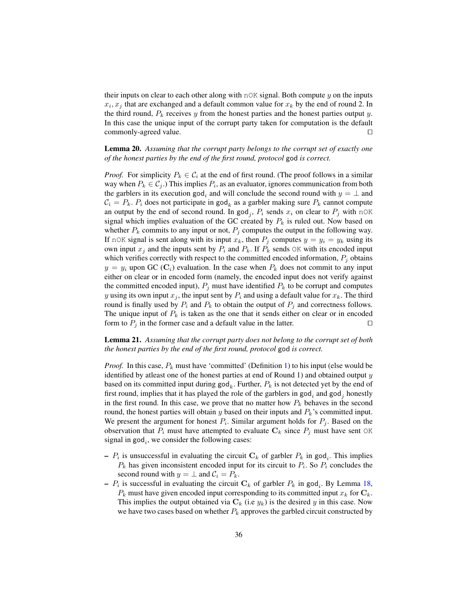their inputs on clear to each other along with  $n$ OK signal. Both compute y on the inputs  $x_i, x_j$  that are exchanged and a default common value for  $x_k$  by the end of round 2. In the third round,  $P_k$  receives y from the honest parties and the honest parties output y. In this case the unique input of the corrupt party taken for computation is the default  $\Box$  commonly-agreed value.  $\Box$ 

## <span id="page-35-0"></span>Lemma 20. *Assuming that the corrupt party belongs to the corrupt set of exactly one of the honest parties by the end of the first round, protocol* god *is correct.*

*Proof.* For simplicity  $P_k \in C_i$  at the end of first round. (The proof follows in a similar way when  $P_k \in C_j$ .) This implies  $P_i$ , as an evaluator, ignores communication from both the garblers in its execution god<sub>i</sub> and will conclude the second round with  $y = \perp$  and  $C_i = P_k$ .  $P_i$  does not participate in god<sub>k</sub> as a garbler making sure  $P_k$  cannot compute an output by the end of second round. In god<sub>j</sub>,  $P_i$  sends  $x_i$  on clear to  $P_j$  with nOK signal which implies evaluation of the GC created by  $P_k$  is ruled out. Now based on whether  $P_k$  commits to any input or not,  $P_i$  computes the output in the following way. If nOK signal is sent along with its input  $x_k$ , then  $P_j$  computes  $y = y_i = y_k$  using its own input  $x_j$  and the inputs sent by  $P_i$  and  $P_k$ . If  $P_k$  sends OK with its encoded input which verifies correctly with respect to the committed encoded information,  $P_i$  obtains  $y = y_i$  upon GC (C<sub>i</sub>) evaluation. In the case when  $P_k$  does not commit to any input either on clear or in encoded form (namely, the encoded input does not verify against the committed encoded input),  $P_i$  must have identified  $P_k$  to be corrupt and computes y using its own input  $x_j$ , the input sent by  $P_i$  and using a default value for  $x_k$ . The third round is finally used by  $P_i$  and  $P_k$  to obtain the output of  $P_j$  and correctness follows. The unique input of  $P_k$  is taken as the one that it sends either on clear or in encoded form to  $P_j$  in the former case and a default value in the latter.

## <span id="page-35-1"></span>Lemma 21. *Assuming that the corrupt party does not belong to the corrupt set of both the honest parties by the end of the first round, protocol* god *is correct.*

*Proof.* In this case,  $P_k$  must have 'committed' (Definition [1\)](#page-19-3) to his input (else would be identified by atleast one of the honest parties at end of Round 1) and obtained output  $y$ based on its committed input during  $\gcd_k$ . Further,  $P_k$  is not detected yet by the end of first round, implies that it has played the role of the garblers in  $\text{god}_i$  and  $\text{god}_j$  honestly in the first round. In this case, we prove that no matter how  $P_k$  behaves in the second round, the honest parties will obtain  $y$  based on their inputs and  $P_k$ 's committed input. We present the argument for honest  $P_i$ . Similar argument holds for  $P_j$ . Based on the observation that  $P_i$  must have attempted to evaluate  $C_k$  since  $P_j$  must have sent OK signal in  $\gcd_i$ , we consider the following cases:

- $P_i$  is unsuccessful in evaluating the circuit  $C_k$  of garbler  $P_k$  in god<sub>i</sub>. This implies  $P_k$  has given inconsistent encoded input for its circuit to  $P_i$ . So  $P_i$  concludes the second round with  $y = \perp$  and  $C_i = P_k$ .
- $P_i$  is successful in evaluating the circuit  $C_k$  of garbler  $P_k$  in god<sub>i</sub>. By Lemma [18,](#page-33-0)  $P_k$  must have given encoded input corresponding to its committed input  $x_k$  for  $\mathbf{C}_k$ . This implies the output obtained via  $C_k$  (i.e  $y_k$ ) is the desired y in this case. Now we have two cases based on whether  $P_k$  approves the garbled circuit constructed by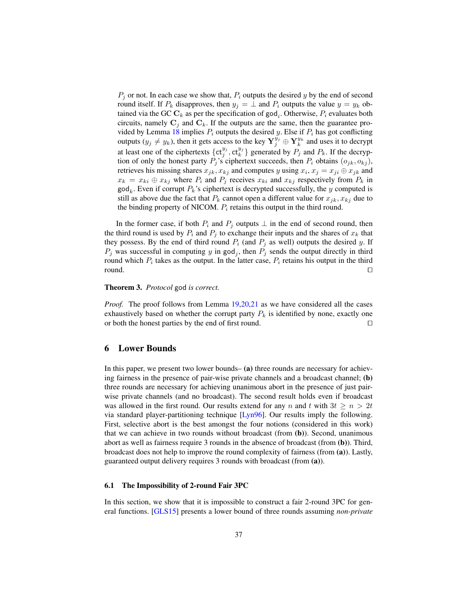$P_i$  or not. In each case we show that,  $P_i$  outputs the desired y by the end of second round itself. If  $P_k$  disapproves, then  $y_j = \perp$  and  $P_i$  outputs the value  $y = y_k$  obtained via the GC  $\mathbf{C}_k$  as per the specification of god<sub>i</sub>. Otherwise,  $P_i$  evaluates both circuits, namely  $C_j$  and  $C_k$ . If the outputs are the same, then the guarantee pro-vided by Lemma [18](#page-33-0) implies  $P_i$  outputs the desired y. Else if  $P_i$  has got conflicting outputs  $(y_j \neq y_k)$ , then it gets access to the key  $\mathbf{Y}_j^{y_j} \oplus \mathbf{Y}_k^{y_k}$  and uses it to decrypt at least one of the ciphertexts  $\{ct_j^{y_j},ct_k^{y_j}\}$  generated by  $P_j$  and  $P_k$ . If the decryption of only the honest party  $P_i$ 's ciphertext succeeds, then  $P_i$  obtains  $(o_{ik}, o_{ki})$ , retrieves his missing shares  $x_{jk}$ ,  $x_{kj}$  and computes y using  $x_i$ ,  $x_j = x_{ji} \oplus x_{jk}$  and  $x_k = x_{ki} \oplus x_{kj}$  where  $P_i$  and  $P_j$  receives  $x_{ki}$  and  $x_{kj}$  respectively from  $P_k$  in  $\text{gcd}_k$ . Even if corrupt  $P_k$ 's ciphertext is decrypted successfully, the y computed is still as above due the fact that  $P_k$  cannot open a different value for  $x_{ik}$ ,  $x_{ki}$  due to the binding property of NICOM.  $P_i$  retains this output in the third round.

In the former case, if both  $P_i$  and  $P_j$  outputs  $\perp$  in the end of second round, then the third round is used by  $P_i$  and  $P_j$  to exchange their inputs and the shares of  $x_k$  that they possess. By the end of third round  $P_i$  (and  $P_j$  as well) outputs the desired y. If  $P_j$  was successful in computing y in god<sub>j</sub>, then  $P_j$  sends the output directly in third round which  $P_i$  takes as the output. In the latter case,  $P_i$  retains his output in the third  $\Box$  round.

Theorem 3. *Protocol* god *is correct.*

*Proof.* The proof follows from Lemma [19](#page-34-1)[,20](#page-35-0)[,21](#page-35-1) as we have considered all the cases exhaustively based on whether the corrupt party  $P_k$  is identified by none, exactly one or both the honest parties by the end of first round.  $\Box$ 

## <span id="page-36-0"></span>6 Lower Bounds

In this paper, we present two lower bounds– (a) three rounds are necessary for achieving fairness in the presence of pair-wise private channels and a broadcast channel; (b) three rounds are necessary for achieving unanimous abort in the presence of just pairwise private channels (and no broadcast). The second result holds even if broadcast was allowed in the first round. Our results extend for any n and t with  $3t \geq n > 2t$ via standard player-partitioning technique [\[Lyn96\]](#page-45-19). Our results imply the following. First, selective abort is the best amongst the four notions (considered in this work) that we can achieve in two rounds without broadcast (from (b)). Second, unanimous abort as well as fairness require 3 rounds in the absence of broadcast (from (b)). Third, broadcast does not help to improve the round complexity of fairness (from (a)). Lastly, guaranteed output delivery requires 3 rounds with broadcast (from (a)).

### <span id="page-36-1"></span>6.1 The Impossibility of 2-round Fair 3PC

In this section, we show that it is impossible to construct a fair 2-round 3PC for general functions. [\[GLS15\]](#page-44-14) presents a lower bound of three rounds assuming *non-private*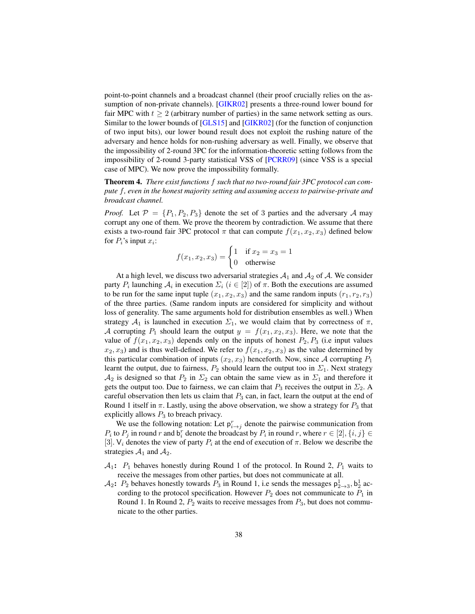point-to-point channels and a broadcast channel (their proof crucially relies on the assumption of non-private channels). [\[GIKR02\]](#page-44-10) presents a three-round lower bound for fair MPC with  $t \geq 2$  (arbitrary number of parties) in the same network setting as ours. Similar to the lower bounds of [\[GLS15\]](#page-44-14) and [\[GIKR02\]](#page-44-10) (for the function of conjunction of two input bits), our lower bound result does not exploit the rushing nature of the adversary and hence holds for non-rushing adversary as well. Finally, we observe that the impossibility of 2-round 3PC for the information-theoretic setting follows from the impossibility of 2-round 3-party statistical VSS of [\[PCRR09\]](#page-46-5) (since VSS is a special case of MPC). We now prove the impossibility formally.

Theorem 4. *There exist functions* f *such that no two-round fair 3PC protocol can compute* f*, even in the honest majority setting and assuming access to pairwise-private and broadcast channel.*

*Proof.* Let  $P = \{P_1, P_2, P_3\}$  denote the set of 3 parties and the adversary A may corrupt any one of them. We prove the theorem by contradiction. We assume that there exists a two-round fair 3PC protocol  $\pi$  that can compute  $f(x_1, x_2, x_3)$  defined below for  $P_i$ 's input  $x_i$ :

<span id="page-37-0"></span>
$$
f(x_1, x_2, x_3) = \begin{cases} 1 & \text{if } x_2 = x_3 = 1 \\ 0 & \text{otherwise} \end{cases}
$$

At a high level, we discuss two adversarial strategies  $A_1$  and  $A_2$  of A. We consider party  $P_i$  launching  $\mathcal{A}_i$  in execution  $\Sigma_i$   $(i \in [2])$  of  $\pi$ . Both the executions are assumed to be run for the same input tuple  $(x_1, x_2, x_3)$  and the same random inputs  $(r_1, r_2, r_3)$ of the three parties. (Same random inputs are considered for simplicity and without loss of generality. The same arguments hold for distribution ensembles as well.) When strategy  $A_1$  is launched in execution  $\Sigma_1$ , we would claim that by correctness of  $\pi$ , A corrupting  $P_1$  should learn the output  $y = f(x_1, x_2, x_3)$ . Here, we note that the value of  $f(x_1, x_2, x_3)$  depends only on the inputs of honest  $P_2, P_3$  (i.e input values  $x_2, x_3$ ) and is thus well-defined. We refer to  $f(x_1, x_2, x_3)$  as the value determined by this particular combination of inputs  $(x_2, x_3)$  henceforth. Now, since A corrupting  $P_1$ learnt the output, due to fairness,  $P_2$  should learn the output too in  $\Sigma_1$ . Next strategy  $\mathcal{A}_2$  is designed so that  $P_2$  in  $\Sigma_2$  can obtain the same view as in  $\Sigma_1$  and therefore it gets the output too. Due to fairness, we can claim that  $P_3$  receives the output in  $\Sigma_2$ . A careful observation then lets us claim that  $P_3$  can, in fact, learn the output at the end of Round 1 itself in  $\pi$ . Lastly, using the above observation, we show a strategy for  $P_3$  that explicitly allows  $P_3$  to breach privacy.

We use the following notation: Let  $p_{i\rightarrow j}^r$  denote the pairwise communication from  $P_i$  to  $P_j$  in round r and  $\mathbf{b}_i^r$  denote the broadcast by  $P_i$  in round r, where  $r \in [2]$ ,  $\{i, j\} \in$ [3]. V<sub>i</sub> denotes the view of party  $P_i$  at the end of execution of  $\pi$ . Below we describe the strategies  $A_1$  and  $A_2$ .

 $A_1$ :  $P_1$  behaves honestly during Round 1 of the protocol. In Round 2,  $P_1$  waits to receive the messages from other parties, but does not communicate at all.

 $A_2$ :  $P_2$  behaves honestly towards  $P_3$  in Round 1, i.e sends the messages  $p_{2\rightarrow 3}^1$ ,  $b_2^1$  according to the protocol specification. However  $P_2$  does not communicate to  $P_1$  in Round 1. In Round 2,  $P_2$  waits to receive messages from  $P_3$ , but does not communicate to the other parties.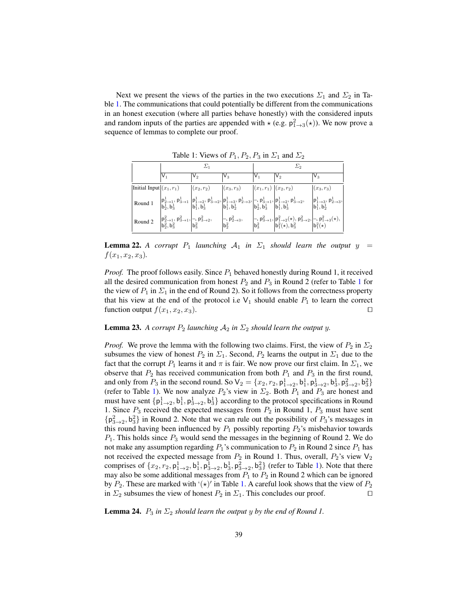Next we present the views of the parties in the two executions  $\Sigma_1$  and  $\Sigma_2$  in Table [1.](#page-38-0) The communications that could potentially be different from the communications in an honest execution (where all parties behave honestly) with the considered inputs and random inputs of the parties are appended with  $\star$  (e.g.  $p_{1\rightarrow 3}^2(\star)$ ). We now prove a sequence of lemmas to complete our proof.

|                            |                                                                                                                                                                         | $V_{2}$     | $V_3$                                                        | $V_1$ | $\mathsf{V}_2$                                                                                                                                                                                                                                                                                                                                                          | $V_3$                                                                                                                                 |
|----------------------------|-------------------------------------------------------------------------------------------------------------------------------------------------------------------------|-------------|--------------------------------------------------------------|-------|-------------------------------------------------------------------------------------------------------------------------------------------------------------------------------------------------------------------------------------------------------------------------------------------------------------------------------------------------------------------------|---------------------------------------------------------------------------------------------------------------------------------------|
| Initial Input $(x_1, r_1)$ |                                                                                                                                                                         | $(x_2,r_2)$ | $(x_3,r_3)$ $(x_1,r_1)$ $(x_2,r_2)$                          |       |                                                                                                                                                                                                                                                                                                                                                                         | $(x_3,r_3)$                                                                                                                           |
| Round 1                    |                                                                                                                                                                         |             |                                                              |       | $\left  \begin{matrix} p^1_{2 \to 1}, p^1_{3 \to 1} \\ b^1_{2}, b^1_{3} \end{matrix} \right  \left. \begin{matrix} p^1_{1 \to 2}, p^1_{3 \to 2}, p^1_{3 \to 2}, p^1_{2 \to 3}, p^1_{2 \to 3}, -p^1_{3 \to 1}, p^1_{3 \to 2}, p^1_{3 \to 2}, p^1_{3 \to 2}, p^1_{3 \to 2}, p^1_{3 \to 2}, p^1_{3 \to 2}, p^1_{3 \to 2}, p^1_{3 \to 2}, p^1_{3 \to 2}, p^1_{3 \to 2}, p^$ | $\begin{vmatrix} \mathsf{p}_{1\rightarrow 3}^1, \, \mathsf{p}_{2\rightarrow 3}^1, \\ \mathsf{b}_1^1, \, \mathsf{b}_2^1 \end{vmatrix}$ |
| Round 2                    | $\left  \mathsf{p}^2_{2\to 1}, \, \mathsf{p}^2_{3\to 1}, \, \middle  \mathsf{p}^2_{3\to 2}, \, \mathsf{p}^2_{3\to 2}, \, \mathsf{p}^2_{2}, \, \mathsf{p}^2_{3} \right $ |             | $\begin{bmatrix} - & p_{2\to 3}^2, \\ b_2^2 & \end{bmatrix}$ |       | $\left  \begin{matrix} - ,\,p^2_{3 \to 1},\, \\ \,b^2_3 \end{matrix} \right  \hspace{-.2cm} \begin{matrix} p^2_{1 \to 2}(\star),\, p^2_{3 \to 2},\, \\ \,b^2_1(\star),\, b^2_3 \end{matrix} \hspace{-.1cm} \left  \begin{matrix} - ,\, p^2_{1 \to 3}(\star),\, \\ \,b^2_1(\star) \end{matrix} \right $                                                                  |                                                                                                                                       |

<span id="page-38-0"></span>Table 1: Views of  $P_1$ ,  $P_2$ ,  $P_3$  in  $\Sigma_1$  and  $\Sigma_2$ 

**Lemma 22.** A corrupt  $P_1$  launching  $A_1$  in  $\Sigma_1$  should learn the output  $y =$  $f(x_1, x_2, x_3)$ .

*Proof.* The proof follows easily. Since  $P_1$  behaved honestly during Round 1, it received all the desired communication from honest  $P_2$  and  $P_3$  in Round 2 (refer to Table [1](#page-38-0) for the view of  $P_1$  in  $\Sigma_1$  in the end of Round 2). So it follows from the correctness property that his view at the end of the protocol i.e  $V_1$  should enable  $P_1$  to learn the correct function output  $f(x_1, x_2, x_3)$ .

## **Lemma 23.** A corrupt  $P_2$  launching  $A_2$  in  $\Sigma_2$  should learn the output y.

*Proof.* We prove the lemma with the following two claims. First, the view of  $P_2$  in  $\Sigma_2$ subsumes the view of honest  $P_2$  in  $\Sigma_1$ . Second,  $P_2$  learns the output in  $\Sigma_1$  due to the fact that the corrupt  $P_1$  learns it and  $\pi$  is fair. We now prove our first claim. In  $\Sigma_1$ , we observe that  $P_2$  has received communication from both  $P_1$  and  $P_3$  in the first round, and only from  $P_3$  in the second round. So  $\mathsf{V}_2 = \{x_2, r_2, \mathsf{p}_{1\to 2}^1, \mathsf{b}_1^1, \mathsf{p}_{3\to 2}^1, \mathsf{b}_3^1, \mathsf{p}_{3\to 2}^2, \mathsf{b}_3^2\}$ (refer to Table [1\)](#page-38-0). We now analyze  $P_2$ 's view in  $\Sigma_2$ . Both  $P_1$  and  $P_3$  are honest and must have sent  $\{p_{1\to 2}^1, b_1^1, p_{3\to 2}^1, b_3^1\}$  according to the protocol specifications in Round 1. Since  $P_3$  received the expected messages from  $P_2$  in Round 1,  $P_3$  must have sent  $\{p_{3\to 2}^2, b_3^2\}$  in Round 2. Note that we can rule out the possibility of  $P_3$ 's messages in this round having been influenced by  $P_1$  possibly reporting  $P_2$ 's misbehavior towards  $P_1$ . This holds since  $P_3$  would send the messages in the beginning of Round 2. We do not make any assumption regarding  $P_1$ 's communication to  $P_2$  in Round 2 since  $P_1$  has not received the expected message from  $P_2$  in Round 1. Thus, overall,  $P_2$ 's view  $V_2$ comprises of  $\{x_2, r_2, p_{1\to 2}^1, b_1^1, p_{3\to 2}^1, b_3^1, p_{3\to 2}^2, b_3^2\}$  (refer to Table [1\)](#page-38-0). Note that there may also be some additional messages from  $P_1$  to  $P_2$  in Round 2 which can be ignored by  $P_2$ . These are marked with '( $\star$ )' in Table [1.](#page-38-0) A careful look shows that the view of  $P_2$ in  $\Sigma_2$  subsumes the view of honest  $P_2$  in  $\Sigma_1$ . This concludes our proof.

<span id="page-38-1"></span>**Lemma 24.**  $P_3$  *in*  $\Sigma_2$  *should learn the output* y *by the end of Round 1*.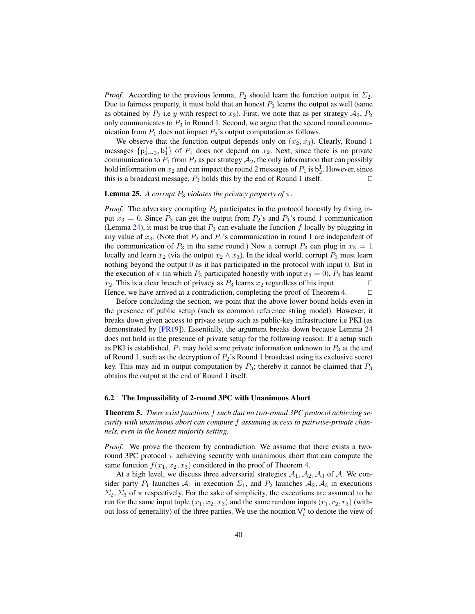*Proof.* According to the previous lemma,  $P_2$  should learn the function output in  $\Sigma_2$ . Due to fairness property, it must hold that an honest  $P_3$  learns the output as well (same as obtained by  $P_2$  i.e y with respect to  $x_2$ ). First, we note that as per strategy  $A_2$ ,  $P_2$ only communicates to  $P_3$  in Round 1. Second, we argue that the second round communication from  $P_1$  does not impact  $P_3$ 's output computation as follows.

We observe that the function output depends only on  $(x_2, x_3)$ . Clearly, Round 1 messages  $\{p_{1\to 3}^1, b_1^1\}$  of  $P_1$  does not depend on  $x_2$ . Next, since there is no private communication to  $P_1$  from  $P_2$  as per strategy  $A_2$ , the only information that can possibly hold information on  $x_2$  and can impact the round 2 messages of  $P_1$  is  $b_2^1$ . However, since this is a broadcast message,  $P_3$  holds this by the end of Round 1 itself.  $\square$ 

## <span id="page-39-1"></span>**Lemma 25.** *A corrupt*  $P_3$  *violates the privacy property of*  $\pi$ *.*

*Proof.* The adversary corrupting  $P_3$  participates in the protocol honestly by fixing input  $x_3 = 0$ . Since  $P_3$  can get the output from  $P_2$ 's and  $P_1$ 's round 1 communication (Lemma [24\)](#page-38-1), it must be true that  $P_3$  can evaluate the function f locally by plugging in any value of  $x_3$ . (Note that  $P_2$  and  $P_1$ 's communication in round 1 are independent of the communication of  $P_3$  in the same round.) Now a corrupt  $P_3$  can plug in  $x_3 = 1$ locally and learn  $x_2$  (via the output  $x_2 \wedge x_3$ ). In the ideal world, corrupt  $P_3$  must learn nothing beyond the output 0 as it has participated in the protocol with input 0. But in the execution of  $\pi$  (in which  $P_3$  participated honestly with input  $x_3 = 0$ ),  $P_3$  has learnt  $x_2$ . This is a clear breach of privacy as  $P_3$  learns  $x_2$  regardless of his input.  $\Box$ Hence, we have arrived at a contradiction, completing the proof of Theorem [4.](#page-37-0)  $\Box$ 

Before concluding the section, we point that the above lower bound holds even in the presence of public setup (such as common reference string model). However, it breaks down given access to private setup such as public-key infrastructure i.e PKI (as demonstrated by [\[PR19\]](#page-46-7)). Essentially, the argument breaks down because Lemma [24](#page-38-1) does not hold in the presence of private setup for the following reason: If a setup such as PKI is established,  $P_1$  may hold some private information unknown to  $P_3$  at the end of Round 1, such as the decryption of  $P_2$ 's Round 1 broadcast using its exclusive secret key. This may aid in output computation by  $P_3$ ; thereby it cannot be claimed that  $P_3$ obtains the output at the end of Round 1 itself.

#### <span id="page-39-0"></span>6.2 The Impossibility of 2-round 3PC with Unanimous Abort

<span id="page-39-2"></span>Theorem 5. *There exist functions* f *such that no two-round 3PC protocol achieving security with unanimous abort can compute* f *assuming access to pairwise-private channels, even in the honest majority setting.*

*Proof.* We prove the theorem by contradiction. We assume that there exists a tworound 3PC protocol  $\pi$  achieving security with unanimous abort that can compute the same function  $f(x_1, x_2, x_3)$  considered in the proof of Theorem [4.](#page-37-0)

At a high level, we discuss three adversarial strategies  $A_1$ ,  $A_2$ ,  $A_3$  of A. We consider party  $P_1$  launches  $A_1$  in execution  $\Sigma_1$ , and  $P_2$  launches  $A_2, A_3$  in executions  $\Sigma_2, \Sigma_3$  of  $\pi$  respectively. For the sake of simplicity, the executions are assumed to be run for the same input tuple  $(x_1, x_2, x_3)$  and the same random inputs  $(r_1, r_2, r_3)$  (without loss of generality) of the three parties. We use the notation  $\mathsf{V}_i^{\tilde{j}}$  to denote the view of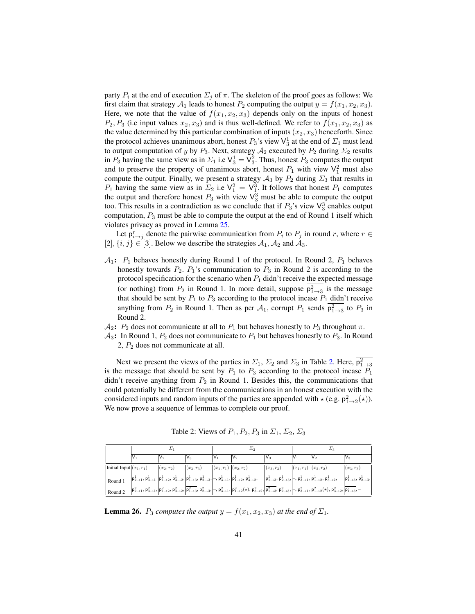party  $P_i$  at the end of execution  $\Sigma_i$  of  $\pi$ . The skeleton of the proof goes as follows: We first claim that strategy  $A_1$  leads to honest  $P_2$  computing the output  $y = f(x_1, x_2, x_3)$ . Here, we note that the value of  $f(x_1, x_2, x_3)$  depends only on the inputs of honest  $P_2$ ,  $P_3$  (i.e input values  $x_2, x_3$ ) and is thus well-defined. We refer to  $f(x_1, x_2, x_3)$  as the value determined by this particular combination of inputs  $(x_2, x_3)$  henceforth. Since the protocol achieves unanimous abort, honest  $P_3$ 's view  $\vee_3^1$  at the end of  $\Sigma_1$  must lead to output computation of y by  $P_3$ . Next, strategy  $A_2$  executed by  $P_2$  during  $\Sigma_2$  results in  $P_3$  having the same view as in  $\Sigma_1$  i.e  $\mathsf{V}_3^1 = \mathsf{V}_3^2$ . Thus, honest  $P_3$  computes the output and to preserve the property of unanimous abort, honest  $P_1$  with view  $\sqrt{V_1^2}$  must also compute the output. Finally, we present a strategy  $A_3$  by  $P_2$  during  $\Sigma_3$  that results in  $P_1$  having the same view as in  $\Sigma_2$  i.e  $\mathsf{V}_1^2 = \mathsf{V}_1^3$ . It follows that honest  $P_1$  computes the output and therefore honest  $P_3$  with view  $\sqrt{3}$  must be able to compute the output too. This results in a contradiction as we conclude that if  $P_3$ 's view  $\sqrt{3}$  enables output computation,  $P_3$  must be able to compute the output at the end of Round 1 itself which violates privacy as proved in Lemma [25.](#page-39-1)

Let  $p_{i\rightarrow j}^r$  denote the pairwise communication from  $P_i$  to  $P_j$  in round r, where  $r \in$ [2],  $\{i, j\} \in [3]$ . Below we describe the strategies  $A_1, A_2$  and  $A_3$ .

 $A_1$ :  $P_1$  behaves honestly during Round 1 of the protocol. In Round 2,  $P_1$  behaves honestly towards  $P_2$ .  $P_1$ 's communication to  $P_3$  in Round 2 is according to the protocol specification for the scenario when  $P_1$  didn't receive the expected message (or nothing) from  $P_2$  in Round 1. In more detail, suppose  $p_{1\rightarrow 3}^2$  is the message that should be sent by  $P_1$  to  $P_3$  according to the protocol incase  $P_1$  didn't receive anything from  $P_2$  in Round 1. Then as per  $\mathcal{A}_1$ , corrupt  $P_1$  sends  $\overline{p_{1\rightarrow 3}^2}$  to  $P_3$  in Round 2.

 $A_2$ :  $P_2$  does not communicate at all to  $P_1$  but behaves honestly to  $P_3$  throughout  $\pi$ .

 $A_3$ : In Round 1,  $P_2$  does not communicate to  $P_1$  but behaves honestly to  $P_3$ . In Round 2,  $P_2$  does not communicate at all.

Next we present the views of the parties in  $\Sigma_1$ ,  $\Sigma_2$  and  $\Sigma_3$  in Table [2.](#page-40-0) Here,  $\overline{p_{1\rightarrow 3}^2}$ is the message that should be sent by  $P_1$  to  $P_3$  according to the protocol incase  $P_1$ didn't receive anything from  $P_2$  in Round 1. Besides this, the communications that could potentially be different from the communications in an honest execution with the considered inputs and random inputs of the parties are appended with  $\star$  (e.g.  $p_{1\to 2}^2(\star)$ ). We now prove a sequence of lemmas to complete our proof.

|  |                            | V <sub>1</sub> | $V_2$        | $V_3$        | V <sub>1</sub>           | $V_{2}$                                                                                                                                                                                                                                                                                                            | $V_3$        |                         | $V_{2}$                                                                                                                                                                                                                                                                                                                                       | $V_3$       |
|--|----------------------------|----------------|--------------|--------------|--------------------------|--------------------------------------------------------------------------------------------------------------------------------------------------------------------------------------------------------------------------------------------------------------------------------------------------------------------|--------------|-------------------------|-----------------------------------------------------------------------------------------------------------------------------------------------------------------------------------------------------------------------------------------------------------------------------------------------------------------------------------------------|-------------|
|  | Initial Input $(x_1, r_1)$ |                | $(x_2, r_2)$ | $(x_3, r_3)$ | $ (x_1,r_1)  (x_2,r_2) $ |                                                                                                                                                                                                                                                                                                                    | $(x_3, r_3)$ | $(x_1,r_1)$ $(x_2,r_2)$ |                                                                                                                                                                                                                                                                                                                                               | $(x_3,r_3)$ |
|  | Round 1                    |                |              |              |                          | $\left  \mathsf{p}^1_{2 \to 1}, \, \mathsf{p}^1_{3 \to 1} \right. \left  \mathsf{p}^1_{1 \to 2}, \, \mathsf{p}^1_{3 \to 2}, \left  \mathsf{p}^1_{1 \to 3}, \, \mathsf{p}^1_{2 \to 3}, \right  \! \negthinspace, \mathsf{p}^1_{3 \to 1}, \left  \mathsf{p}^1_{1 \to 2}, \, \mathsf{p}^1_{3 \to 2}, \right. \right.$ |              |                         | $\left  p_{1\rightarrow 3}^1, p_{2\rightarrow 3}^1, \right , p_{3\rightarrow 1}^1, \left  p_{1\rightarrow 2}^1, p_{3\rightarrow 2}^1, \right  \left. p_{1\rightarrow 3}^1, p_{2\rightarrow 3}^1, \right $                                                                                                                                     |             |
|  | Round 2                    |                |              |              |                          |                                                                                                                                                                                                                                                                                                                    |              |                         | $\left p_{2\to 1}^2, \, p_{3\to 1}^2, \left p_{1\to 2}^2, \, p_{3\to 2}^2, \, \overline{p_{1\to 3}^2}, \, p_{2\to 3}^2, \right  =, \, p_{3\to 1}^2, \left p_{1\to 2}^2(\star), \, p_{3\to 2}^2, \left \overline{p_{1\to 3}^2}, \, p_{2\to 3}^2,\right  =, \, p_{3\to 1}^2, \left p_{1\to 2}^2(\star), \, p_{3\to 2}^2, \overline{p_{1\to 3}^$ |             |

<span id="page-40-0"></span>Table 2: Views of  $P_1$ ,  $P_2$ ,  $P_3$  in  $\Sigma_1$ ,  $\Sigma_2$ ,  $\Sigma_3$ 

<span id="page-40-1"></span>**Lemma 26.**  $P_3$  *computes the output*  $y = f(x_1, x_2, x_3)$  *at the end of*  $\Sigma_1$ *.*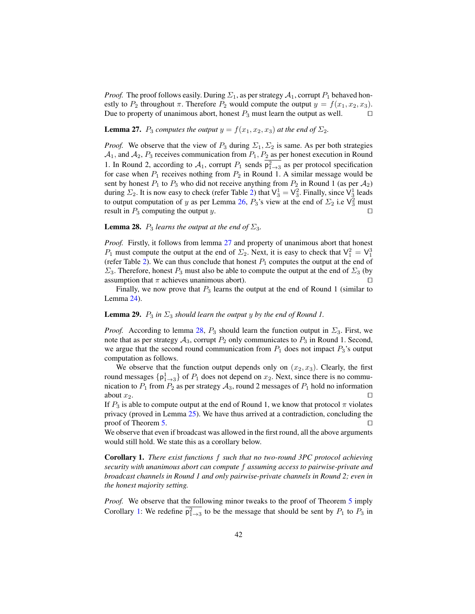*Proof.* The proof follows easily. During  $\Sigma_1$ , as per strategy  $\mathcal{A}_1$ , corrupt  $P_1$  behaved honestly to  $P_2$  throughout  $\pi$ . Therefore  $P_2$  would compute the output  $y = f(x_1, x_2, x_3)$ . Due to property of unanimous abort, honest  $P_3$  must learn the output as well.  $\Box$ 

<span id="page-41-0"></span>**Lemma 27.**  $P_3$  *computes the output*  $y = f(x_1, x_2, x_3)$  *at the end of*  $\Sigma_2$ *.* 

*Proof.* We observe that the view of  $P_3$  during  $\Sigma_1$ ,  $\Sigma_2$  is same. As per both strategies  $A_1$ , and  $A_2$ ,  $P_3$  receives communication from  $P_1$ ,  $P_2$  as per honest execution in Round 1. In Round 2, according to  $A_1$ , corrupt  $P_1$  sends  $p_{1\rightarrow 3}^2$  as per protocol specification for case when  $P_1$  receives nothing from  $P_2$  in Round 1. A similar message would be sent by honest  $P_1$  to  $P_3$  who did not receive anything from  $P_2$  in Round 1 (as per  $\mathcal{A}_2$ ) during  $\Sigma_2$ . It is now easy to check (refer Table [2\)](#page-40-0) that  $\mathsf{V}_3^1 = \mathsf{V}_3^2$ . Finally, since  $\mathsf{V}_3^1$  leads to output computation of y as per Lemma [26,](#page-40-1)  $P_3$ 's view at the end of  $\Sigma_2$  i.e  $\sqrt{3}$  must result in  $P_3$  computing the output y.

#### <span id="page-41-1"></span>**Lemma 28.**  $P_3$  *learns the output at the end of*  $\Sigma_3$ *.*

*Proof.* Firstly, it follows from lemma [27](#page-41-0) and property of unanimous abort that honest  $P_1$  must compute the output at the end of  $\Sigma_2$ . Next, it is easy to check that  $\mathsf{V}_1^2 = \mathsf{V}_1^3$ (refer Table [2\)](#page-40-0). We can thus conclude that honest  $P_1$  computes the output at the end of  $\Sigma_3$ . Therefore, honest  $P_3$  must also be able to compute the output at the end of  $\Sigma_3$  (by assumption that  $\pi$  achieves unanimous abort).

Finally, we now prove that  $P_3$  learns the output at the end of Round 1 (similar to Lemma [24\)](#page-38-1).

### <span id="page-41-3"></span>**Lemma 29.**  $P_3$  *in*  $\Sigma_3$  *should learn the output* y *by the end of Round 1.*

*Proof.* According to lemma [28,](#page-41-1)  $P_3$  should learn the function output in  $\Sigma_3$ . First, we note that as per strategy  $A_3$ , corrupt  $P_2$  only communicates to  $P_3$  in Round 1. Second, we argue that the second round communication from  $P_1$  does not impact  $P_3$ 's output computation as follows.

We observe that the function output depends only on  $(x_2, x_3)$ . Clearly, the first round messages  $\{p_{1\to 3}^1\}$  of  $P_1$  does not depend on  $x_2$ . Next, since there is no communication to  $P_1$  from  $P_2$  as per strategy  $A_3$ , round 2 messages of  $P_1$  hold no information about  $x_2$ .

If  $P_3$  is able to compute output at the end of Round 1, we know that protocol  $\pi$  violates privacy (proved in Lemma [25\)](#page-39-1). We have thus arrived at a contradiction, concluding the proof of Theorem [5.](#page-39-2)  $\Box$ 

We observe that even if broadcast was allowed in the first round, all the above arguments would still hold. We state this as a corollary below.

<span id="page-41-2"></span>Corollary 1. *There exist functions* f *such that no two-round 3PC protocol achieving security with unanimous abort can compute* f *assuming access to pairwise-private and broadcast channels in Round 1 and only pairwise-private channels in Round 2; even in the honest majority setting.*

*Proof.* We observe that the following minor tweaks to the proof of Theorem [5](#page-39-2) imply Corollary [1:](#page-41-2) We redefine  $p_{1\rightarrow 3}^2$  to be the message that should be sent by  $P_1$  to  $P_3$  in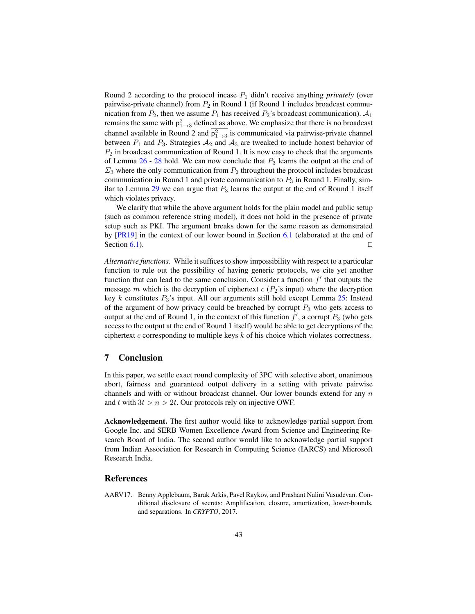Round 2 according to the protocol incase  $P_1$  didn't receive anything *privately* (over pairwise-private channel) from  $P_2$  in Round 1 (if Round 1 includes broadcast communication from  $P_2$ , then we assume  $P_1$  has received  $P_2$ 's broadcast communication).  $A_1$ remains the same with  $p_{1\rightarrow 3}^2$  defined as above. We emphasize that there is no broadcast channel available in Round 2 and  $p_{1\rightarrow 3}^2$  is communicated via pairwise-private channel between  $P_1$  and  $P_3$ . Strategies  $A_2$  and  $A_3$  are tweaked to include honest behavior of  $P_2$  in broadcast communication of Round 1. It is now easy to check that the arguments of Lemma  $26 - 28$  $26 - 28$  $26 - 28$  hold. We can now conclude that  $P_3$  learns the output at the end of  $\Sigma_3$  where the only communication from  $P_2$  throughout the protocol includes broadcast communication in Round 1 and private communication to  $P_3$  in Round 1. Finally, similar to Lemma  $29$  we can argue that  $P_3$  learns the output at the end of Round 1 itself which violates privacy.

We clarify that while the above argument holds for the plain model and public setup (such as common reference string model), it does not hold in the presence of private setup such as PKI. The argument breaks down for the same reason as demonstrated by [\[PR19\]](#page-46-7) in the context of our lower bound in Section [6.1](#page-36-1) (elaborated at the end of Section [6.1\)](#page-36-1).

*Alternative functions.* While it suffices to show impossibility with respect to a particular function to rule out the possibility of having generic protocols, we cite yet another function that can lead to the same conclusion. Consider a function  $f'$  that outputs the message m which is the decryption of ciphertext  $c$  ( $P_2$ 's input) where the decryption key  $k$  constitutes  $P_3$ 's input. All our arguments still hold except Lemma [25:](#page-39-1) Instead of the argument of how privacy could be breached by corrupt  $P_3$  who gets access to output at the end of Round 1, in the context of this function  $f'$ , a corrupt  $P_3$  (who gets access to the output at the end of Round 1 itself) would be able to get decryptions of the ciphertext c corresponding to multiple keys  $k$  of his choice which violates correctness.

## <span id="page-42-0"></span>7 Conclusion

In this paper, we settle exact round complexity of 3PC with selective abort, unanimous abort, fairness and guaranteed output delivery in a setting with private pairwise channels and with or without broadcast channel. Our lower bounds extend for any  $n$ and t with  $3t > n > 2t$ . Our protocols rely on injective OWF.

Acknowledgement. The first author would like to acknowledge partial support from Google Inc. and SERB Women Excellence Award from Science and Engineering Research Board of India. The second author would like to acknowledge partial support from Indian Association for Research in Computing Science (IARCS) and Microsoft Research India.

## References

<span id="page-42-1"></span>AARV17. Benny Applebaum, Barak Arkis, Pavel Raykov, and Prashant Nalini Vasudevan. Conditional disclosure of secrets: Amplification, closure, amortization, lower-bounds, and separations. In *CRYPTO*, 2017.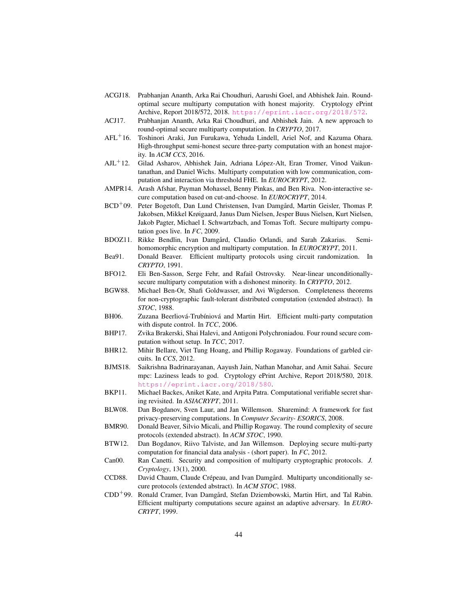- <span id="page-43-16"></span>ACGJ18. Prabhanjan Ananth, Arka Rai Choudhuri, Aarushi Goel, and Abhishek Jain. Roundoptimal secure multiparty computation with honest majority. Cryptology ePrint Archive, Report 2018/572, 2018. <https://eprint.iacr.org/2018/572>.
- <span id="page-43-2"></span>ACJ17. Prabhanjan Ananth, Arka Rai Choudhuri, and Abhishek Jain. A new approach to round-optimal secure multiparty computation. In *CRYPTO*, 2017.
- <span id="page-43-14"></span>AFL<sup>+</sup>16. Toshinori Araki, Jun Furukawa, Yehuda Lindell, Ariel Nof, and Kazuma Ohara. High-throughput semi-honest secure three-party computation with an honest majority. In *ACM CCS*, 2016.
- <span id="page-43-18"></span>AJL<sup>+</sup>12. Gilad Asharov, Abhishek Jain, Adriana López-Alt, Eran Tromer, Vinod Vaikuntanathan, and Daniel Wichs. Multiparty computation with low communication, computation and interaction via threshold FHE. In *EUROCRYPT*, 2012.
- <span id="page-43-10"></span>AMPR14. Arash Afshar, Payman Mohassel, Benny Pinkas, and Ben Riva. Non-interactive secure computation based on cut-and-choose. In *EUROCRYPT*, 2014.
- <span id="page-43-11"></span>BCD<sup>+</sup>09. Peter Bogetoft, Dan Lund Christensen, Ivan Damgård, Martin Geisler, Thomas P. Jakobsen, Mikkel Krøigaard, Janus Dam Nielsen, Jesper Buus Nielsen, Kurt Nielsen, Jakob Pagter, Michael I. Schwartzbach, and Tomas Toft. Secure multiparty computation goes live. In *FC*, 2009.
- <span id="page-43-0"></span>BDOZ11. Rikke Bendlin, Ivan Damgård, Claudio Orlandi, and Sarah Zakarias. Semihomomorphic encryption and multiparty computation. In *EUROCRYPT*, 2011.
- <span id="page-43-6"></span>Bea91. Donald Beaver. Efficient multiparty protocols using circuit randomization. In *CRYPTO*, 1991.
- <span id="page-43-7"></span>BFO12. Eli Ben-Sasson, Serge Fehr, and Rafail Ostrovsky. Near-linear unconditionallysecure multiparty computation with a dishonest minority. In *CRYPTO*, 2012.
- <span id="page-43-3"></span>BGW88. Michael Ben-Or, Shafi Goldwasser, and Avi Wigderson. Completeness theorems for non-cryptographic fault-tolerant distributed computation (extended abstract). In *STOC*, 1988.
- <span id="page-43-8"></span>BH06. Zuzana Beerliová-Trubíniová and Martin Hirt. Efficient multi-party computation with dispute control. In *TCC*, 2006.
- <span id="page-43-1"></span>BHP17. Zvika Brakerski, Shai Halevi, and Antigoni Polychroniadou. Four round secure computation without setup. In *TCC*, 2017.
- <span id="page-43-19"></span>BHR12. Mihir Bellare, Viet Tung Hoang, and Phillip Rogaway. Foundations of garbled circuits. In *CCS*, 2012.
- <span id="page-43-17"></span>BJMS18. Saikrishna Badrinarayanan, Aayush Jain, Nathan Manohar, and Amit Sahai. Secure mpc: Laziness leads to god. Cryptology ePrint Archive, Report 2018/580, 2018. <https://eprint.iacr.org/2018/580>.
- <span id="page-43-15"></span>BKP11. Michael Backes, Aniket Kate, and Arpita Patra. Computational verifiable secret sharing revisited. In *ASIACRYPT*, 2011.
- <span id="page-43-13"></span>BLW08. Dan Bogdanov, Sven Laur, and Jan Willemson. Sharemind: A framework for fast privacy-preserving computations. In *Computer Security- ESORICS*, 2008.
- <span id="page-43-5"></span>BMR90. Donald Beaver, Silvio Micali, and Phillip Rogaway. The round complexity of secure protocols (extended abstract). In *ACM STOC*, 1990.
- <span id="page-43-12"></span>BTW12. Dan Bogdanov, Riivo Talviste, and Jan Willemson. Deploying secure multi-party computation for financial data analysis - (short paper). In *FC*, 2012.
- <span id="page-43-20"></span>Can00. Ran Canetti. Security and composition of multiparty cryptographic protocols. *J. Cryptology*, 13(1), 2000.
- <span id="page-43-4"></span>CCD88. David Chaum, Claude Crépeau, and Ivan Damgård. Multiparty unconditionally secure protocols (extended abstract). In *ACM STOC*, 1988.
- <span id="page-43-9"></span>CDD<sup>+</sup>99. Ronald Cramer, Ivan Damgård, Stefan Dziembowski, Martin Hirt, and Tal Rabin. Efficient multiparty computations secure against an adaptive adversary. In *EURO-CRYPT*, 1999.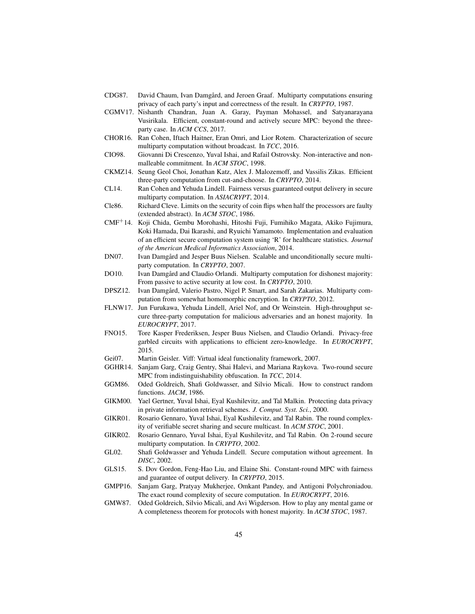- <span id="page-44-1"></span>CDG87. David Chaum, Ivan Damgård, and Jeroen Graaf. Multiparty computations ensuring privacy of each party's input and correctness of the result. In *CRYPTO*, 1987.
- <span id="page-44-12"></span>CGMV17. Nishanth Chandran, Juan A. Garay, Payman Mohassel, and Satyanarayana Vusirikala. Efficient, constant-round and actively secure MPC: beyond the threeparty case. In *ACM CCS*, 2017.
- <span id="page-44-18"></span>CHOR16. Ran Cohen, Iftach Haitner, Eran Omri, and Lior Rotem. Characterization of secure multiparty computation without broadcast. In *TCC*, 2016.
- <span id="page-44-22"></span>CIO98. Giovanni Di Crescenzo, Yuval Ishai, and Rafail Ostrovsky. Non-interactive and nonmalleable commitment. In *ACM STOC*, 1998.
- <span id="page-44-17"></span>CKMZ14. Seung Geol Choi, Jonathan Katz, Alex J. Malozemoff, and Vassilis Zikas. Efficient three-party computation from cut-and-choose. In *CRYPTO*, 2014.
- <span id="page-44-15"></span>CL14. Ran Cohen and Yehuda Lindell. Fairness versus guaranteed output delivery in secure multiparty computation. In *ASIACRYPT*, 2014.
- <span id="page-44-9"></span>Cle86. Richard Cleve. Limits on the security of coin flips when half the processors are faulty (extended abstract). In *ACM STOC*, 1986.
- <span id="page-44-7"></span>CMF<sup>+</sup>14. Koji Chida, Gembu Morohashi, Hitoshi Fuji, Fumihiko Magata, Akiko Fujimura, Koki Hamada, Dai Ikarashi, and Ryuichi Yamamoto. Implementation and evaluation of an efficient secure computation system using 'R' for healthcare statistics. *Journal of the American Medical Informatics Association*, 2014.
- <span id="page-44-5"></span>DN07. Ivan Damgård and Jesper Buus Nielsen. Scalable and unconditionally secure multiparty computation. In *CRYPTO*, 2007.
- <span id="page-44-2"></span>DO10. Ivan Damgård and Claudio Orlandi. Multiparty computation for dishonest majority: From passive to active security at low cost. In *CRYPTO*, 2010.
- <span id="page-44-3"></span>DPSZ12. Ivan Damgård, Valerio Pastro, Nigel P. Smart, and Sarah Zakarias. Multiparty computation from somewhat homomorphic encryption. In *CRYPTO*, 2012.
- <span id="page-44-8"></span>FLNW17. Jun Furukawa, Yehuda Lindell, Ariel Nof, and Or Weinstein. High-throughput secure three-party computation for malicious adversaries and an honest majority. In *EUROCRYPT*, 2017.
- <span id="page-44-20"></span>FNO15. Tore Kasper Frederiksen, Jesper Buus Nielsen, and Claudio Orlandi. Privacy-free garbled circuits with applications to efficient zero-knowledge. In *EUROCRYPT*, 2015.
- <span id="page-44-6"></span>Gei07. Martin Geisler. Viff: Virtual ideal functionality framework, 2007.
- <span id="page-44-4"></span>GGHR14. Sanjam Garg, Craig Gentry, Shai Halevi, and Mariana Raykova. Two-round secure MPC from indistinguishability obfuscation. In *TCC*, 2014.
- <span id="page-44-21"></span>GGM86. Oded Goldreich, Shafi Goldwasser, and Silvio Micali. How to construct random functions. *JACM*, 1986.
- <span id="page-44-19"></span>GIKM00. Yael Gertner, Yuval Ishai, Eyal Kushilevitz, and Tal Malkin. Protecting data privacy in private information retrieval schemes. *J. Comput. Syst. Sci.*, 2000.
- <span id="page-44-11"></span>GIKR01. Rosario Gennaro, Yuval Ishai, Eyal Kushilevitz, and Tal Rabin. The round complexity of verifiable secret sharing and secure multicast. In *ACM STOC*, 2001.
- <span id="page-44-10"></span>GIKR02. Rosario Gennaro, Yuval Ishai, Eyal Kushilevitz, and Tal Rabin. On 2-round secure multiparty computation. In *CRYPTO*, 2002.
- <span id="page-44-16"></span>GL02. Shafi Goldwasser and Yehuda Lindell. Secure computation without agreement. In *DISC*, 2002.
- <span id="page-44-14"></span>GLS15. S. Dov Gordon, Feng-Hao Liu, and Elaine Shi. Constant-round MPC with fairness and guarantee of output delivery. In *CRYPTO*, 2015.
- <span id="page-44-13"></span>GMPP16. Sanjam Garg, Pratyay Mukherjee, Omkant Pandey, and Antigoni Polychroniadou. The exact round complexity of secure computation. In *EUROCRYPT*, 2016.
- <span id="page-44-0"></span>GMW87. Oded Goldreich, Silvio Micali, and Avi Wigderson. How to play any mental game or A completeness theorem for protocols with honest majority. In *ACM STOC*, 1987.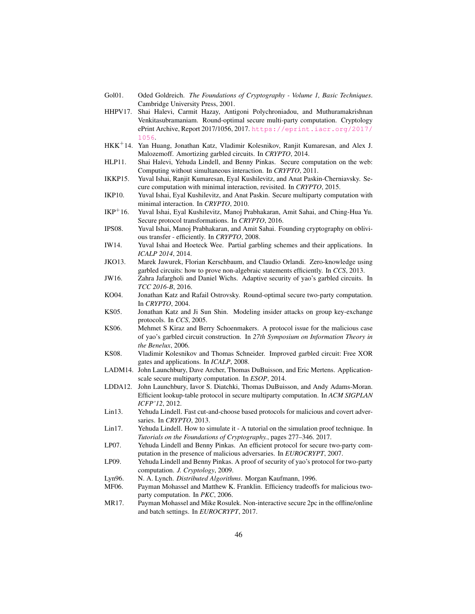- <span id="page-45-21"></span>Gol01. Oded Goldreich. *The Foundations of Cryptography - Volume 1, Basic Techniques*. Cambridge University Press, 2001.
- <span id="page-45-9"></span>HHPV17. Shai Halevi, Carmit Hazay, Antigoni Polychroniadou, and Muthuramakrishnan Venkitasubramaniam. Round-optimal secure multi-party computation. Cryptology ePrint Archive, Report 2017/1056, 2017. [https://eprint.iacr.org/2017/](https://eprint.iacr.org/2017/1056) [1056](https://eprint.iacr.org/2017/1056).
- <span id="page-45-2"></span>HKK<sup>+</sup>14. Yan Huang, Jonathan Katz, Vladimir Kolesnikov, Ranjit Kumaresan, and Alex J. Malozemoff. Amortizing garbled circuits. In *CRYPTO*, 2014.
- <span id="page-45-8"></span>HLP11. Shai Halevi, Yehuda Lindell, and Benny Pinkas. Secure computation on the web: Computing without simultaneous interaction. In *CRYPTO*, 2011.
- <span id="page-45-6"></span>IKKP15. Yuval Ishai, Ranjit Kumaresan, Eyal Kushilevitz, and Anat Paskin-Cherniavsky. Secure computation with minimal interaction, revisited. In *CRYPTO*, 2015.
- <span id="page-45-10"></span>IKP10. Yuval Ishai, Eyal Kushilevitz, and Anat Paskin. Secure multiparty computation with minimal interaction. In *CRYPTO*, 2010.
- <span id="page-45-11"></span>IKP<sup>+</sup>16. Yuval Ishai, Eyal Kushilevitz, Manoj Prabhakaran, Amit Sahai, and Ching-Hua Yu. Secure protocol transformations. In *CRYPTO*, 2016.
- <span id="page-45-0"></span>IPS08. Yuval Ishai, Manoj Prabhakaran, and Amit Sahai. Founding cryptography on oblivious transfer - efficiently. In *CRYPTO*, 2008.
- <span id="page-45-13"></span>IW14. Yuval Ishai and Hoeteck Wee. Partial garbling schemes and their applications. In *ICALP 2014*, 2014.
- <span id="page-45-12"></span>JKO13. Marek Jawurek, Florian Kerschbaum, and Claudio Orlandi. Zero-knowledge using garbled circuits: how to prove non-algebraic statements efficiently. In *CCS*, 2013.
- <span id="page-45-17"></span>JW16. Zahra Jafargholi and Daniel Wichs. Adaptive security of yao's garbled circuits. In *TCC 2016-B*, 2016.
- <span id="page-45-7"></span>KO04. Jonathan Katz and Rafail Ostrovsky. Round-optimal secure two-party computation. In *CRYPTO*, 2004.
- <span id="page-45-20"></span>KS05. Jonathan Katz and Ji Sun Shin. Modeling insider attacks on group key-exchange protocols. In *CCS*, 2005.
- <span id="page-45-15"></span>KS06. Mehmet S Kiraz and Berry Schoenmakers. A protocol issue for the malicious case of yao's garbled circuit construction. In *27th Symposium on Information Theory in the Benelux*, 2006.
- <span id="page-45-23"></span>KS08. Vladimir Kolesnikov and Thomas Schneider. Improved garbled circuit: Free XOR gates and applications. In *ICALP*, 2008.
- <span id="page-45-4"></span>LADM14. John Launchbury, Dave Archer, Thomas DuBuisson, and Eric Mertens. Applicationscale secure multiparty computation. In *ESOP*, 2014.
- <span id="page-45-5"></span>LDDA12. John Launchbury, Iavor S. Diatchki, Thomas DuBuisson, and Andy Adams-Moran. Efficient lookup-table protocol in secure multiparty computation. In *ACM SIGPLAN ICFP'12*, 2012.
- <span id="page-45-1"></span>Lin13. Yehuda Lindell. Fast cut-and-choose based protocols for malicious and covert adversaries. In *CRYPTO*, 2013.
- <span id="page-45-22"></span>Lin17. Yehuda Lindell. How to simulate it - A tutorial on the simulation proof technique. In *Tutorials on the Foundations of Cryptography.*, pages 277–346. 2017.
- <span id="page-45-16"></span>LP07. Yehuda Lindell and Benny Pinkas. An efficient protocol for secure two-party computation in the presence of malicious adversaries. In *EUROCRYPT*, 2007.
- <span id="page-45-18"></span>LP09. Yehuda Lindell and Benny Pinkas. A proof of security of yao's protocol for two-party computation. *J. Cryptology*, 2009.
- <span id="page-45-19"></span>Lyn96. N. A. Lynch. *Distributed Algorithms*. Morgan Kaufmann, 1996.
- <span id="page-45-14"></span>MF06. Payman Mohassel and Matthew K. Franklin. Efficiency tradeoffs for malicious twoparty computation. In *PKC*, 2006.
- <span id="page-45-3"></span>MR17. Payman Mohassel and Mike Rosulek. Non-interactive secure 2pc in the offline/online and batch settings. In *EUROCRYPT*, 2017.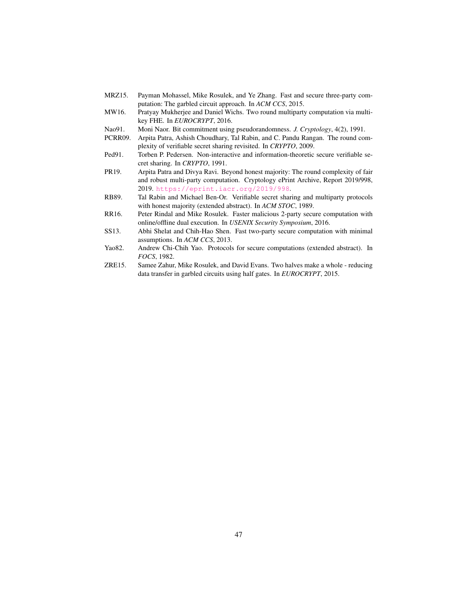- <span id="page-46-4"></span>MRZ15. Payman Mohassel, Mike Rosulek, and Ye Zhang. Fast and secure three-party computation: The garbled circuit approach. In *ACM CCS*, 2015.
- <span id="page-46-6"></span>MW16. Pratyay Mukherjee and Daniel Wichs. Two round multiparty computation via multikey FHE. In *EUROCRYPT*, 2016.
- <span id="page-46-8"></span>Nao91. Moni Naor. Bit commitment using pseudorandomness. *J. Cryptology*, 4(2), 1991.
- <span id="page-46-5"></span>PCRR09. Arpita Patra, Ashish Choudhary, Tal Rabin, and C. Pandu Rangan. The round complexity of verifiable secret sharing revisited. In *CRYPTO*, 2009.
- <span id="page-46-9"></span>Ped91. Torben P. Pedersen. Non-interactive and information-theoretic secure verifiable secret sharing. In *CRYPTO*, 1991.
- <span id="page-46-7"></span>PR19. Arpita Patra and Divya Ravi. Beyond honest majority: The round complexity of fair and robust multi-party computation. Cryptology ePrint Archive, Report 2019/998, 2019. <https://eprint.iacr.org/2019/998>.
- <span id="page-46-1"></span>RB89. Tal Rabin and Michael Ben-Or. Verifiable secret sharing and multiparty protocols with honest majority (extended abstract). In *ACM STOC*, 1989.
- <span id="page-46-3"></span>RR16. Peter Rindal and Mike Rosulek. Faster malicious 2-party secure computation with online/offline dual execution. In *USENIX Security Symposium*, 2016.
- <span id="page-46-2"></span>SS13. Abhi Shelat and Chih-Hao Shen. Fast two-party secure computation with minimal assumptions. In *ACM CCS*, 2013.
- <span id="page-46-0"></span>Yao82. Andrew Chi-Chih Yao. Protocols for secure computations (extended abstract). In *FOCS*, 1982.
- <span id="page-46-10"></span>ZRE15. Samee Zahur, Mike Rosulek, and David Evans. Two halves make a whole - reducing data transfer in garbled circuits using half gates. In *EUROCRYPT*, 2015.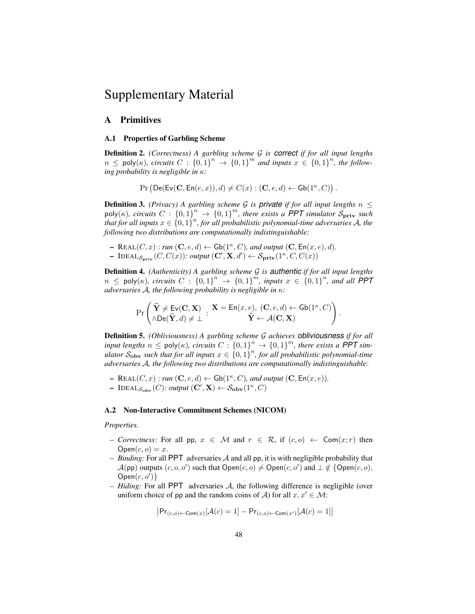## Supplementary Material

## <span id="page-47-0"></span>A Primitives

#### <span id="page-47-1"></span>A.1 Properties of Garbling Scheme

Definition 2. *(Correctness) A garbling scheme* G *is correct if for all input lengths*  $n \leq \text{poly}(\kappa)$ , circuits  $C: \{0,1\}^n \to \{0,1\}^m$  and inputs  $x \in \{0,1\}^n$ , the follow*ing probability is negligible in* κ*:*

 $Pr(De(Ev(C, En(e, x)), d) \neq C(x) : (C, e, d) \leftarrow Gb(1^{\kappa}, C))$ .

**Definition 3.** *(Privacy)* A garbling scheme G is **private** *if for all input lengths*  $n \leq$  $\mathsf{poly}(\kappa)$ , circuits  $C: \{0,1\}^n \to \{0,1\}^m$ , there exists a **PPT** simulator  $\mathcal{S}_{\mathbf{priv}}$  such *that for all inputs*  $x \in \{0,1\}^n$ , for all probabilistic polynomial-time adversaries A, the *following two distributions are computationally indistinguishable:*

- $-$  REAL $(C, x)$ : *run*  $(C, e, d) \leftarrow$  Gb $(1^{\kappa}, C)$ *, and output*  $(C, En(x, e), d)$ *.*
- IDEAL $_{\mathcal{S}_{\text{priv}}}$  $(C, C(x))$ : output  $(\mathbf{C}', \mathbf{X}, d') \leftarrow \mathcal{S}_{\text{priv}}(1^{\kappa}, C, C(x))$

Definition 4. *(Authenticity) A garbling scheme* G *is authentic if for all input lengths*  $n \leq \text{poly}(\kappa)$ , circuits  $C : \{0,1\}^n \to \{0,1\}^m$ , inputs  $x \in \{0,1\}^n$ , and all PPT *adversaries* A*, the following probability is negligible in* κ*:*

$$
\Pr\left(\frac{\widehat{\mathbf{Y}} \neq \textsf{Ev}(\mathbf{C},\mathbf{X})}{\wedge \textsf{De}(\widehat{\mathbf{Y}},d) \neq \bot} : \frac{\mathbf{X} = \textsf{En}(x,e), (C,e,d) \leftarrow \textsf{Gb}(1^{\kappa},C)}{\widehat{\mathbf{Y}} \leftarrow \mathcal{A}(\mathbf{C},\mathbf{X})}\right).
$$

Definition 5. *(Obliviousness) A garbling scheme* G *achieves obliviousness if for all input lengths*  $n \leq \text{poly}(\kappa)$ , circuits  $C : \{0,1\}^n \to \{0,1\}^m$ , there exists a PPT sim $u$ *lator*  $S_{\text{obv}}$  such that for all inputs  $x \in \{0,1\}^n$ , for all probabilistic polynomial-time *adversaries* A*, the following two distributions are computationally indistinguishable:*

- $-$  REAL $(C, x)$ : *run*  $(C, e, d) \leftarrow$  Gb $(1^{\kappa}, C)$ *, and output*  $(C, En(x, e))$ *.*
- $-$  IDEAL<sub>S<sub>obv</sub>(C): output  $(C', X) \leftarrow S_{obv}(1^{\kappa}, C)$ </sub>

#### <span id="page-47-2"></span>A.2 Non-Interactive Commitment Schemes (NICOM)

*Properties.*

- *Correctness:* For all pp,  $x \in M$  and  $r \in \mathcal{R}$ , if  $(c, o) \leftarrow \text{Com}(x; r)$  then  $Open(c, o) = x.$
- *Binding:* For all PPT adversaries A and all pp, it is with negligible probability that  $\mathcal{A}(pp)$  outputs  $(c, o, o')$  such that  $Open(c, o) \neq Open(c, o')$  and  $\perp \notin \{Open(c, o),\}$  $Open(c, o')\}$
- *Hiding:* For all PPT adversaries A, the following difference is negligible (over uniform choice of pp and the random coins of A) for all  $x, x' \in M$ :

$$
\big|\mathsf{Pr}_{(c,o)\leftarrow\mathsf{Com}(x)}[\mathcal{A}(c)=1]-\mathsf{Pr}_{(c,o)\leftarrow\mathsf{Com}(x')}[\mathcal{A}(c)=1]\big|
$$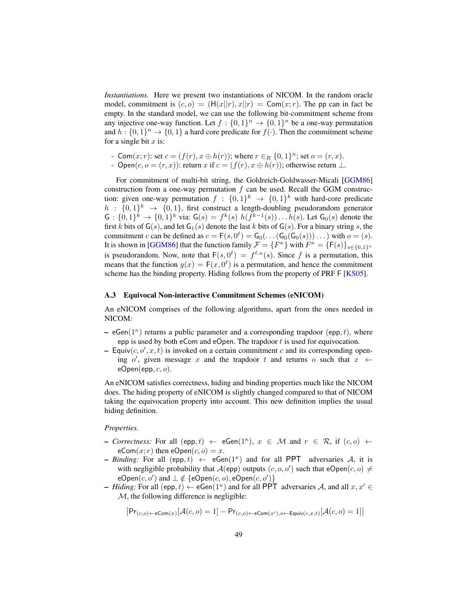*Instantiations.* Here we present two instantiations of NICOM. In the random oracle model, commitment is  $(c, o) = (H(x||r), x||r) = \text{Com}(x; r)$ . The pp can in fact be empty. In the standard model, we can use the following bit-commitment scheme from any injective one-way function. Let  $f: \{0,1\}^n \to \{0,1\}^n$  be a one-way permutation and  $h: \{0,1\}^n \to \{0,1\}$  a hard core predicate for  $f(\cdot)$ . Then the commitment scheme for a single bit  $x$  is:

- Com $(x; r)$ : set  $c = (f(r), x \oplus h(r))$ ; where  $r \in_R \{0, 1\}^n$ ; set  $o = (r, x)$ .
- Open $(c, o = (r, x))$ : return x if  $c = (f(r), x \oplus h(r))$ ; otherwise return  $\perp$ .

For commitment of multi-bit string, the Goldreich-Goldwasser-Micali [\[GGM86\]](#page-44-21) construction from a one-way permutation  $f$  can be used. Recall the GGM construction: given one-way permutation  $f : \{0,1\}^k \rightarrow \{0,1\}^k$  with hard-core predicate  $h : \{0,1\}^k \rightarrow \{0,1\}$ , first construct a length-doubling pseudorandom generator  $G: \{0,1\}^k \to \{0,1\}^k$  via:  $G(s) = f^k(s) h(f^{k-1}(s)) \dots h(s)$ . Let  $G_0(s)$  denote the first k bits of  $G(s)$ , and let  $G_1(s)$  denote the last k bits of  $G(s)$ . For a binary string s, the commitment c can be defined as  $c = F(s, 0^{\ell}) = G_0(\dots(G_0(G_0(s))) \dots)$  with  $o = (s)$ . It is shown in [\[GGM86\]](#page-44-21) that the function family  $\mathcal{F} = \{F^{\kappa}\}\$  with  $F^{\kappa} = \{F(s)\}_{s \in \{0,1\}^{\kappa}}$ is pseudorandom. Now, note that  $F(s, 0^{\ell}) = f^{\ell, \kappa}(s)$ . Since f is a permutation, this means that the function  $g(x) = F(x, 0^{\ell})$  is a permutation, and hence the commitment scheme has the binding property. Hiding follows from the property of PRF F [\[KS05\]](#page-45-20).

#### <span id="page-48-0"></span>A.3 Equivocal Non-interactive Commitment Schemes (eNICOM)

An eNICOM comprises of the following algorithms, apart from the ones needed in NICOM:

- $\text{-}$  eGen(1<sup> $\kappa$ </sup>) returns a public parameter and a corresponding trapdoor (epp, t), where epp is used by both eCom and eOpen. The trapdoor  $t$  is used for equivocation.
- Equiv $(c, o', x, t)$  is invoked on a certain commitment c and its corresponding opening o', given message x and the trapdoor t and returns o such that  $x \leftarrow$  $eOpen(ep, c, o)$ .

An eNICOM satisfies correctness, hiding and binding properties much like the NICOM does. The hiding property of eNICOM is slightly changed compared to that of NICOM taking the equivocation property into account. This new definition implies the usual hiding definition.

#### *Properties.*

- $\text{-} \text{ \textit{Correctness:} For all (epp, t) ← eGen(1<sup>κ</sup>), x ∈ M and r ∈ R, if (c, o) ← cGen(1<sup>κ</sup>), and if (c, o) ← cGen(1<sup>κ</sup>), and if (c, o) ← cGen(1<sup>κ</sup>), and if (c, o) ← cGen(1<sup>κ</sup>), and if (c, o) ← cGen(1<sup>κ</sup>), and if (c, o) ← cGen(1<sup>κ</sup>), and then if (c, o) ← cGen(1<sup>κ</sup>), and then if (c, o) ← cGen(1<sup>κ</sup>), and then if (c, o) ← cGen(1<$  $eCom(x; r)$  then  $eOpen(c, o) = x$ .
- *Binding*: For all  $(\text{epp}, t) \leftarrow \text{eGen}(1^{\kappa})$  and for all PPT adversaries A, it is with negligible probability that  $\mathcal{A}(epp)$  outputs  $(c, o, o')$  such that eOpen $(c, o) \neq$ eOpen $(c, o')$  and  $\perp \notin {\{ \text{eOpen}(c, o), \text{eOpen}(c, o') \}}$
- *Hiding*: For all  $(\text{epp}, t)$  ←  $\text{eGen}(1^{\kappa})$  and for all PPT adversaries A, and all  $x, x' \in$  $M$ , the following difference is negligible:

$$
\big|\mathsf{Pr}_{(c,o) \gets \mathsf{eCom}(x)}[\mathcal{A}(c,o) = 1] - \mathsf{Pr}_{(c,o) \gets \mathsf{eCom}(x'), o \gets \mathsf{Equiv}(c,x,t)}[\mathcal{A}(c,o) = 1]\big|
$$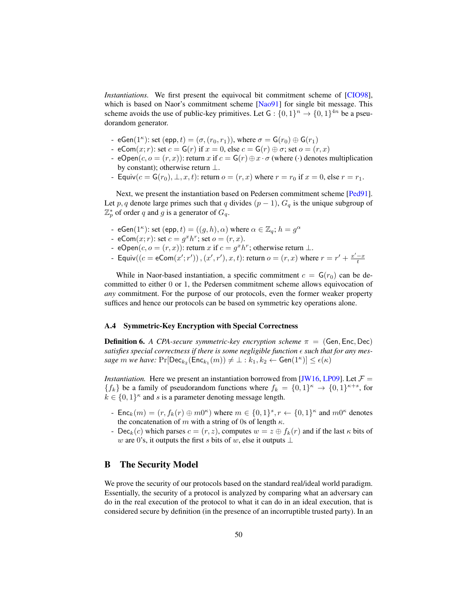*Instantiations.* We first present the equivocal bit commitment scheme of [\[CIO98\]](#page-44-22), which is based on Naor's commitment scheme [\[Nao91\]](#page-46-8) for single bit message. This scheme avoids the use of public-key primitives. Let  $G: \{0,1\}^n \to \{0,1\}^{4n}$  be a pseudorandom generator.

- eGen $(1^{\kappa})$ : set  $(\text{epp}, t) = (\sigma, (r_0, r_1))$ , where  $\sigma = \mathsf{G}(r_0) \oplus \mathsf{G}(r_1)$
- eCom $(x; r)$ : set  $c = G(r)$  if  $x = 0$ , else  $c = G(r) \oplus \sigma$ ; set  $o = (r, x)$
- eOpen $(c, o = (r, x))$ : return x if  $c = G(r) \oplus x \cdot \sigma$  (where (·) denotes multiplication by constant); otherwise return  $\perp$ .
- Equiv $(c = G(r_0), \perp, x, t)$ : return  $o = (r, x)$  where  $r = r_0$  if  $x = 0$ , else  $r = r_1$ .

Next, we present the instantiation based on Pedersen commitment scheme [\[Ped91\]](#page-46-9). Let p, q denote large primes such that q divides  $(p-1)$ ,  $G_q$  is the unique subgroup of  $\mathbb{Z}_p^*$  of order q and g is a generator of  $G_q$ .

- eGen $(1^{\kappa})$ : set  $(\text{epp}, t) = ((g, h), \alpha)$  where  $\alpha \in \mathbb{Z}_q$ ;  $h = g^{\alpha}$
- eCom $(x; r)$ : set  $c = g^x h^r$ ; set  $o = (r, x)$ .
- eOpen $(c, o = (r, x))$ : return x if  $c = g^x h^r$ ; otherwise return  $\perp$ .
- Equiv $((c = eCom(x'; r'))$ ,  $(x', r'), x, t$ ): return  $o = (r, x)$  where  $r = r' + \frac{x'-x}{t}$

While in Naor-based instantiation, a specific commitment  $c = G(r_0)$  can be decommitted to either 0 or 1, the Pedersen commitment scheme allows equivocation of *any* commitment. For the purpose of our protocols, even the former weaker property suffices and hence our protocols can be based on symmetric key operations alone.

#### <span id="page-49-0"></span>A.4 Symmetric-Key Encryption with Special Correctness

<span id="page-49-2"></span>**Definition 6.** *A CPA-secure symmetric-key encryption scheme*  $\pi = (Gen, Enc, Dec)$ *satisfies special correctness if there is some negligible function such that for any message m we have:*  $Pr[Dec_{k_2}(\text{Enc}_{k_1}(m)) \neq \bot : k_1, k_2 \leftarrow Gen(1^{\kappa})] \leq \epsilon(\kappa)$ 

*Instantiation.* Here we present an instantiation borrowed from [\[JW16,](#page-45-17) [LP09\]](#page-45-18). Let  $\mathcal{F} =$  ${f_k}$  be a family of pseudorandom functions where  $f_k = {0,1}^\kappa \rightarrow {0,1}^{\kappa+s}$ , for  $k \in \{0,1\}^{\kappa}$  and s is a parameter denoting message length.

- $Enc_k(m) = (r, f_k(r) \oplus m0^k)$  where  $m \in \{0, 1\}^s, r \leftarrow \{0, 1\}^k$  and  $m0^k$  denotes the concatenation of m with a string of 0s of length  $\kappa$ .
- Dec<sub>k</sub>(c) which parses  $c = (r, z)$ , computes  $w = z \oplus f_k(r)$  and if the last  $\kappa$  bits of w are 0's, it outputs the first s bits of w, else it outputs  $\perp$

## <span id="page-49-1"></span>B The Security Model

We prove the security of our protocols based on the standard real/ideal world paradigm. Essentially, the security of a protocol is analyzed by comparing what an adversary can do in the real execution of the protocol to what it can do in an ideal execution, that is considered secure by definition (in the presence of an incorruptible trusted party). In an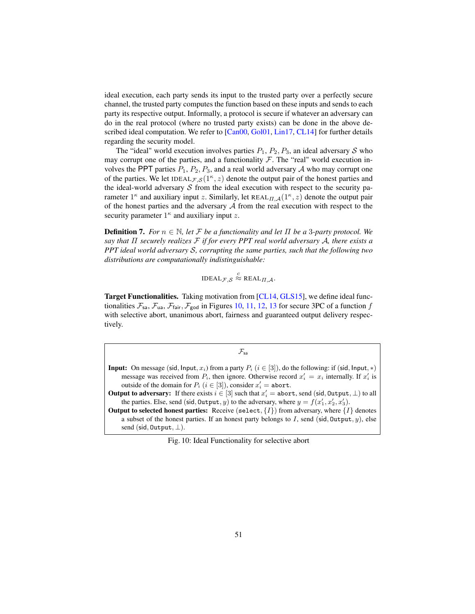ideal execution, each party sends its input to the trusted party over a perfectly secure channel, the trusted party computes the function based on these inputs and sends to each party its respective output. Informally, a protocol is secure if whatever an adversary can do in the real protocol (where no trusted party exists) can be done in the above de-scribed ideal computation. We refer to [\[Can00,](#page-43-20) [Gol01,](#page-45-21) [Lin17,](#page-45-22) [CL14\]](#page-44-15) for further details regarding the security model.

The "ideal" world execution involves parties  $P_1$ ,  $P_2$ ,  $P_3$ , an ideal adversary S who may corrupt one of the parties, and a functionality  $F$ . The "real" world execution involves the PPT parties  $P_1$ ,  $P_2$ ,  $P_3$ , and a real world adversary A who may corrupt one of the parties. We let  $IDEAL_{\mathcal{F},\mathcal{S}}(1^{\kappa},z)$  denote the output pair of the honest parties and the ideal-world adversary  $S$  from the ideal execution with respect to the security parameter  $1^{\kappa}$  and auxiliary input z. Similarly, let REAL $_{\Pi,\mathcal{A}}(1^{\kappa},z)$  denote the output pair of the honest parties and the adversary  $A$  from the real execution with respect to the security parameter  $1^{\kappa}$  and auxiliary input z.

**Definition 7.** *For*  $n \in \mathbb{N}$ *, let*  $\mathcal{F}$  *be a functionality and let*  $\Pi$  *be a* 3*-party protocol. We say that* Π *securely realizes* F *if for every PPT real world adversary* A*, there exists a PPT ideal world adversary* S*, corrupting the same parties, such that the following two distributions are computationally indistinguishable:*

$$
\text{IDEAL}_{\mathcal{F},\mathcal{S}} \stackrel{c}{\approx} \text{REAL}_{\Pi,\mathcal{A}}.
$$

Target Functionalities. Taking motivation from [\[CL14,](#page-44-15) [GLS15\]](#page-44-14), we define ideal functionalities  $\mathcal{F}_{sa}$ ,  $\mathcal{F}_{ua}$ ,  $\mathcal{F}_{fair}$ ,  $\mathcal{F}_{god}$  in Figures [10,](#page-50-0) [11,](#page-51-1) [12,](#page-51-2) [13](#page-51-3) for secure 3PC of a function f with selective abort, unanimous abort, fairness and guaranteed output delivery respectively.

| . .    |        |  |
|--------|--------|--|
| I<br>I | $\sim$ |  |

<span id="page-50-0"></span>

| <b>Input:</b> On message (sid, lnput, $x_i$ ) from a party $P_i$ ( $i \in [3]$ ), do the following: if (sid, lnput, $*)$ |
|--------------------------------------------------------------------------------------------------------------------------|
| message was received from $P_i$ , then ignore. Otherwise record $x'_i = x_i$ internally. If $x'_i$ is                    |
| outside of the domain for $P_i$ $(i \in [3])$ , consider $x'_i =$ abort.                                                 |
| <b>Output to adversary:</b> If there exists $i \in [3]$ such that $x'_i =$ abort, send (sid, Output, $\perp$ ) to all    |
| the parties. Else, send (sid, 0utput, y) to the adversary, where $y = f(x'_1, x'_2, x'_3)$ .                             |
| <b>Output to selected honest parties:</b> Receive (select, $\{I\}$ ) from adversary, where $\{I\}$ denotes               |
|                                                                                                                          |

a subset of the honest parties. If an honest party belongs to  $I$ , send (sid, 0utput,  $y$ ), else send (sid, 0utput,  $\perp$ ).

Fig. 10: Ideal Functionality for selective abort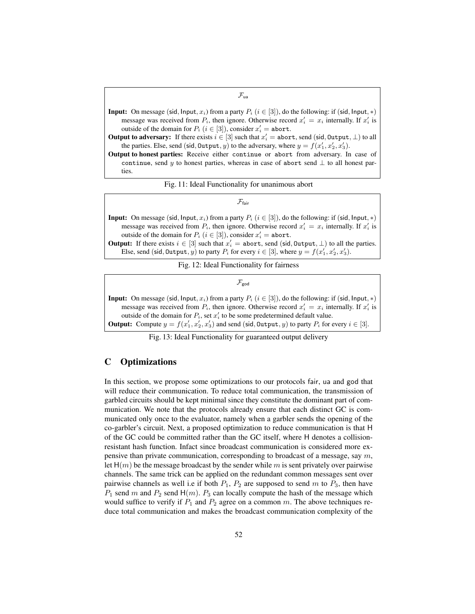<span id="page-51-1"></span>**Input:** On message (sid, Input,  $x_i$ ) from a party  $P_i$  ( $i \in [3]$ ), do the following: if (sid, Input, \*) message was received from  $P_i$ , then ignore. Otherwise record  $x'_i = x_i$  internally. If  $x'_i$  is outside of the domain for  $P_i$   $(i \in [3])$ , consider  $x'_i =$  abort.

 $\mathcal{F}_{\mathsf{ua}}$ 

- **Output to adversary:** If there exists  $i \in [3]$  such that  $x'_i =$  abort, send (sid, 0utput,  $\perp$ ) to all the parties. Else, send (sid, 0utput, y) to the adversary, where  $y = f(x'_1, x'_2, x'_3)$ .
- Output to honest parties: Receive either continue or abort from adversary. In case of continue, send y to honest parties, whereas in case of abort send  $\perp$  to all honest parties.

Fig. 11: Ideal Functionality for unanimous abort

| ۰,<br>× |  |
|---------|--|

<span id="page-51-2"></span>**Input:** On message (sid, Input,  $x_i$ ) from a party  $P_i$  ( $i \in [3]$ ), do the following: if (sid, Input, \*) message was received from  $P_i$ , then ignore. Otherwise record  $x'_i = x_i$  internally. If  $x'_i$  is outside of the domain for  $P_i$   $(i \in [3])$ , consider  $x'_i =$  abort. **Output:** If there exists  $i \in [3]$  such that  $x'_i =$  abort, send (sid, Output,  $\perp$ ) to all the parties.

Else, send (sid, 0utput, y) to party  $P_i$  for every  $i \in [3]$ , where  $y = f(x'_1, x'_2, x'_3)$ .

Fig. 12: Ideal Functionality for fairness

<span id="page-51-3"></span> $\mathcal{F}_{\text{good}}$ **Input:** On message (sid, Input,  $x_i$ ) from a party  $P_i$  ( $i \in [3]$ ), do the following: if (sid, Input, \*) message was received from  $P_i$ , then ignore. Otherwise record  $x'_i = x_i$  internally. If  $x'_i$  is outside of the domain for  $P_i$ , set  $x'_i$  to be some predetermined default value. **Output:** Compute  $y = f(x'_1, x'_2, x'_3)$  and send (sid, 0utput, y) to party  $P_i$  for every  $i \in [3]$ .

Fig. 13: Ideal Functionality for guaranteed output delivery

## <span id="page-51-0"></span>C Optimizations

In this section, we propose some optimizations to our protocols fair, ua and god that will reduce their communication. To reduce total communication, the transmission of garbled circuits should be kept minimal since they constitute the dominant part of communication. We note that the protocols already ensure that each distinct GC is communicated only once to the evaluator, namely when a garbler sends the opening of the co-garbler's circuit. Next, a proposed optimization to reduce communication is that H of the GC could be committed rather than the GC itself, where H denotes a collisionresistant hash function. Infact since broadcast communication is considered more expensive than private communication, corresponding to broadcast of a message, say  $m$ , let  $H(m)$  be the message broadcast by the sender while m is sent privately over pairwise channels. The same trick can be applied on the redundant common messages sent over pairwise channels as well i.e if both  $P_1$ ,  $P_2$  are supposed to send m to  $P_3$ , then have  $P_1$  send m and  $P_2$  send  $H(m)$ .  $P_3$  can locally compute the hash of the message which would suffice to verify if  $P_1$  and  $P_2$  agree on a common m. The above techniques reduce total communication and makes the broadcast communication complexity of the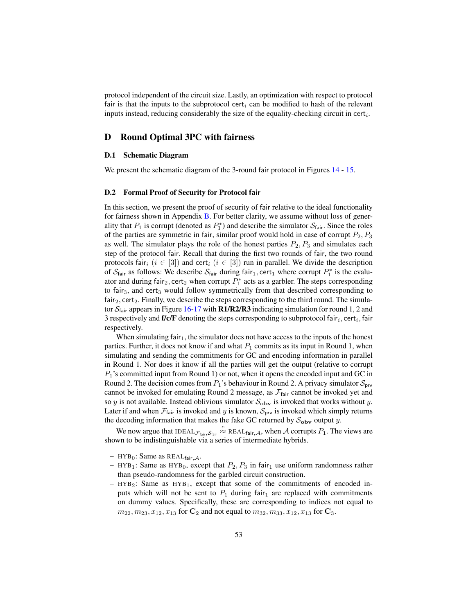protocol independent of the circuit size. Lastly, an optimization with respect to protocol fair is that the inputs to the subprotocol cert<sub>i</sub> can be modified to hash of the relevant inputs instead, reducing considerably the size of the equality-checking circuit in cert $_i$ .

## <span id="page-52-0"></span>D Round Optimal 3PC with fairness

#### <span id="page-52-1"></span>D.1 Schematic Diagram

We present the schematic diagram of the 3-round fair protocol in Figures  $14 - 15$  $14 - 15$ .

#### <span id="page-52-2"></span>D.2 Formal Proof of Security for Protocol fair

In this section, we present the proof of security of fair relative to the ideal functionality for fairness shown in Appendix  $\overline{B}$ . For better clarity, we assume without loss of generality that  $P_1$  is corrupt (denoted as  $P_1^*$ ) and describe the simulator  $S_{\text{fair}}$ . Since the roles of the parties are symmetric in fair, similar proof would hold in case of corrupt  $P_2, P_3$ as well. The simulator plays the role of the honest parties  $P_2, P_3$  and simulates each step of the protocol fair. Recall that during the first two rounds of fair, the two round protocols fair<sub>i</sub>  $(i \in [3])$  and cert<sub>i</sub>  $(i \in [3])$  run in parallel. We divide the description of  $S_{\text{fair}}$  as follows: We describe  $S_{\text{fair}}$  during fair<sub>1</sub>, cert<sub>1</sub> where corrupt  $P_1^*$  is the evaluator and during fair<sub>2</sub>, cert<sub>2</sub> when corrupt  $P_1^*$  acts as a garbler. The steps corresponding to fair $_3$ , and cert $_3$  would follow symmetrically from that described corresponding to  $fair<sub>2</sub>$ , cert<sub>2</sub>. Finally, we describe the steps corresponding to the third round. The simulator  $S<sub>fair</sub>$  appears in Figure [16](#page-55-0)[-17](#page-56-0) with **R1/R2/R3** indicating simulation for round 1, 2 and 3 respectively and  $f/c/F$  denoting the steps corresponding to subprotocol fair,, cert<sub>i</sub>, fair respectively.

When simulating fair<sub>1</sub>, the simulator does not have access to the inputs of the honest parties. Further, it does not know if and what  $P_1$  commits as its input in Round 1, when simulating and sending the commitments for GC and encoding information in parallel in Round 1. Nor does it know if all the parties will get the output (relative to corrupt  $P_1$ 's committed input from Round 1) or not, when it opens the encoded input and GC in Round 2. The decision comes from  $P_1$ 's behaviour in Round 2. A privacy simulator  $S_{\text{prv}}$ cannot be invoked for emulating Round 2 message, as  $\mathcal{F}_{\text{fair}}$  cannot be invoked yet and so y is not available. Instead oblivious simulator  $S_{\text{obv}}$  is invoked that works without y. Later if and when  $\mathcal{F}_{\text{fair}}$  is invoked and y is known,  $\mathcal{S}_{\text{prv}}$  is invoked which simply returns the decoding information that makes the fake GC returned by  $S_{\text{obv}}$  output y.

We now argue that IDEAL  $\mathcal{F}_{\text{fair}}$ ,  $\mathcal{S}_{\text{fair}} \overset{c}{\approx}$  REAL  $_{\text{fair}, \mathcal{A}}$ , when  $\mathcal{A}$  corrupts  $P_1$ . The views are shown to be indistinguishable via a series of intermediate hybrids.

- HYB<sub>0</sub>: Same as REAL<sub>fair, A</sub>.
- HYB<sub>1</sub>: Same as HYB<sub>0</sub>, except that  $P_2, P_3$  in fair<sub>1</sub> use uniform randomness rather than pseudo-randomness for the garbled circuit construction.
- $-$  HYB<sub>2</sub>: Same as HYB<sub>1</sub>, except that some of the commitments of encoded inputs which will not be sent to  $P_1$  during fair<sub>1</sub> are replaced with commitments on dummy values. Specifically, these are corresponding to indices not equal to  $m_{22}, m_{23}, x_{12}, x_{13}$  for  $C_2$  and not equal to  $m_{32}, m_{33}, x_{12}, x_{13}$  for  $C_3$ .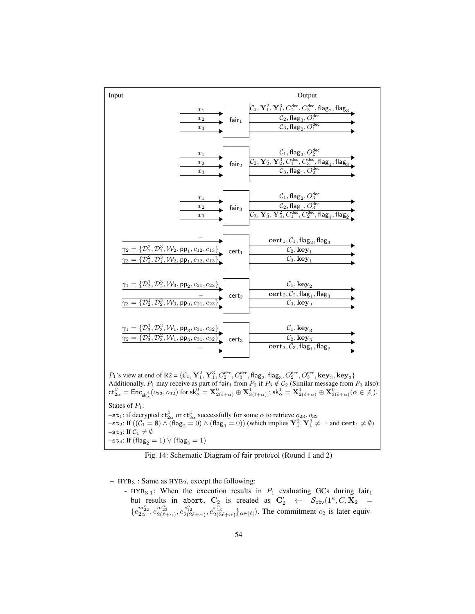<span id="page-53-0"></span>

Fig. 14: Schematic Diagram of fair protocol (Round 1 and 2)

–  $HYB_3$ : Same as  $HYB_2$ , except the following:

- HYB<sub>3.1</sub>: When the execution results in  $P_1$  evaluating GCs during fair<sub>1</sub> but results in abort,  $C_2$  is created as  $C'_2 \leftarrow S_{\text{obv}}(1^{\kappa}, C, X_2 =$  ${e_{2\alpha}^{m_{23}^{\alpha}}, e_{2(\ell+\alpha)}^{m_{23}^{\alpha}}, e_{2(2\ell+\alpha)}^{m_{23}^{\alpha}}, e_{2(3\ell+\alpha)}^{m_{33}^{\alpha}}\}_{{\alpha}\in[\ell]}$ ). The commitment  $c_2$  is later equiv-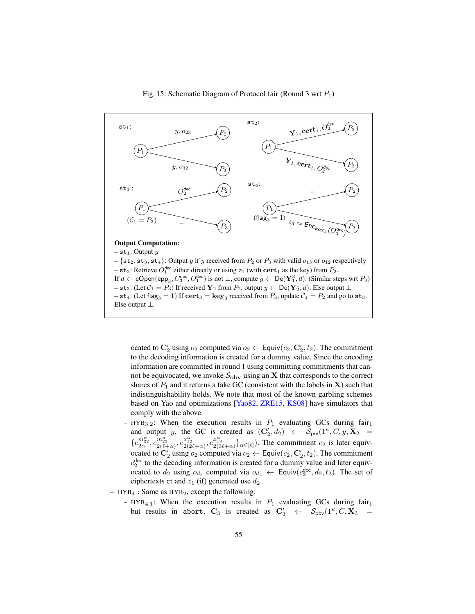#### Fig. 15: Schematic Diagram of Protocol fair (Round 3 wrt  $P_1$ )

<span id="page-54-0"></span>

ocated to  $\mathbb{C}'_2$  using  $o_2$  computed via  $o_2 \leftarrow \mathsf{Equiv}(c_2, \mathbb{C}'_2, t_2)$ . The commitment to the decoding information is created for a dummy value. Since the encoding information are committed in round 1 using committing commitments that cannot be equivocated, we invoke  $S_{\rm obv}$  using an **X** that corresponds to the correct shares of  $P_1$  and it returns a fake GC (consistent with the labels in **X**) such that indistinguishability holds. We note that most of the known garbling schemes based on Yao and optimizations [\[Yao82,](#page-46-0) [ZRE15,](#page-46-10) [KS08\]](#page-45-23) have simulators that comply with the above.

- HYB<sub>3.2</sub>: When the execution results in  $P_1$  evaluating GCs during fair<sub>1</sub> and output y, the GC is created as  $(C_2', d_2) \leftarrow S_{prv}(1^{\kappa}, C, y, \mathbf{X}_2)$  ${e_{2\alpha}^{m_{23}^{\alpha}}}, {e_{2(\ell+\alpha)}^{m_{23}^{\alpha}}}, {e_{2(2\ell+\alpha)}^{m_{23}^{\alpha}}}, {e_{2(3\ell+\alpha)}^{m_{33}^{\alpha}}}\}_{\alpha \in [\ell]}$ ). The commitment  $c_2$  is later equivocated to  $\mathbf{C}'_2$  using  $o_2$  computed via  $o_2 \leftarrow \mathsf{Equiv}(c_2, \mathbf{C}'_2, t_2)$ . The commitment  $c_2^{\text{dec}}$  to the decoding information is created for a dummy value and later equivocated to  $d_2$  using  $o_{d_2}$  computed via  $o_{d_2} \leftarrow$  Equiv $(c_2^{\text{dec}}, d_2, t_2)$ . The set of ciphertexts ct and  $z_1$  (if) generated use  $d_2$ .
- $HYB_4$ : Same as  $HYB_2$ , except the following:
	- HYB<sub>4.1</sub>: When the execution results in  $P_1$  evaluating GCs during fair<sub>1</sub> but results in abort,  $C_3$  is created as  $C'_3 \leftarrow S_{\text{obv}}(1^{\kappa}, C, \mathbf{X}_3) =$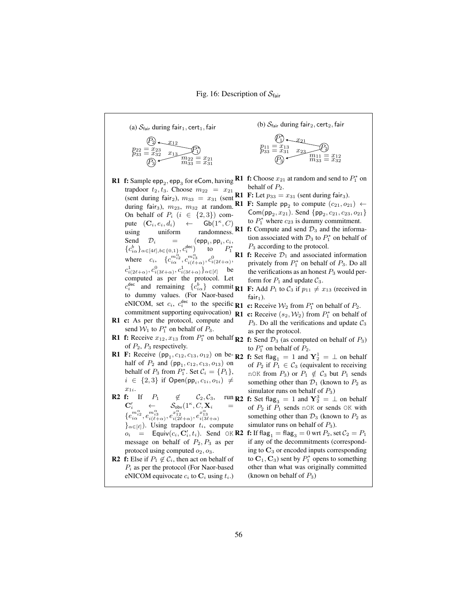<span id="page-55-0"></span>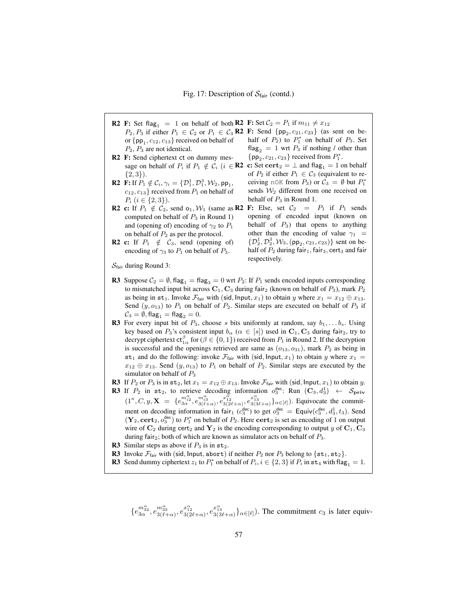Fig. 17: Description of  $S<sub>fair</sub>$  (contd.)

- <span id="page-56-0"></span>**R2** F: Set flag<sub>1</sub> = 1 on behalf of both **R2** F: Set  $C_2 = P_1$  if  $m_{11} \neq x_{12}$  $P_2, P_3$  if either  $P_1 \in C_2$  or  $P_1 \in C_3$  **R2 F:** Send  $\{pp_2, c_{21}, c_{23}\}$  (as sent on beor  $\{pp_1, c_{12}, c_{13}\}$  received on behalf of  $P_2$ ,  $P_3$  are not identical. R2 F: Send ciphertext ct on dummy message on behalf of  $P_i$  if  $P_1 \notin C_i$  ( $i \in \mathbb{R}^2$  c: Set cert $i_2 = \bot$  and flag<sub>1</sub> = 1 on behalf  $\{ \mathsf{pp}_2, c_{21}, c_{23} \}$  received from  $P_1^*$ .
	- $\{2,3\}.$ **R2 F**: If  $P_1 \notin C_i$ ,  $\gamma_i = \{D_1^1, D_1^3, W_2, \text{pp}_1,$  $c_{12}, c_{13}$ } received from  $P_1$  on behalf of  $P_i$   $(i \in \{2, 3\})$ .
	- **R2** c: If  $P_1 \notin C_2$ , send  $o_1, W_1$  (same as **R2** F: Else, set  $C_2 = P_1$  if  $P_1$  sends computed on behalf of  $P_3$  in Round 1) and (opening of) encoding of  $\gamma_2$  to  $P_1$ on behalf of  $P_2$  as per the protocol.
	- **R2 c:** If  $P_1 \notin C_3$ , send (opening of) encoding of  $\gamma_3$  to  $P_1$  on behalf of  $P_3$ .
- half of  $P_2$ ) to  $P_1^*$  on behalf of  $P_3$ . Set flag<sub>2</sub> = 1 wrt  $P_3$  if nothing / other than
- of  $P_2$  if either  $P_1 \in C_3$  (equivalent to receiving nOK from  $P_3$ ) or  $\mathcal{C}_3 = \emptyset$  but  $P_1^*$ sends  $\mathcal{W}_2$  different from one received on behalf of  $P_3$  in Round 1.
- opening of encoded input (known on behalf of  $P_3$ ) that opens to anything other than the encoding of value  $\gamma_1$  =  $\{\mathcal{D}_2^1, \mathcal{D}_2^3, \mathcal{W}_3, (\mathsf{pp}_2, c_{21}, c_{23})\}$  sent on behalf of  $P_2$  during fair<sub>1</sub>, fair<sub>3</sub>, cert<sub>3</sub> and fair respectively.

 $S<sub>fair</sub> during Round 3$ :

- **R3** Suppose  $C_2 = \emptyset$ , flag<sub>1</sub> = flag<sub>3</sub> = 0 wrt  $P_2$ : If  $P_1$  sends encoded inputs corresponding to mismatched input bit across  $C_1$ ,  $C_3$  during fair<sub>2</sub> (known on behalf of  $P_3$ ), mark  $P_2$ as being in st<sub>1</sub>. Invoke  $\mathcal{F}_{\text{fair}}$  with (sid, Input,  $x_1$ ) to obtain y where  $x_1 = x_{12} \oplus x_{13}$ . Send  $(y, o_{13})$  to  $P_1$  on behalf of  $P_2$ . Similar steps are executed on behalf of  $P_3$  if  $\mathcal{C}_3 = \emptyset$ , flag<sub>1</sub> = flag<sub>2</sub> = 0.
- **R3** For every input bit of  $P_3$ , choose s bits uniformly at random, say  $b_1, \ldots, b_s$ . Using key based on  $P_3$ 's consistent input  $b_\alpha$  ( $\alpha \in [s]$ ) used in  $\mathbb{C}_1$ ,  $\mathbb{C}_3$  during fair<sub>2</sub>, try to decrypt ciphertext  $ct_{1\alpha}^{\beta}$  for  $(\beta \in \{0,1\})$  received from  $P_1$  in Round 2. If the decryption is successful and the openings retrieved are same as  $(o_{13}, o_{31})$ , mark  $P_2$  as being in  $st_1$  and do the following: invoke  $\mathcal{F}_{fair}$  with (sid, Input,  $x_1$ ) to obtain y where  $x_1 =$  $x_{12} \oplus x_{13}$ . Send  $(y, o_{13})$  to  $P_1$  on behalf of  $P_2$ . Similar steps are executed by the simulator on behalf of  $P_3$
- R3 If  $P_2$  or  $P_3$  is in  $st_2$ , let  $x_1 = x_{12} \oplus x_{13}$ . Invoke  $\mathcal{F}_{\text{fair}}$  with (sid, Input,  $x_1$ ) to obtain y.
- **R3** If  $P_2$  in st<sub>2</sub>, to retrieve decoding information  $o_3^{\text{dec}}$ : Run  $(\mathbf{C}_3, d_3^1) \leftarrow S_{\text{priv}}$  $(1^{\kappa}, C, y, \mathbf{X}) = \{e_{3\alpha}^{m_{i2}^{\alpha}}, e_{3(\ell+\alpha)}^{m_{i3}^{\alpha}}, e_{3(2\ell+\alpha)}^{x_{12}^{\alpha}}, e_{3(3\ell+\alpha)}^{x_{13}^{\alpha}}\}_{\alpha \in [\ell]}$ ). Equivocate the commitment on decoding information in fair<sub>1</sub> ( $c_3^{\text{dec}}$ ) to get  $o_3^{\text{dec}} = \text{Equiv}(c_3^{\text{dec}}, d_3^1, t_3)$ . Send  $(Y_2, cert_2, o_3<sup>dec</sup>)$  to  $P_1^*$  on behalf of  $P_2$ . Here cert<sub>2</sub> is set as encoding of 1 on output wire of  $C_2$  during cert<sub>2</sub> and  $Y_2$  is the encoding corresponding to output y of  $C_1, C_3$ during fair<sub>2</sub>; both of which are known as simulator acts on behalf of  $P_3$ .
- **R3** Similar steps as above if  $P_3$  is in  $st_2$ .
- **R3** Invoke  $\mathcal{F}_{\text{fair}}$  with (sid, Input, abort) if neither  $P_2$  nor  $P_3$  belong to  $\{\text{st}_1, \text{st}_2\}$ .
- **R3** Send dummy ciphertext  $z_1$  to  $P_1^*$  on behalf of  $P_i$ ,  $i \in \{2,3\}$  if  $P_i$  in  $\text{st}_4$  with flag<sub>1</sub> = 1.

 ${e_{3\alpha}^{m_{32}^{\alpha}}, e_{3(\ell+\alpha)}^{m_{33}^{\alpha}}, e_{3(2\ell+\alpha)}^{x_{12}^{\alpha}}, e_{3(3\ell+\alpha)}^{x_{13}^{\alpha}}\}_{{\alpha}\in[\ell]}$ ). The commitment  $c_3$  is later equiv-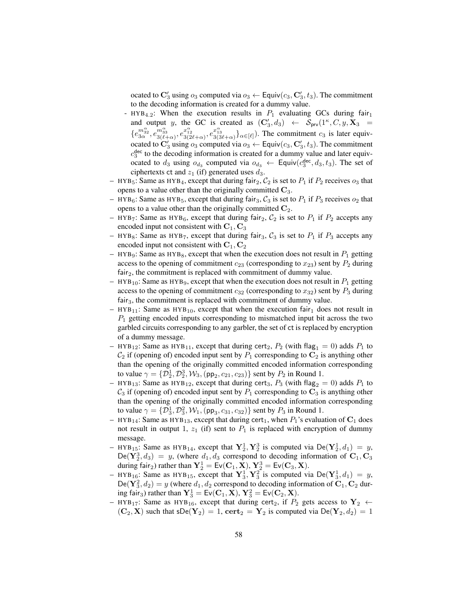ocated to  $\mathbb{C}'_3$  using  $o_3$  computed via  $o_3 \leftarrow$  Equiv $(c_3, \mathbb{C}'_3, t_3)$ . The commitment to the decoding information is created for a dummy value.

- HYB<sub>4.2</sub>: When the execution results in  $P_1$  evaluating GCs during fair<sub>1</sub> and output y, the GC is created as  $(C'_3, d_3) \leftarrow S_{prv}(1^{\kappa}, C, y, \mathbf{X}_3)$  ${e_{3\alpha}^{m_{32}^{\alpha}}, e_{3(\ell+\alpha)}^{m_{33}^{\alpha}}, e_{3(2\ell+\alpha)}^{x_{12}^{\alpha}}, e_{3(3\ell+\alpha)}^{x_{13}^{\alpha}}\}_{{\alpha}\in[\ell]}$ ). The commitment  $c_3$  is later equivocated to  $\mathbf{C}'_3$  using  $o_3$  computed via  $o_3 \leftarrow \mathsf{Equiv}(c_3, \mathbf{C}'_3, t_3)$ . The commitment  $c_3^{\text{dec}}$  to the decoding information is created for a dummy value and later equivocated to  $d_3$  using  $o_{d_3}$  computed via  $o_{d_3} \leftarrow$  Equiv $(c_3^{\text{dec}}, d_3, t_3)$ . The set of ciphertexts ct and  $z_1$  (if) generated uses  $d_3$ .
- HYB<sub>5</sub>: Same as HYB<sub>4</sub>, except that during fair<sub>2</sub>,  $C_2$  is set to  $P_1$  if  $P_2$  receives  $o_3$  that opens to a value other than the originally committed  $\mathbf{C}_3$ .
- HYB<sub>6</sub>: Same as HYB<sub>5</sub>, except that during fair<sub>3</sub>,  $C_3$  is set to  $P_1$  if  $P_3$  receives  $o_2$  that opens to a value other than the originally committed  $C_2$ .
- HYB7: Same as HYB<sub>6</sub>, except that during fair<sub>2</sub>,  $C_2$  is set to  $P_1$  if  $P_2$  accepts any encoded input not consistent with  $C_1, C_3$
- HYB<sub>8</sub>: Same as HYB<sub>7</sub>, except that during fair<sub>3</sub>,  $C_3$  is set to  $P_1$  if  $P_3$  accepts any encoded input not consistent with  $C_1, C_2$
- HYB<sub>9</sub>: Same as HYB<sub>8</sub>, except that when the execution does not result in  $P_1$  getting access to the opening of commitment  $c_{23}$  (corresponding to  $x_{23}$ ) sent by  $P_2$  during fair<sub>2</sub>, the commitment is replaced with commitment of dummy value.
- HYB<sub>10</sub>: Same as HYB<sub>9</sub>, except that when the execution does not result in  $P_1$  getting access to the opening of commitment  $c_{32}$  (corresponding to  $x_{32}$ ) sent by  $P_3$  during fair<sub>3</sub>, the commitment is replaced with commitment of dummy value.
- HYB<sub>11</sub>: Same as HYB<sub>10</sub>, except that when the execution fair<sub>1</sub> does not result in  $P_1$  getting encoded inputs corresponding to mismatched input bit across the two garbled circuits corresponding to any garbler, the set of ct is replaced by encryption of a dummy message.
- HYB<sub>12</sub>: Same as HYB<sub>11</sub>, except that during cert<sub>2</sub>,  $P_2$  (with flag<sub>1</sub> = 0) adds  $P_1$  to  $C_2$  if (opening of) encoded input sent by  $P_1$  corresponding to  $C_2$  is anything other than the opening of the originally committed encoded information corresponding to value  $\gamma = {\mathcal{D}_2^1, \mathcal{D}_2^3, \mathcal{W}_3, \text{(pp}_2, c_{21}, c_{23)}\}$  sent by  $P_2$  in Round 1.
- HYB<sub>13</sub>: Same as HYB<sub>12</sub>, except that during cert<sub>3</sub>,  $P_3$  (with flag<sub>2</sub> = 0) adds  $P_1$  to  $C_3$  if (opening of) encoded input sent by  $P_1$  corresponding to  $C_3$  is anything other than the opening of the originally committed encoded information corresponding to value  $\gamma = {\mathcal{D}_3^1, \mathcal{D}_3^2, \mathcal{W}_1, \{\mathsf{pp}_3, c_{31}, c_{32}\}\}\$  sent by  $P_3$  in Round 1.
- HYB<sub>14</sub>: Same as HYB<sub>13</sub>, except that during cert<sub>1</sub>, when  $P_1$ 's evaluation of  $C_1$  does not result in output 1,  $z_1$  (if) sent to  $P_1$  is replaced with encryption of dummy message.
- HYB<sub>15</sub>: Same as HYB<sub>14</sub>, except that  $Y_2^1, Y_2^3$  is computed via  $De(Y_2^1, d_1) = y$ ,  $\textsf{De}({\bf Y}_2^3, d_3) = y$ , (where  $d_1, d_3$  correspond to decoding information of  ${\bf C}_1, {\bf C}_3$ during fair<sub>2</sub>) rather than  $Y_2^1 = Ev(C_1, X), Y_2^3 = Ev(C_3, X)$ .
- HYB<sub>16</sub>: Same as HYB<sub>15</sub>, except that  $Y_3^1, Y_3^2$  is computed via De( $Y_3^1, d_1$ ) = y,  $\textsf{De}({\bf Y}_3^2, d_2)=y$  (where  $d_1, d_2$  correspond to decoding information of  ${\bf C}_1, {\bf C}_2$  during fair<sub>3</sub>) rather than  $\mathbf{Y}_3^1 = \mathsf{Ev}(\mathbf{C}_1, \mathbf{X}), \mathbf{Y}_3^2 = \mathsf{Ev}(\mathbf{C}_2, \mathbf{X}).$
- HYB<sub>17</sub>: Same as HYB<sub>16</sub>, except that during cert<sub>2</sub>, if  $P_2$  gets access to  $Y_2 \leftarrow$  $(C_2, X)$  such that  $sDe(Y_2) = 1$ ,  $cert_2 = Y_2$  is computed via  $De(Y_2, d_2) = 1$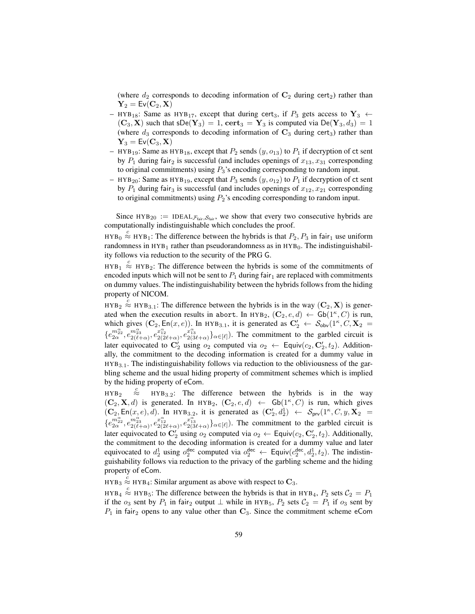(where  $d_2$  corresponds to decoding information of  $C_2$  during cert<sub>2</sub>) rather than  $Y_2 = \mathsf{Ev}(\mathbf{C}_2, \mathbf{X})$ 

- HYB<sub>18</sub>: Same as HYB<sub>17</sub>, except that during cert<sub>3</sub>, if  $P_3$  gets access to  $\mathbf{Y}_3 \leftarrow$  $(C_3, X)$  such that  $sDe(Y_3) = 1$ ,  $cert_3 = Y_3$  is computed via  $De(Y_3, d_3) = 1$ (where  $d_3$  corresponds to decoding information of  $C_3$  during cert<sub>3</sub>) rather than  $Y_3 = Ev(C_3, X)$
- HYB<sub>19</sub>: Same as HYB<sub>18</sub>, except that  $P_2$  sends  $(y, o_{13})$  to  $P_1$  if decryption of ct sent by  $P_1$  during fair<sub>2</sub> is successful (and includes openings of  $x_{13}, x_{31}$  corresponding to original commitments) using  $P_3$ 's encoding corresponding to random input.
- HYB<sub>20</sub>: Same as HYB<sub>19</sub>, except that  $P_3$  sends  $(y, o_{12})$  to  $P_1$  if decryption of ct sent by  $P_1$  during fair<sub>3</sub> is successful (and includes openings of  $x_{12}, x_{21}$  corresponding to original commitments) using  $P_2$ 's encoding corresponding to random input.

Since  $HYB_{20} := IDEAL_{\mathcal{F}_{fair}, \mathcal{S}_{fair}}$ , we show that every two consecutive hybrids are computationally indistinguishable which concludes the proof.

 $HYB_0 \stackrel{c}{\approx} HYB_1$ : The difference between the hybrids is that  $P_2, P_3$  in fair<sub>1</sub> use uniform randomness in  $HYB_1$  rather than pseudorandomness as in  $HYB_0$ . The indistinguishability follows via reduction to the security of the PRG G.

 $HYB_1 \stackrel{c}{\approx} HYB_2$ : The difference between the hybrids is some of the commitments of encoded inputs which will not be sent to  $P_1$  during fair<sub>1</sub> are replaced with commitments on dummy values. The indistinguishability between the hybrids follows from the hiding property of NICOM.

 $HYB_2 \stackrel{c}{\approx} HYB_{3.1}$ : The difference between the hybrids is in the way  $(C_2, X)$  is generated when the execution results in abort. In  $HYB_2$ ,  $(\mathbb{C}_2, e, d) \leftarrow \mathsf{Gb}(1^{\kappa}, C)$  is run, which gives  $(C_2, En(x, e))$ . In HYB<sub>3.1</sub>, it is generated as  $C'_2 \leftarrow S_{obv}(1^{\kappa}, C, X_2 =$  ${e_{2\alpha}^{m_{23}^{\alpha}}, e_{2(\ell+\alpha)}^{m_{33}^{\alpha}}, e_{2(2\ell+\alpha)}^{m_{12}^{\alpha}}, e_{2(3\ell+\alpha)}^{m_{13}^{\alpha}}\}_{{\alpha}\in[\ell]}$ ). The commitment to the garbled circuit is later equivocated to  $\mathbf{C}'_2$  using  $o_2$  computed via  $o_2 \leftarrow \mathsf{Equiv}(c_2, \mathbf{C}'_2, t_2)$ . Additionally, the commitment to the decoding information is created for a dummy value in  $HYB_{3,1}$ . The indistinguishability follows via reduction to the obliviousness of the garbling scheme and the usual hiding property of commitment schemes which is implied by the hiding property of eCom.

 $HYB<sub>2</sub>$  $\stackrel{c}{\approx}$  $HYB_{3.2}$ : The difference between the hybrids is in the way  $(C_2, X, d)$  is generated. In HYB<sub>2</sub>,  $(C_2, e, d) \leftarrow$  Gb(1<sup>k</sup>, C) is run, which gives  $(C_2, \text{En}(x, e), d)$ . In HYB<sub>3.2</sub>, it is generated as  $(C'_2, d_2^1) \leftarrow S_{\text{prv}}(1^{\kappa}, C, y, \mathbf{X}_2)$  ${e_{2\alpha}^{m_{23}^{\alpha}}, e_{2(\ell+\alpha)}^{m_{33}^{\alpha}}, e_{2(2\ell+\alpha)}^{x_{12}^{\alpha}}, e_{2(3\ell+\alpha)}^{x_{13}^{\alpha}}\}_{\alpha\in[\ell]}$ ). The commitment to the garbled circuit is later equivocated to  $\mathbf{C}'_2$  using  $o_2$  computed via  $o_2 \leftarrow \mathsf{Equiv}(c_2, \mathbf{C}'_2, t_2)$ . Additionally, the commitment to the decoding information is created for a dummy value and later equivocated to  $d_2^1$  using  $o_2^{\text{dec}}$  computed via  $o_2^{\text{dec}} \leftarrow \text{Equiv}(c_2^{\text{dec}}, d_2^1, t_2)$ . The indistinguishability follows via reduction to the privacy of the garbling scheme and the hiding property of eCom.

 $HYB_3 \stackrel{c}{\approx} HYB_4$ : Similar argument as above with respect to  $\mathbf{C}_3$ .

HYB<sub>4</sub>  $\stackrel{c}{\approx}$  HYB<sub>5</sub>: The difference between the hybrids is that in HYB<sub>4</sub>,  $P_2$  sets  $C_2 = P_1$ if the  $o_3$  sent by  $P_1$  in fair<sub>2</sub> output  $\perp$  while in HYB<sub>5</sub>,  $P_2$  sets  $C_2 = P_1$  if  $o_3$  sent by  $P_1$  in fair<sub>2</sub> opens to any value other than  $C_3$ . Since the commitment scheme eCom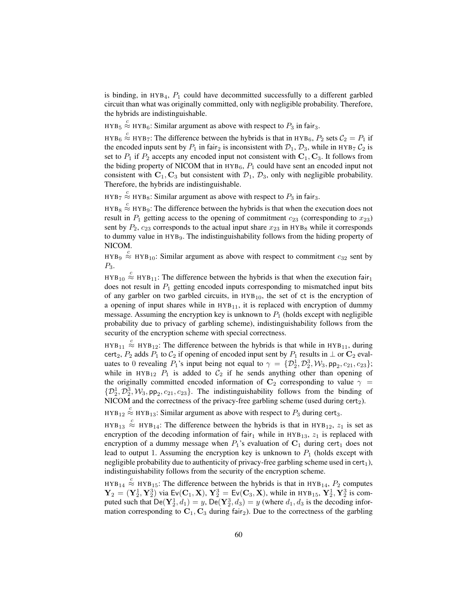is binding, in  $HYB_4$ ,  $P_1$  could have decommitted successfully to a different garbled circuit than what was originally committed, only with negligible probability. Therefore, the hybrids are indistinguishable.

 $HYB_5 \stackrel{c}{\approx} HYB_6$ : Similar argument as above with respect to  $P_3$  in fair<sub>3</sub>.

HYB<sub>6</sub>  $\stackrel{c}{\approx}$  HYB<sub>7</sub>: The difference between the hybrids is that in HYB<sub>6</sub>,  $P_2$  sets  $C_2 = P_1$  if the encoded inputs sent by  $P_1$  in fair<sub>2</sub> is inconsistent with  $\mathcal{D}_1$ ,  $\mathcal{D}_3$ , while in HYB<sub>7</sub>  $\mathcal{C}_2$  is set to  $P_1$  if  $P_2$  accepts any encoded input not consistent with  $C_1, C_3$ . It follows from the biding property of NICOM that in  $HYB_6$ ,  $P_1$  could have sent an encoded input not consistent with  $C_1, C_3$  but consistent with  $\mathcal{D}_1, \mathcal{D}_3$ , only with negligible probability. Therefore, the hybrids are indistinguishable.

 $HYB_7 \stackrel{c}{\approx} HYB_8$ : Similar argument as above with respect to  $P_3$  in fair<sub>3</sub>.

 $HYB_8 \stackrel{c}{\approx} HYB_9$ : The difference between the hybrids is that when the execution does not result in  $P_1$  getting access to the opening of commitment  $c_{23}$  (corresponding to  $x_{23}$ ) sent by  $P_2$ ,  $c_{23}$  corresponds to the actual input share  $x_{23}$  in HYB<sub>8</sub> while it corresponds to dummy value in HYB9. The indistinguishability follows from the hiding property of NICOM.

 $HYB_9 \stackrel{c}{\approx} HYB_{10}$ : Similar argument as above with respect to commitment  $c_{32}$  sent by  $P_3$ .

 $HYB_{10} \stackrel{c}{\approx} HYB_{11}$ : The difference between the hybrids is that when the execution fair<sub>1</sub> does not result in  $P_1$  getting encoded inputs corresponding to mismatched input bits of any garbler on two garbled circuits, in  $HYB_{10}$ , the set of ct is the encryption of a opening of input shares while in  $HYB_{11}$ , it is replaced with encryption of dummy message. Assuming the encryption key is unknown to  $P_1$  (holds except with negligible probability due to privacy of garbling scheme), indistinguishability follows from the security of the encryption scheme with special correctness.

 $HYB_{11} \stackrel{c}{\approx} HYB_{12}$ : The difference between the hybrids is that while in  $HYB_{11}$ , during cert<sub>2</sub>,  $P_2$  adds  $P_1$  to  $C_2$  if opening of encoded input sent by  $P_1$  results in  $\perp$  or  $C_2$  evaluates to 0 revealing  $P_1$ 's input being not equal to  $\gamma = {\mathcal{D}_2^1, \mathcal{D}_2^3, \mathcal{W}_3, \mathsf{pp}_2, c_{21}, c_{23}};$ while in  $HYB_{12}$   $P_1$  is added to  $C_2$  if he sends anything other than opening of the originally committed encoded information of  $C_2$  corresponding to value  $\gamma$  =  $\{\mathcal{D}_2^1, \mathcal{D}_2^3, \mathcal{W}_3, \mathsf{pp}_2, c_{21}, c_{23}\}.$  The indistinguishability follows from the binding of NICOM and the correctness of the privacy-free garbling scheme (used during cert<sub>2</sub>).

 $HYB_{12} \stackrel{c}{\approx} HYB_{13}$ : Similar argument as above with respect to  $P_3$  during cert<sub>3</sub>.

 $HYB_{13} \stackrel{c}{\approx} HYB_{14}$ : The difference between the hybrids is that in  $HYB_{12}$ ,  $z_1$  is set as encryption of the decoding information of fair<sub>1</sub> while in  $HYB_{13}$ ,  $z_1$  is replaced with encryption of a dummy message when  $P_1$ 's evaluation of  $C_1$  during cert<sub>1</sub> does not lead to output 1. Assuming the encryption key is unknown to  $P_1$  (holds except with negligible probability due to authenticity of privacy-free garbling scheme used in cert<sub>1</sub>), indistinguishability follows from the security of the encryption scheme.

 $HYB_{14} \stackrel{c}{\approx} HYB_{15}$ : The difference between the hybrids is that in  $HYB_{14}$ ,  $P_2$  computes  $Y_2 = (Y_2^1, Y_2^3)$  via  $Ev(C_1, X), Y_2^3 = Ev(C_3, X)$ , while in HYB<sub>15</sub>,  $Y_2^1, Y_2^3$  is computed such that  $\text{De}(\mathbf{Y}_2^1, d_1) = y$ ,  $\text{De}(\mathbf{Y}_2^3, d_3) = y$  (where  $d_1, d_3$  is the decoding information corresponding to  $C_1$ ,  $C_3$  during fair<sub>2</sub>). Due to the correctness of the garbling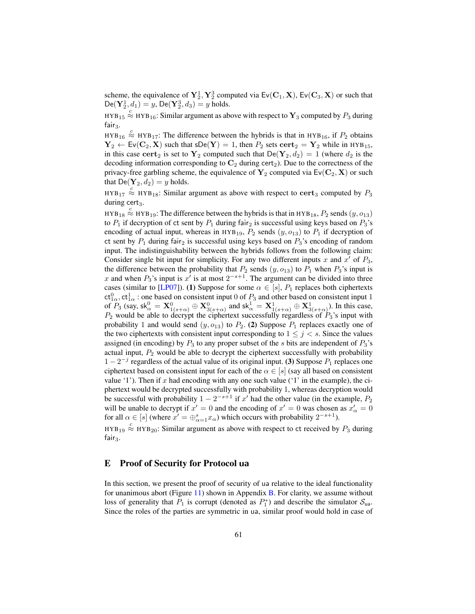scheme, the equivalence of  $Y_2^1, Y_2^3$  computed via  $Ev(C_1, X)$ ,  $Ev(C_3, X)$  or such that  $\textsf{De}({\bf Y}_{2}^{1},d_{1})=y, \, \textsf{De}({\bf Y}_{2}^{3},d_{3})=y$  holds.

 $HYB_{15} \stackrel{c}{\approx} HYB_{16}$ : Similar argument as above with respect to  $Y_3$  computed by  $P_3$  during fair $_3$ .

 $HYB_{16} \stackrel{c}{\approx} HYB_{17}$ : The difference between the hybrids is that in  $HYB_{16}$ , if  $P_2$  obtains  $Y_2 \leftarrow Ev(C_2, X)$  such that  $sDe(Y) = 1$ , then  $P_2$  sets  $cert_2 = Y_2$  while in HYB<sub>15</sub>, in this case cert<sub>2</sub> is set to  $Y_2$  computed such that  $\text{De}(Y_2, d_2) = 1$  (where  $d_2$  is the decoding information corresponding to  $C_2$  during cert<sub>2</sub>). Due to the correctness of the privacy-free garbling scheme, the equivalence of  $Y_2$  computed via  $Ev(C_2, X)$  or such that  $\text{De}(\mathbf{Y}_2, d_2) = y$  holds.

 $HYB_{17} \stackrel{c}{\approx} HYB_{18}$ : Similar argument as above with respect to cert<sub>3</sub> computed by  $P_3$ during cert $_3$ .

 $HYB_{18} \stackrel{c}{\approx} HYB_{19}$ : The difference between the hybrids is that in  $HYB_{18}$ ,  $P_2$  sends  $(y, o_{13})$ to  $P_1$  if decryption of ct sent by  $P_1$  during fair<sub>2</sub> is successful using keys based on  $P_3$ 's encoding of actual input, whereas in  $HYB_{19}$ ,  $P_2$  sends  $(y, o_{13})$  to  $P_1$  if decryption of ct sent by  $P_1$  during fair<sub>2</sub> is successful using keys based on  $P_3$ 's encoding of random input. The indistinguishability between the hybrids follows from the following claim: Consider single bit input for simplicity. For any two different inputs x and  $x'$  of  $P_3$ , the difference between the probability that  $P_2$  sends  $(y, o_{13})$  to  $P_1$  when  $P_3$ 's input is x and when  $P_3$ 's input is x' is at most  $2^{-s+1}$ . The argument can be divided into three cases (similar to [\[LP07\]](#page-45-16)). (1) Suppose for some  $\alpha \in [s]$ ,  $P_1$  replaces both ciphertexts  $ct_{1\alpha}^0$ ,  $ct_{1\alpha}^1$  : one based on consistent input 0 of  $P_3$  and other based on consistent input 1 of  $P_3$  (say,  $\mathsf{sk}_{\alpha}^0 = \mathbf{X}_{1(s+\alpha)}^0 \oplus \mathbf{X}_{3(s+\alpha)}^0$  and  $\mathsf{sk}_{\alpha}^1 = \mathbf{X}_{1(s+\alpha)}^1 \oplus \mathbf{X}_{3(s+\alpha)}^1$ ). In this case,  $P_2$  would be able to decrypt the ciphertext successfully regardless of  $P_3$ 's input with probability 1 and would send  $(y, o_{13})$  to  $P_2$ . (2) Suppose  $P_1$  replaces exactly one of the two ciphertexts with consistent input corresponding to  $1 \leq j \leq s$ . Since the values assigned (in encoding) by  $P_3$  to any proper subset of the s bits are independent of  $P_3$ 's actual input,  $P_2$  would be able to decrypt the ciphertext successfully with probability  $1 - 2^{-j}$  regardless of the actual value of its original input. (3) Suppose  $P_1$  replaces one ciphertext based on consistent input for each of the  $\alpha \in [s]$  (say all based on consistent value '1'). Then if x had encoding with any one such value ('1' in the example), the ciphertext would be decrypted successfully with probability 1, whereas decryption would be successful with probability  $1 - 2^{-s+1}$  if x' had the other value (in the example,  $P_2$ will be unable to decrypt if  $x' = 0$  and the encoding of  $x' = 0$  was chosen as  $x'_\n{\alpha} = 0$ for all  $\alpha \in [s]$  (where  $x' = \bigoplus_{\alpha=1}^s x_\alpha$ ) which occurs with probability  $2^{-s+1}$ ).

 $HYB_{19} \stackrel{c}{\approx} HYB_{20}$ : Similar argument as above with respect to ct received by  $P_3$  during fair $3$ .

## <span id="page-60-0"></span>E Proof of Security for Protocol ua

In this section, we present the proof of security of ua relative to the ideal functionality for unanimous abort (Figure [11\)](#page-51-1) shown in Appendix [B.](#page-49-1) For clarity, we assume without loss of generality that  $P_1$  is corrupt (denoted as  $P_1^*$ ) and describe the simulator  $S_{ua}$ . Since the roles of the parties are symmetric in ua, similar proof would hold in case of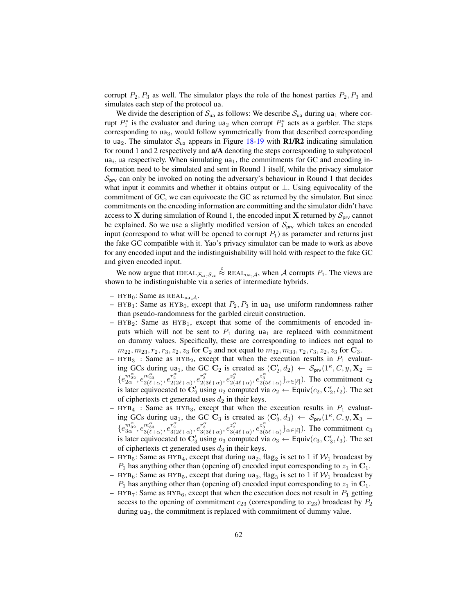corrupt  $P_2, P_3$  as well. The simulator plays the role of the honest parties  $P_2, P_3$  and simulates each step of the protocol ua.

We divide the description of  $S_{ua}$  as follows: We describe  $S_{ua}$  during ua<sub>1</sub> where corrupt  $P_1^*$  is the evaluator and during ua<sub>2</sub> when corrupt  $P_1^*$  acts as a garbler. The steps corresponding to ua<sub>3</sub>, would follow symmetrically from that described corresponding to ua<sub>2</sub>. The simulator  $S_{\text{ua}}$  appears in Figure [18-](#page-62-0)[19](#page-63-0) with **R1/R2** indicating simulation for round 1 and 2 respectively and a/A denoting the steps corresponding to subprotocol ua<sub>i</sub>, ua respectively. When simulating ua<sub>1</sub>, the commitments for GC and encoding information need to be simulated and sent in Round 1 itself, while the privacy simulator  $S_{\text{prv}}$  can only be invoked on noting the adversary's behaviour in Round 1 that decides what input it commits and whether it obtains output or  $\perp$ . Using equivocality of the commitment of GC, we can equivocate the GC as returned by the simulator. But since commitments on the encoding information are committing and the simulator didn't have access to X during simulation of Round 1, the encoded input X returned by  $S_{\text{prv}}$  cannot be explained. So we use a slightly modified version of  $S_{\text{prv}}$  which takes an encoded input (correspond to what will be opened to corrupt  $P_1$ ) as parameter and returns just the fake GC compatible with it. Yao's privacy simulator can be made to work as above for any encoded input and the indistinguishability will hold with respect to the fake GC and given encoded input.

We now argue that IDEAL $_{\mathcal{F}_{ua},\mathcal{S}_{ua}} \stackrel{c}{\approx}$  REAL<sub>ua, A</sub>, when A corrupts  $P_1$ . The views are shown to be indistinguishable via a series of intermediate hybrids.

- HYB<sub>0</sub>: Same as REAL<sub>ua, A</sub>.
- HYB<sub>1</sub>: Same as HYB<sub>0</sub>, except that  $P_2, P_3$  in ua<sub>1</sub> use uniform randomness rather than pseudo-randomness for the garbled circuit construction.
- HYB2: Same as HYB1, except that some of the commitments of encoded inputs which will not be sent to  $P_1$  during ua<sub>1</sub> are replaced with commitment on dummy values. Specifically, these are corresponding to indices not equal to  $m_{22}, m_{23}, r_2, r_3, z_2, z_3$  for  $C_2$  and not equal to  $m_{32}, m_{33}, r_2, r_3, z_2, z_3$  for  $C_3$ .
- HYB<sub>3</sub> : Same as HYB<sub>2</sub>, except that when the execution results in  $P_1$  evaluating GCs during ua<sub>1</sub>, the GC C<sub>2</sub> is created as  $(C'_2, d_2) \leftarrow S_{\text{prv}}(1^{\kappa}, C, y, \mathbf{X}_2 =$  ${e_{2\alpha}^{m_{23}^{\alpha}}}, {e_{2(\ell+\alpha)}^{m_{33}^{\alpha}}}, {e_{2(2\ell+\alpha)}^{r_3^{\alpha}}}, {e_{2(3\ell+\alpha)}^{r_3^{\alpha}}}, {e_{2(4\ell+\alpha)}^{r_3^{\alpha}}}, {e_{2(5\ell+\alpha)}^{r_3^{\alpha}}}\}_{\alpha \in [\ell]}).$  The commitment  $c_2$ is later equivocated to  $C_2'$  using  $o_2$  computed via  $o_2' \leftarrow$  Equiv $(c_2, C_2', t_2)$ . The set of ciphertexts ct generated uses  $d_2$  in their keys.
- HYB<sub>4</sub> : Same as HYB<sub>3</sub>, except that when the execution results in  $P_1$  evaluating GCs during ua<sub>1</sub>, the GC C<sub>3</sub> is created as  $(C'_3, d_3) \leftarrow S_{\text{prv}}(1^{\kappa}, C, y, \mathbf{X}_3 =$  ${e_{3\alpha}^{m_{32}^{\alpha}}, e_{3(\ell+\alpha)}^{m_{33}^{3}}, e_{3(2\ell+\alpha)}^{r_2^{\alpha}}, e_{3(3\ell+\alpha)}^{r_3^{\alpha}}, e_{3(4\ell+\alpha)}^{r_2^{\alpha}}, e_{3(5\ell+\alpha)}^{r_3^{\alpha}}\}_{{\alpha}\in[\ell]}$ ). The commitment  $c_3$ is later equivocated to  $C'_3$  using  $o_3$  computed via  $o_3 \leftarrow$  Equiv $(c_3, C'_3, t_3)$ . The set of ciphertexts ct generated uses  $d_3$  in their keys.
- HYB<sub>5</sub>: Same as HYB<sub>4</sub>, except that during ua<sub>2</sub>, flag<sub>2</sub> is set to 1 if  $W_1$  broadcast by  $P_1$  has anything other than (opening of) encoded input corresponding to  $z_1$  in  $C_1$ .
- HYB<sub>6</sub>: Same as HYB<sub>5</sub>, except that during ua<sub>3</sub>, flag<sub>3</sub> is set to 1 if  $W_1$  broadcast by  $P_1$  has anything other than (opening of) encoded input corresponding to  $z_1$  in  $C_1$ .
- HYB7: Same as HYB<sub>6</sub>, except that when the execution does not result in  $P_1$  getting access to the opening of commitment  $c_{23}$  (corresponding to  $x_{23}$ ) broadcast by  $P_2$ during  $ua<sub>2</sub>$ , the commitment is replaced with commitment of dummy value.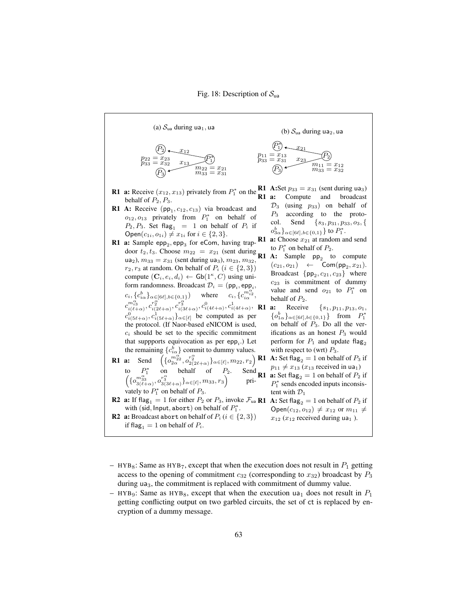<span id="page-62-0"></span>

- HYB<sub>8</sub>: Same as HYB<sub>7</sub>, except that when the execution does not result in  $P_1$  getting access to the opening of commitment  $c_{32}$  (corresponding to  $x_{32}$ ) broadcast by  $P_3$ during ua<sub>3</sub>, the commitment is replaced with commitment of dummy value.
- HYB<sub>9</sub>: Same as HYB<sub>8</sub>, except that when the execution ua<sub>1</sub> does not result in  $P_1$ getting conflicting output on two garbled circuits, the set of ct is replaced by encryption of a dummy message.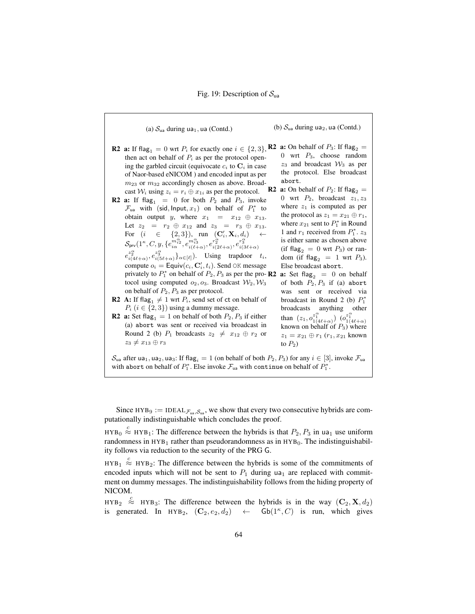<span id="page-63-0"></span>

| (a) $S_{ua}$ during ua <sub>1</sub> , ua (Contd.)                                                                                                                                                                                                                                                                                                                                                                                                                                                                                                                                                                                                                                                                                                                                                                                                                                                                                                                                                                                                                                                                                                                                                                                                                                                                                                                                                                                                                                                                                                                                                                                                                                                                                                                                                                                                                  | (b) $S_{ua}$ during ua <sub>2</sub> , ua (Contd.)                                                                                                                                                                                                                                                                                                                                                                                                                                                                                                                                                                                                                                                                                                                                                                                                                                                                                                                                                                                                                           |
|--------------------------------------------------------------------------------------------------------------------------------------------------------------------------------------------------------------------------------------------------------------------------------------------------------------------------------------------------------------------------------------------------------------------------------------------------------------------------------------------------------------------------------------------------------------------------------------------------------------------------------------------------------------------------------------------------------------------------------------------------------------------------------------------------------------------------------------------------------------------------------------------------------------------------------------------------------------------------------------------------------------------------------------------------------------------------------------------------------------------------------------------------------------------------------------------------------------------------------------------------------------------------------------------------------------------------------------------------------------------------------------------------------------------------------------------------------------------------------------------------------------------------------------------------------------------------------------------------------------------------------------------------------------------------------------------------------------------------------------------------------------------------------------------------------------------------------------------------------------------|-----------------------------------------------------------------------------------------------------------------------------------------------------------------------------------------------------------------------------------------------------------------------------------------------------------------------------------------------------------------------------------------------------------------------------------------------------------------------------------------------------------------------------------------------------------------------------------------------------------------------------------------------------------------------------------------------------------------------------------------------------------------------------------------------------------------------------------------------------------------------------------------------------------------------------------------------------------------------------------------------------------------------------------------------------------------------------|
| <b>R2</b> a: If flag <sub>1</sub> = 0 wrt $P_i$ for exactly one $i \in \{2,3\}$ , <b>R2</b><br>then act on behalf of $P_i$ as per the protocol open-<br>ing the garbled circuit (equivocate $c_i$ to $\mathbf{C}_i$ in case<br>of Naor-based eNICOM) and encoded input as per<br>$m_{23}$ or $m_{32}$ accordingly chosen as above. Broad-<br>R <sub>2</sub><br>cast $W_i$ using $z_i = r_i \oplus x_{1i}$ as per the protocol.<br><b>R2</b> a: If flag <sub>1</sub> = 0 for both $P_2$ and $P_3$ , invoke<br>$\mathcal{F}_{\text{ua}}$ with (sid, lnput, $x_1$ ) on behalf of $P_1^*$ to<br>obtain output y, where $x_1 = x_{12} \oplus x_{13}$ .<br>Let $z_2 = r_2 \oplus x_{12}$ and $z_3 = r_3 \oplus x_{13}$ .<br>$\begin{array}{ll} \text{For} & (i \quad \in \quad \{2,3\}), \text{ run } \left( \textbf{C}'_i, \textbf{X}_i, d_i \right) \quad \leftarrow \\ \mathcal{S}_{\text{prv}} (1^{\kappa}, C, y, \{e^{m_{i2}^{\alpha}}_{i\alpha}, e^{m_{i3}^{\alpha}}_{i(\ell+\alpha)}, e^{r^{\alpha}_2}_{i(2\ell+\alpha)}, e^{r^{\alpha}_3}_{i(3\ell+\alpha)} \} \end{array}$<br>$e_{i(4\ell+\alpha)}^{z_2^{\alpha}}, e_{i(5\ell+\alpha)}^{z_3^{\alpha}}\}_{\alpha\in[\ell]}$ ). Using trapdoor $t_i$ ,<br>compute $o_i = \text{Equiv}(c_i, \mathbf{C}'_i, t_i)$ . Send OK message<br>privately to $P_1^*$ on behalf of $P_2, P_3$ as per the pro-R2<br>tocol using computed $o_2, o_3$ . Broadcast $\mathcal{W}_2, \mathcal{W}_3$<br>on behalf of $P_2$ , $P_3$ as per protocol.<br><b>R2</b> A: If flag <sub>1</sub> $\neq$ 1 wrt $P_i$ , send set of ct on behalf of<br>$P_i$ ( $i \in \{2,3\}$ ) using a dummy message.<br><b>R2</b> a: Set flag <sub>1</sub> = 1 on behalf of both $P_2$ , $P_3$ if either<br>(a) abort was sent or received via broadcast in<br>Round 2 (b) $P_1$ broadcasts $z_2 \neq x_{12} \oplus r_2$ or<br>$z_3 \neq x_{13} \oplus r_3$ | <b>a:</b> On behalf of $P_3$ : If flag <sub>2</sub> =<br>0 wrt $P_3$ , choose random<br>$z_3$ and broadcast $\mathcal{W}_3$ as per<br>the protocol. Else broadcast<br>abort.<br><b>a:</b> On behalf of $P_2$ : If flag <sub>2</sub> =<br>0 wrt $P_2$ , broadcast $z_1, z_3$<br>where $z_1$ is computed as per<br>the protocol as $z_1 = x_{21} \oplus r_1$ ,<br>where $x_{21}$ sent to $P_1^*$ in Round<br>1 and $r_1$ received from $P_1^*$ , $z_3$<br>is either same as chosen above<br>(if flag <sub>2</sub> = 0 wrt $P_3$ ) or ran-<br>dom (if flag <sub>2</sub> = 1 wrt $P_3$ ).<br>Else broadcast abort.<br>a: Set flag <sub>2</sub> = 0 on behalf<br>of both $P_2, P_3$ if (a) abort<br>was sent or received via<br>broadcast in Round 2 (b) $P_1^*$<br>$\begin{array}{ll} \text{broadcasts} & \text{anything} & \text{other} \\ \text{than} & (z_1, o_{1(4\ell+\alpha)}^{\mathcal{Z}_1^{\alpha}}) & (o_{1(4\ell+\alpha)}^{\mathcal{Z}_1^{\alpha}}) \end{array}$<br>known on behalf of $P_3$ ) where<br>$z_1 = x_{21} \oplus r_1$ $(r_1, x_{21}$ known<br>to $P_2$ ) |
| $S_{ua}$ after ua <sub>1</sub> , ua <sub>2</sub> , ua <sub>3</sub> : If flag <sub>i</sub> = 1 (on behalf of both $P_2, P_3$ ) for any $i \in [3]$ , invoke $\mathcal{F}_{ua}$<br>with abort on behalf of $P_1^*$ . Else invoke $\mathcal{F}_{\mathsf{ua}}$ with continue on behalf of $P_1^*$ .                                                                                                                                                                                                                                                                                                                                                                                                                                                                                                                                                                                                                                                                                                                                                                                                                                                                                                                                                                                                                                                                                                                                                                                                                                                                                                                                                                                                                                                                                                                                                                    |                                                                                                                                                                                                                                                                                                                                                                                                                                                                                                                                                                                                                                                                                                                                                                                                                                                                                                                                                                                                                                                                             |

Since HYB<sub>9</sub> := IDEAL $_{\mathcal{F}_{ua},\mathcal{S}_{ua}}$ , we show that every two consecutive hybrids are computationally indistinguishable which concludes the proof.

 $HYB_0 \stackrel{c}{\approx} HYB_1$ : The difference between the hybrids is that  $P_2, P_3$  in ua<sub>1</sub> use uniform randomness in  $HYB_1$  rather than pseudorandomness as in  $HYB_0$ . The indistinguishability follows via reduction to the security of the PRG G.

 $HYB_1 \stackrel{c}{\approx} HYB_2$ : The difference between the hybrids is some of the commitments of encoded inputs which will not be sent to  $P_1$  during ua<sub>1</sub> are replaced with commitment on dummy messages. The indistinguishability follows from the hiding property of NICOM.

 $HYB_2 \approx HYB_3$ : The difference between the hybrids is in the way  $(C_2, X, d_2)$ is generated. In HYB<sub>2</sub>,  $(C_2, e_2, d_2) \leftarrow$  Gb $(1^{\kappa}, C)$  is run, which gives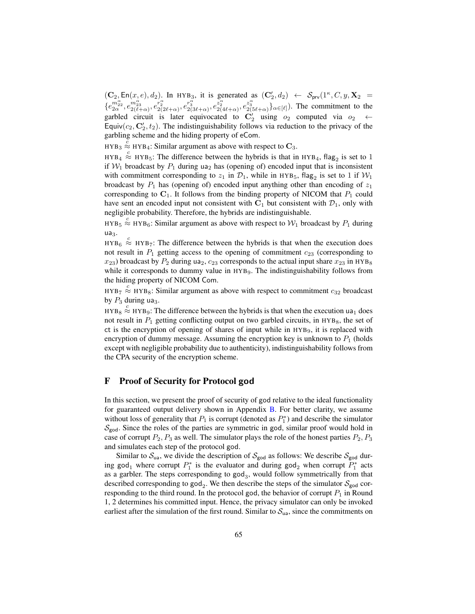$(C_2, \text{En}(x, e), d_2)$ . In HYB<sub>3</sub>, it is generated as  $(C'_2, d_2) \leftarrow S_{\text{prv}}(1^{\kappa}, C, y, \mathbf{X}_2)$  ${e_{2\alpha}^{m_{23}^{\alpha}}, e_{2(\ell+\alpha)}^{m_{33}^{\alpha}}, e_{2(2\ell+\alpha)}^{r_3^{\alpha}}, e_{2(3\ell+\alpha)}^{r_3^{\alpha}}, e_{2(4\ell+\alpha)}^{r_3^{\alpha}}, e_{2(5\ell+\alpha)}^{r_3^{\alpha}}\}_{{\alpha}\in[\ell]}$ ). The commitment to the garbled circuit is later equivocated to  $\mathbb{C}'_2$  using  $o_2$  computed via  $o_2 \leftarrow$ Equiv $(c_2, \mathbf{C}'_2, t_2)$ . The indistinguishability follows via reduction to the privacy of the garbling scheme and the hiding property of eCom.

 $HYB_3 \stackrel{\text{c}}{\approx} HYB_4$ : Similar argument as above with respect to  $\mathbf{C}_3$ .

 $HYB_4 \stackrel{c}{\approx} HYB_5$ : The difference between the hybrids is that in  $HYB_4$ , flag<sub>2</sub> is set to 1 if  $W_1$  broadcast by  $P_1$  during ua<sub>2</sub> has (opening of) encoded input that is inconsistent with commitment corresponding to  $z_1$  in  $\mathcal{D}_1$ , while in HYB<sub>5</sub>, flag<sub>2</sub> is set to 1 if  $\mathcal{W}_1$ broadcast by  $P_1$  has (opening of) encoded input anything other than encoding of  $z_1$ corresponding to  $C_1$ . It follows from the binding property of NICOM that  $P_1$  could have sent an encoded input not consistent with  $C_1$  but consistent with  $\mathcal{D}_1$ , only with negligible probability. Therefore, the hybrids are indistinguishable.

 $HYB_5 \stackrel{c}{\approx} HYB_6$ : Similar argument as above with respect to  $W_1$  broadcast by  $P_1$  during  $ua<sub>3</sub>$ .

 $HYB_6 \stackrel{c}{\approx} HYB_7$ : The difference between the hybrids is that when the execution does not result in  $P_1$  getting access to the opening of commitment  $c_{23}$  (corresponding to  $x_{23}$ ) broadcast by  $P_2$  during ua<sub>2</sub>,  $c_{23}$  corresponds to the actual input share  $x_{23}$  in HYB<sub>8</sub> while it corresponds to dummy value in HYB<sub>9</sub>. The indistinguishability follows from the hiding property of NICOM Com.

 $HYB_7 \stackrel{c}{\approx} HYB_8$ : Similar argument as above with respect to commitment  $c_{32}$  broadcast by  $P_3$  during ua<sub>3</sub>.

 $HYB_8 \stackrel{c}{\approx} HYB_9$ : The difference between the hybrids is that when the execution ua<sub>1</sub> does not result in  $P_1$  getting conflicting output on two garbled circuits, in HYB<sub>8</sub>, the set of ct is the encryption of opening of shares of input while in  $HYB<sub>9</sub>$ , it is replaced with encryption of dummy message. Assuming the encryption key is unknown to  $P_1$  (holds except with negligible probability due to authenticity), indistinguishability follows from the CPA security of the encryption scheme.

## <span id="page-64-0"></span>F Proof of Security for Protocol god

In this section, we present the proof of security of god relative to the ideal functionality for guaranteed output delivery shown in Appendix [B.](#page-49-1) For better clarity, we assume without loss of generality that  $P_1$  is corrupt (denoted as  $P_1^*$ ) and describe the simulator  $S_{\text{god}}$ . Since the roles of the parties are symmetric in god, similar proof would hold in case of corrupt  $P_2, P_3$  as well. The simulator plays the role of the honest parties  $P_2, P_3$ and simulates each step of the protocol god.

Similar to  $S_{\text{ua}}$ , we divide the description of  $S_{\text{god}}$  as follows: We describe  $S_{\text{god}}$  during god<sub>1</sub> where corrupt  $P_1^*$  is the evaluator and during god<sub>2</sub> when corrupt  $P_1^*$  acts as a garbler. The steps corresponding to  $\gcd_3$ , would follow symmetrically from that described corresponding to god<sub>2</sub>. We then describe the steps of the simulator  $\mathcal{S}_{\text{good}}$  corresponding to the third round. In the protocol god, the behavior of corrupt  $P_1$  in Round 1, 2 determines his committed input. Hence, the privacy simulator can only be invoked earliest after the simulation of the first round. Similar to  $S_{ua}$ , since the commitments on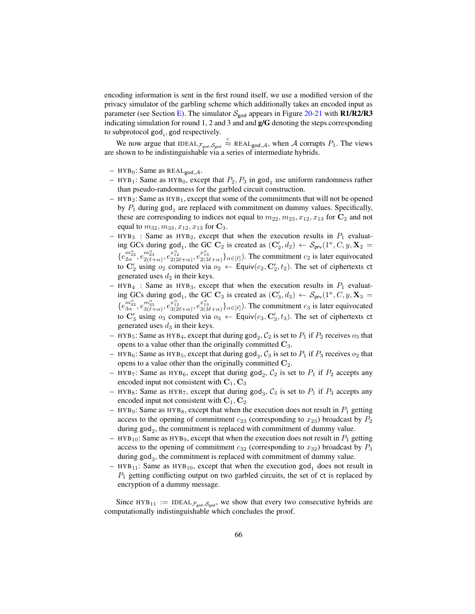encoding information is sent in the first round itself, we use a modified version of the privacy simulator of the garbling scheme which additionally takes an encoded input as parameter (see Section [E\)](#page-60-0). The simulator  $S_{\text{god}}$  appears in Figure [20-](#page-66-0)[21](#page-67-0) with R1/R2/R3 indicating simulation for round 1, 2 and 3 and and g/G denoting the steps corresponding to subprotocol  $\gcd_i$ , god respectively.

We now argue that IDEAL $\mathcal{F}_{\text{good}}$ ,  $\mathcal{S}_{\text{good}} \stackrel{c}{\approx}$  REAL<sub>god, A</sub>, when A corrupts  $P_1$ . The views are shown to be indistinguishable via a series of intermediate hybrids.

- HYB<sub>0</sub>: Same as REAL<sub>god, A</sub>.
- HYB<sub>1</sub>: Same as HYB<sub>0</sub>, except that  $P_2, P_3$  in god<sub>1</sub> use uniform randomness rather than pseudo-randomness for the garbled circuit construction.
- $-$  HYB<sub>2</sub>: Same as HYB<sub>1</sub>, except that some of the commitments that will not be opened by  $P_1$  during god<sub>1</sub> are replaced with commitment on dummy values. Specifically, these are corresponding to indices not equal to  $m_{22}, m_{23}, x_{12}, x_{13}$  for  $C_2$  and not equal to  $m_{32}, m_{33}, x_{12}, x_{13}$  for  $C_3$ .
- HYB<sub>3</sub> : Same as HYB<sub>2</sub>, except that when the execution results in  $P_1$  evaluating GCs during god<sub>1</sub>, the GC C<sub>2</sub> is created as  $(C_2', d_2) \leftarrow S_{\text{prv}}(1^{\kappa}, C, y, \mathbf{X}_2 =$  ${e_{2\alpha}^{m_{23}^{\alpha}}}, {e_{2(\ell+\alpha)}^{m_{23}^{\alpha}}}, {e_{2(2\ell+\alpha)}^{m_{13}^{\alpha}}}, {e_{2(3\ell+\alpha)}^{m_{13}^{\alpha}}}\}_{\alpha \in [\ell]}).$  The commitment  $c_2$  is later equivocated to  $\mathbf{C}'_2$  using  $o_2$  computed via  $o_2 \leftarrow \text{Equiv}(c_2, \mathbf{C}'_2, t_2)$ . The set of ciphertexts ct generated uses  $d_2$  in their keys.
- HYB<sub>4</sub> : Same as HYB<sub>3</sub>, except that when the execution results in  $P_1$  evaluating GCs during god<sub>1</sub>, the GC C<sub>3</sub> is created as  $(C'_3, d_3) \leftarrow S_{prv}(1^{\kappa}, C, y, \mathbf{X}_3 =$  ${e_{3\alpha}^{m_{32}^{\alpha}}, e_{3(\ell+\alpha)}^{m_{33}^{\alpha}}}, e_{3(2\ell+\alpha)}^{x_{12}^{\alpha}}, e_{3(3\ell+\alpha)}^{x_{13}^{\alpha}}\}_{\alpha\in[\ell]}$ ). The commitment  $c_3$  is later equivocated to  $\mathbf{C}'_3$  using  $o_3$  computed via  $o_3 \leftarrow \text{Equiv}(c_3, \mathbf{C}'_3, t_3)$ . The set of ciphertexts ct generated uses  $d_3$  in their keys.
- HYB<sub>5</sub>: Same as HYB<sub>4</sub>, except that during god<sub>2</sub>,  $C_2$  is set to  $P_1$  if  $P_2$  receives  $o_3$  that opens to a value other than the originally committed  $\mathbf{C}_3$ .
- HYB<sub>6</sub>: Same as HYB<sub>5</sub>, except that during god<sub>3</sub>,  $C_3$  is set to  $P_1$  if  $P_3$  receives  $o_2$  that opens to a value other than the originally committed  $C_2$ .
- HYB7: Same as HYB<sub>6</sub>, except that during  $\text{god}_2$ ,  $\mathcal{C}_2$  is set to  $P_1$  if  $P_2$  accepts any encoded input not consistent with  $C_1, C_3$
- HYB<sub>8</sub>: Same as HYB<sub>7</sub>, except that during god<sub>3</sub>,  $C_3$  is set to  $P_1$  if  $P_3$  accepts any encoded input not consistent with  $C_1, C_2$
- HYB9: Same as HYB<sub>8</sub>, except that when the execution does not result in  $P_1$  getting access to the opening of commitment  $c_{23}$  (corresponding to  $x_{23}$ ) broadcast by  $P_2$ during  $\gcd_2$ , the commitment is replaced with commitment of dummy value.
- HYB<sub>10</sub>: Same as HYB<sub>9</sub>, except that when the execution does not result in  $P_1$  getting access to the opening of commitment  $c_{32}$  (corresponding to  $x_{32}$ ) broadcast by  $P_3$ during  $\gcd_3$ , the commitment is replaced with commitment of dummy value.
- HYB<sub>11</sub>: Same as HYB<sub>10</sub>, except that when the execution god<sub>1</sub> does not result in  $P_1$  getting conflicting output on two garbled circuits, the set of ct is replaced by encryption of a dummy message.

Since HYB<sub>11</sub> := IDEAL $_{\mathcal{F}_{\text{good}}, \mathcal{S}_{\text{good}}}$ , we show that every two consecutive hybrids are computationally indistinguishable which concludes the proof.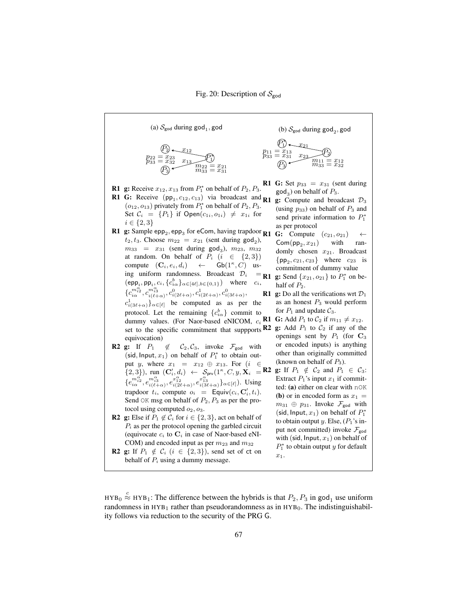<span id="page-66-0"></span>

 $HYB_0 \stackrel{c}{\approx} HYB_1$ : The difference between the hybrids is that  $P_2, P_3$  in god<sub>1</sub> use uniform randomness in  $HYB_1$  rather than pseudorandomness as in  $HYB_0$ . The indistinguishability follows via reduction to the security of the PRG G.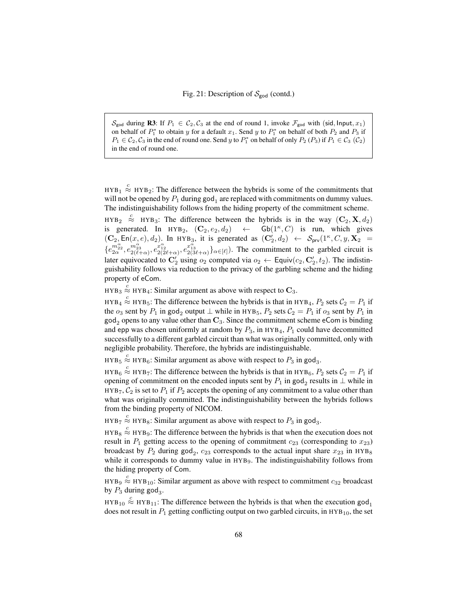<span id="page-67-0"></span> $S_{\text{god}}$  during R3: If  $P_1 \in C_2, C_3$  at the end of round 1, invoke  $\mathcal{F}_{\text{god}}$  with (sid, Input,  $x_1$ ) on behalf of  $P_1^*$  to obtain y for a default  $x_1$ . Send y to  $P_1^*$  on behalf of both  $P_2$  and  $P_3$  if  $P_1 \in C_2, C_3$  in the end of round one. Send y to  $P_1^*$  on behalf of only  $P_2 (P_3)$  if  $P_1 \in C_3 (C_2)$ in the end of round one.

 $HYB_1 \stackrel{c}{\approx} HYB_2$ : The difference between the hybrids is some of the commitments that will not be opened by  $P_1$  during  $\gcd_1$  are replaced with commitments on dummy values. The indistinguishability follows from the hiding property of the commitment scheme.

 $HYB_2 \approx HYB_3$ : The difference between the hybrids is in the way  $(C_2, X, d_2)$ is generated. In HYB<sub>2</sub>,  $(C_2, e_2, d_2) \leftarrow$  Gb $(1^{\kappa}, C)$  is run, which gives  $(C_2, \text{En}(x, e), d_2)$ . In HYB<sub>3</sub>, it is generated as  $(C'_2, d_2) \leftarrow S_{\text{prv}}(1^{\kappa}, C, y, \mathbf{X}_2)$  ${e_{2\alpha}^{m_{23}^{\alpha}}, e_{2(\ell+\alpha)}^{m_{33}^{\alpha}}, e_{2(2\ell+\alpha)}^{m_{13}^{\alpha}}, e_{2(3\ell+\alpha)}^{m_{13}^{\alpha}}\}_{\alpha\in[\ell]}$ ). The commitment to the garbled circuit is later equivocated to  $\mathbb{C}'_2$  using  $o_2$  computed via  $o_2 \leftarrow \mathsf{Equiv}(c_2, \mathbb{C}'_2, t_2)$ . The indistinguishability follows via reduction to the privacy of the garbling scheme and the hiding property of eCom.

 $HYB_3 \stackrel{c}{\approx} HYB_4$ : Similar argument as above with respect to  $\mathbf{C}_3$ .

 $HYB_4 \stackrel{c}{\approx} HYB_5$ : The difference between the hybrids is that in  $HYB_4$ ,  $P_2$  sets  $C_2 = P_1$  if the  $o_3$  sent by  $P_1$  in god<sub>2</sub> output  $\perp$  while in HYB<sub>5</sub>,  $P_2$  sets  $C_2 = P_1$  if  $o_3$  sent by  $P_1$  in  $\gcd_2$  opens to any value other than  $C_3$ . Since the commitment scheme eCom is binding and epp was chosen uniformly at random by  $P_3$ , in HYB<sub>4</sub>,  $P_1$  could have decommitted successfully to a different garbled circuit than what was originally committed, only with negligible probability. Therefore, the hybrids are indistinguishable.

 $HYB_5 \stackrel{c}{\approx} HYB_6$ : Similar argument as above with respect to  $P_3$  in god<sub>3</sub>.

HYB<sub>6</sub>  $\stackrel{c}{\approx}$  HYB<sub>7</sub>: The difference between the hybrids is that in HYB<sub>6</sub>,  $P_2$  sets  $C_2 = P_1$  if opening of commitment on the encoded inputs sent by  $P_1$  in  $\gcd_2$  results in  $\perp$  while in  $HYB_7$ ,  $C_2$  is set to  $P_1$  if  $P_2$  accepts the opening of any commitment to a value other than what was originally committed. The indistinguishability between the hybrids follows from the binding property of NICOM.

 $HYB_7 \stackrel{c}{\approx} HYB_8$ : Similar argument as above with respect to  $P_3$  in god<sub>3</sub>.

 $HYB_8 \stackrel{c}{\approx} HYB_9$ : The difference between the hybrids is that when the execution does not result in  $P_1$  getting access to the opening of commitment  $c_{23}$  (corresponding to  $x_{23}$ ) broadcast by  $P_2$  during god<sub>2</sub>,  $c_{23}$  corresponds to the actual input share  $x_{23}$  in HYB<sub>8</sub> while it corresponds to dummy value in HYB<sub>9</sub>. The indistinguishability follows from the hiding property of Com.

 $HYB_9 \stackrel{c}{\approx} HYB_{10}$ : Similar argument as above with respect to commitment  $c_{32}$  broadcast by  $P_3$  during god<sub>3</sub>.

 $HYB_{10} \stackrel{c}{\approx} HYB_{11}$ : The difference between the hybrids is that when the execution god<sub>1</sub> does not result in  $P_1$  getting conflicting output on two garbled circuits, in  $HYB_{10}$ , the set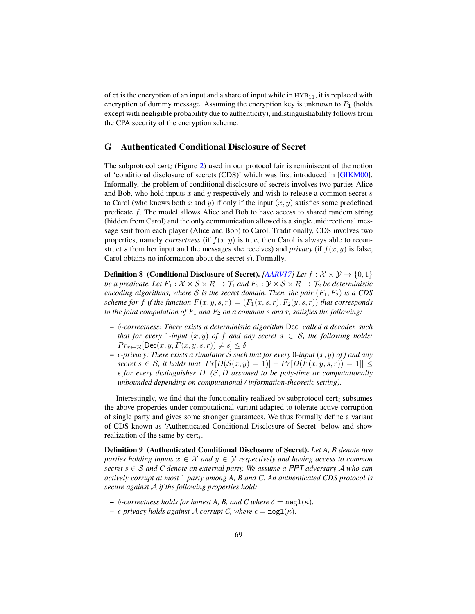of ct is the encryption of an input and a share of input while in  $HYB<sub>11</sub>$ , it is replaced with encryption of dummy message. Assuming the encryption key is unknown to  $P_1$  (holds except with negligible probability due to authenticity), indistinguishability follows from the CPA security of the encryption scheme.

## <span id="page-68-0"></span>G Authenticated Conditional Disclosure of Secret

The subprotocol cert, (Figure [2\)](#page-17-0) used in our protocol fair is reminiscent of the notion of 'conditional disclosure of secrets (CDS)' which was first introduced in [\[GIKM00\]](#page-44-19). Informally, the problem of conditional disclosure of secrets involves two parties Alice and Bob, who hold inputs x and y respectively and wish to release a common secret s to Carol (who knows both x and y) if only if the input  $(x, y)$  satisfies some predefined predicate f. The model allows Alice and Bob to have access to shared random string (hidden from Carol) and the only communication allowed is a single unidirectional message sent from each player (Alice and Bob) to Carol. Traditionally, CDS involves two properties, namely *correctness* (if  $f(x, y)$  is true, then Carol is always able to reconstruct s from her input and the messages she receives) and *privacy* (if  $f(x, y)$  is false, Carol obtains no information about the secret s). Formally,

**Definition 8** (Conditional Disclosure of Secret). *[\[AARV17\]](#page-42-1) Let*  $f : \mathcal{X} \times \mathcal{Y} \rightarrow \{0, 1\}$ *be a predicate. Let*  $F_1: \mathcal{X} \times \mathcal{S} \times \mathcal{R} \to \mathcal{T}_1$  *and*  $F_2: \mathcal{Y} \times \mathcal{S} \times \mathcal{R} \to \mathcal{T}_2$  *be deterministic encoding algorithms, where* S *is the secret domain. Then, the pair*  $(F_1, F_2)$  *is a CDS scheme for* f *if the function*  $F(x, y, s, r) = (F_1(x, s, r), F_2(y, s, r))$  *that corresponds to the joint computation of*  $F_1$  *and*  $F_2$  *on a common s and r, satisfies the following:* 

- δ*-correctness: There exists a deterministic algorithm* Dec*, called a decoder, such that for every* 1*-input*  $(x, y)$  *of*  $f$  *and any secret*  $s \in S$ *, the following holds:*  $Pr_{r \leftarrow \mathcal{R}}[\textsf{Dec}(x, y, F(x, y, s, r)) \neq s] \leq \delta$
- $\epsilon$ -privacy: There exists a simulator S such that for every 0-input  $(x, y)$  of f and any *secret*  $s \in S$ , *it holds that*  $|Pr[D(S(x, y) = 1)] - Pr[D(F(x, y, s, r)) = 1]|$  *for every distinguisher* D*. (*S, D *assumed to be poly-time or computationally unbounded depending on computational / information-theoretic setting).*

Interestingly, we find that the functionality realized by subprotocol cert, subsumes the above properties under computational variant adapted to tolerate active corruption of single party and gives some stronger guarantees. We thus formally define a variant of CDS known as 'Authenticated Conditional Disclosure of Secret' below and show realization of the same by cert $_i$ .

Definition 9 (Authenticated Conditional Disclosure of Secret). *Let A, B denote two parties holding inputs*  $x \in \mathcal{X}$  *and*  $y \in \mathcal{Y}$  *respectively and having access to common*  $s$ *ecret*  $s \in S$  *and*  $C$  *denote an external party. We assume a PPT adversary*  $A$  *who can actively corrupt at most* 1 *party among A, B and C. An authenticated CDS protocol is secure against* A *if the following properties hold:*

- $\sim \delta$ -correctness holds for honest A, B, and C where  $\delta = \text{negl}(\kappa)$ .
- $\epsilon$ -privacy holds against A corrupt C, where  $\epsilon = \text{negl}(\kappa)$ .